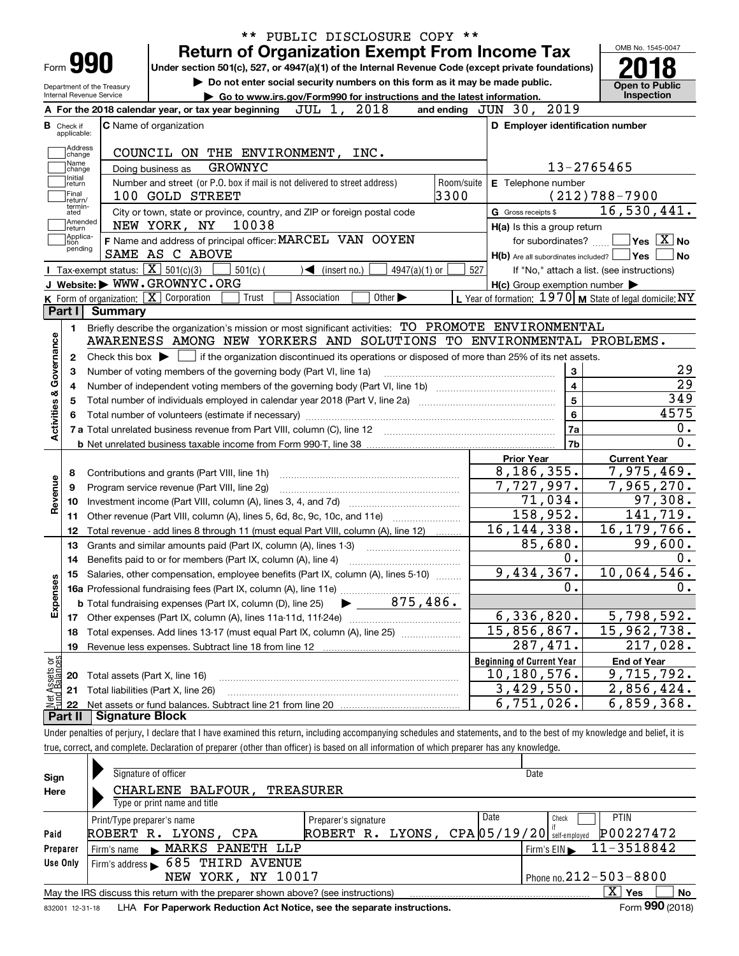|                                                |                                                   |                                                                                                                                                          | $***$          |                                                                             |                             | PUBLIC DISCLOSURE COPY ** |     |                                                           |                         |                                            |                                                                                                                    |
|------------------------------------------------|---------------------------------------------------|----------------------------------------------------------------------------------------------------------------------------------------------------------|----------------|-----------------------------------------------------------------------------|-----------------------------|---------------------------|-----|-----------------------------------------------------------|-------------------------|--------------------------------------------|--------------------------------------------------------------------------------------------------------------------|
|                                                |                                                   |                                                                                                                                                          |                | <b>Return of Organization Exempt From Income Tax</b>                        |                             |                           |     |                                                           |                         | OMB No. 1545-0047                          |                                                                                                                    |
| Form <b>990</b>                                |                                                   | Under section 501(c), 527, or 4947(a)(1) of the Internal Revenue Code (except private foundations)                                                       |                |                                                                             |                             |                           |     |                                                           |                         |                                            |                                                                                                                    |
| Department of the Treasury                     |                                                   |                                                                                                                                                          |                | Do not enter social security numbers on this form as it may be made public. |                             |                           |     |                                                           |                         | <b>Open to Public</b>                      |                                                                                                                    |
| Internal Revenue Service                       |                                                   |                                                                                                                                                          |                | Go to www.irs.gov/Form990 for instructions and the latest information.      |                             |                           |     |                                                           |                         | Inspection                                 |                                                                                                                    |
|                                                |                                                   | A For the 2018 calendar year, or tax year beginning                                                                                                      |                | JUL 1, 2018                                                                 |                             |                           |     | and ending JUN 30, 2019                                   |                         |                                            |                                                                                                                    |
| в<br>Check if<br>applicable:                   |                                                   | C Name of organization                                                                                                                                   |                |                                                                             |                             |                           |     | D Employer identification number                          |                         |                                            |                                                                                                                    |
| Address                                        |                                                   |                                                                                                                                                          |                |                                                                             |                             |                           |     |                                                           |                         |                                            |                                                                                                                    |
| change<br>Name                                 |                                                   | COUNCIL ON THE ENVIRONMENT, INC.                                                                                                                         |                |                                                                             |                             |                           |     |                                                           |                         |                                            |                                                                                                                    |
| change<br>Initial                              |                                                   | Doing business as                                                                                                                                        | <b>GROWNYC</b> |                                                                             |                             |                           |     |                                                           | 13-2765465              |                                            |                                                                                                                    |
| return<br>Final                                |                                                   | Number and street (or P.O. box if mail is not delivered to street address)                                                                               |                |                                                                             |                             | Room/suite<br>3300        |     | E Telephone number                                        |                         | $(212)788 - 7900$                          |                                                                                                                    |
| return/<br>termin-                             |                                                   | 100 GOLD STREET                                                                                                                                          |                |                                                                             |                             |                           |     |                                                           |                         | 16,530,441.                                |                                                                                                                    |
| ated<br>Amended                                |                                                   | City or town, state or province, country, and ZIP or foreign postal code<br>NEW YORK, NY                                                                 | 10038          |                                                                             |                             |                           |     | G Gross receipts \$                                       |                         |                                            |                                                                                                                    |
| return<br>Applica-                             |                                                   | F Name and address of principal officer: MARCEL VAN OOYEN                                                                                                |                |                                                                             |                             |                           |     | H(a) Is this a group return<br>for subordinates?          |                         |                                            | $\overline{\mathsf{Yes}}$ $\overline{\mathsf{X}}$ No                                                               |
| tion<br>pending                                |                                                   | SAME AS C ABOVE                                                                                                                                          |                |                                                                             |                             |                           |     | $H(b)$ Are all subordinates included? $\Box$ Yes          |                         |                                            | <b>No</b>                                                                                                          |
|                                                | Tax-exempt status: $\boxed{\mathbf{X}}$ 501(c)(3) |                                                                                                                                                          | $501(c)$ (     | $\blacktriangleleft$ (insert no.)                                           | $4947(a)(1)$ or             |                           | 527 |                                                           |                         | If "No," attach a list. (see instructions) |                                                                                                                    |
|                                                |                                                   | J Website: WWW.GROWNYC.ORG                                                                                                                               |                |                                                                             |                             |                           |     | $H(c)$ Group exemption number $\blacktriangleright$       |                         |                                            |                                                                                                                    |
|                                                |                                                   | K Form of organization: $\boxed{\mathbf{X}}$ Corporation                                                                                                 | Trust          | Association                                                                 | Other $\blacktriangleright$ |                           |     | L Year of formation: $1970$ M State of legal domicile: NY |                         |                                            |                                                                                                                    |
| Part I                                         | Summary                                           |                                                                                                                                                          |                |                                                                             |                             |                           |     |                                                           |                         |                                            |                                                                                                                    |
| 1.                                             |                                                   | Briefly describe the organization's mission or most significant activities: TO PROMOTE ENVIRONMENTAL                                                     |                |                                                                             |                             |                           |     |                                                           |                         |                                            |                                                                                                                    |
|                                                |                                                   | AWARENESS AMONG NEW YORKERS AND SOLUTIONS TO ENVIRONMENTAL PROBLEMS.                                                                                     |                |                                                                             |                             |                           |     |                                                           |                         |                                            |                                                                                                                    |
| 2                                              |                                                   | Check this box $\blacktriangleright$ $\Box$ if the organization discontinued its operations or disposed of more than 25% of its net assets.              |                |                                                                             |                             |                           |     |                                                           |                         |                                            |                                                                                                                    |
| З                                              |                                                   | Number of voting members of the governing body (Part VI, line 1a)                                                                                        |                |                                                                             |                             |                           |     |                                                           | 3                       |                                            | 29                                                                                                                 |
|                                                |                                                   |                                                                                                                                                          |                |                                                                             |                             |                           |     |                                                           |                         |                                            |                                                                                                                    |
|                                                |                                                   |                                                                                                                                                          |                |                                                                             |                             |                           |     |                                                           |                         |                                            |                                                                                                                    |
|                                                |                                                   |                                                                                                                                                          |                |                                                                             |                             |                           |     |                                                           | $\overline{\mathbf{4}}$ |                                            |                                                                                                                    |
|                                                |                                                   | Total number of individuals employed in calendar year 2018 (Part V, line 2a) manufacture of individuals employed in calendar year 2018 (Part V, line 2a) |                |                                                                             |                             |                           |     |                                                           | $\overline{5}$          |                                            |                                                                                                                    |
|                                                |                                                   |                                                                                                                                                          |                |                                                                             |                             |                           |     |                                                           | 6                       |                                            |                                                                                                                    |
|                                                |                                                   |                                                                                                                                                          |                |                                                                             |                             |                           |     |                                                           | 7a                      |                                            |                                                                                                                    |
|                                                |                                                   |                                                                                                                                                          |                |                                                                             |                             |                           |     |                                                           | 7b                      |                                            |                                                                                                                    |
|                                                |                                                   |                                                                                                                                                          |                |                                                                             |                             |                           |     | <b>Prior Year</b>                                         |                         | <b>Current Year</b>                        |                                                                                                                    |
| 8                                              |                                                   | Contributions and grants (Part VIII, line 1h)                                                                                                            |                |                                                                             |                             |                           |     | 8, 186, 355.                                              |                         | 7,975,469.                                 |                                                                                                                    |
| 9<br>10                                        |                                                   | Program service revenue (Part VIII, line 2g)                                                                                                             |                |                                                                             |                             |                           |     | 7,727,997.                                                |                         | 7,965,270.                                 |                                                                                                                    |
| 11                                             |                                                   |                                                                                                                                                          |                |                                                                             |                             |                           |     | 71,034.                                                   |                         |                                            |                                                                                                                    |
| 12                                             |                                                   | Other revenue (Part VIII, column (A), lines 5, 6d, 8c, 9c, 10c, and 11e)                                                                                 |                |                                                                             |                             |                           |     | 158,952.                                                  |                         |                                            |                                                                                                                    |
| 13                                             |                                                   | Total revenue - add lines 8 through 11 (must equal Part VIII, column (A), line 12)                                                                       |                |                                                                             |                             |                           |     | 16, 144, 338.<br>85,680.                                  |                         | 16, 179, 766.                              |                                                                                                                    |
| 14                                             |                                                   | Grants and similar amounts paid (Part IX, column (A), lines 1-3)                                                                                         |                |                                                                             |                             |                           |     |                                                           | 0.                      |                                            |                                                                                                                    |
|                                                |                                                   | Benefits paid to or for members (Part IX, column (A), line 4)                                                                                            |                |                                                                             |                             |                           |     |                                                           |                         |                                            |                                                                                                                    |
|                                                |                                                   | 15 Salaries, other compensation, employee benefits (Part IX, column (A), lines 5-10)                                                                     |                |                                                                             |                             |                           |     | 9,434,367.                                                | 0.                      | 10,064,546.                                |                                                                                                                    |
|                                                |                                                   |                                                                                                                                                          |                |                                                                             |                             |                           |     |                                                           |                         |                                            |                                                                                                                    |
|                                                |                                                   |                                                                                                                                                          |                |                                                                             |                             |                           |     | 6,336,820.                                                |                         | 5,798,592.                                 |                                                                                                                    |
| 18                                             |                                                   | Total expenses. Add lines 13-17 (must equal Part IX, column (A), line 25) [                                                                              |                |                                                                             |                             |                           |     | $15,856,867$ .                                            |                         |                                            |                                                                                                                    |
| 19                                             |                                                   |                                                                                                                                                          |                |                                                                             |                             |                           |     | 287,471.                                                  |                         | 15,962,738.                                |                                                                                                                    |
| Activities & Governance<br>Revenue<br>Expenses |                                                   | Revenue less expenses. Subtract line 18 from line 12                                                                                                     |                |                                                                             |                             |                           |     |                                                           |                         |                                            |                                                                                                                    |
| 20                                             |                                                   |                                                                                                                                                          |                |                                                                             |                             |                           |     | <b>Beginning of Current Year</b><br>10, 180, 576.         |                         | <b>End of Year</b><br>9,715,792.           |                                                                                                                    |
| 21                                             |                                                   | Total assets (Part X, line 16)                                                                                                                           |                |                                                                             |                             |                           |     |                                                           |                         |                                            | $\overline{29}$<br>349<br>4575<br>0.<br>$\overline{0}$ .<br>97,308.<br>141,719.<br>99,600.<br>0.<br>0.<br>217,028. |
| Net Assets or<br>Fund Balances<br>22           |                                                   | Total liabilities (Part X, line 26)                                                                                                                      |                |                                                                             |                             |                           |     | 3,429,550.<br>6,751,026.                                  |                         | 2,856,424.<br>$\overline{6}$ , 859, 368.   |                                                                                                                    |

true, correct, and complete. Declaration of preparer (other than officer) is based on all information of which preparer has any knowledge.

| Sign     | Signature of officer                                                                                         |                      | Date                                                    |  |  |  |  |  |  |  |
|----------|--------------------------------------------------------------------------------------------------------------|----------------------|---------------------------------------------------------|--|--|--|--|--|--|--|
| Here     | CHARLENE BALFOUR.<br><b>TREASURER</b>                                                                        |                      |                                                         |  |  |  |  |  |  |  |
|          | Type or print name and title                                                                                 |                      |                                                         |  |  |  |  |  |  |  |
|          | Print/Type preparer's name                                                                                   | Preparer's signature | Date<br><b>PTIN</b><br>Check                            |  |  |  |  |  |  |  |
| Paid     | ROBERT R.<br>LYONS, CPA                                                                                      | ROBERT R.            | P00227472<br>$LYONS$ , $CPA$ $ 05/19/20 $ self-employed |  |  |  |  |  |  |  |
| Preparer | MARKS PANETH LLP<br>Firm's name<br>$\blacksquare$                                                            |                      | 11-3518842<br>Firm's $EIN \blacktriangleright$          |  |  |  |  |  |  |  |
| Use Only | 685 THIRD AVENUE<br>Firm's address $\blacktriangleright$                                                     |                      |                                                         |  |  |  |  |  |  |  |
|          | Phone no. $212 - 503 - 8800$<br>NEW YORK, NY 10017                                                           |                      |                                                         |  |  |  |  |  |  |  |
|          | May the IRS discuss this return with the preparer shown above? (see instructions)                            |                      | X<br>No<br>Yes                                          |  |  |  |  |  |  |  |
|          | Form 990 (2018)<br>LHA For Paperwork Reduction Act Notice, see the separate instructions.<br>832001 12-31-18 |                      |                                                         |  |  |  |  |  |  |  |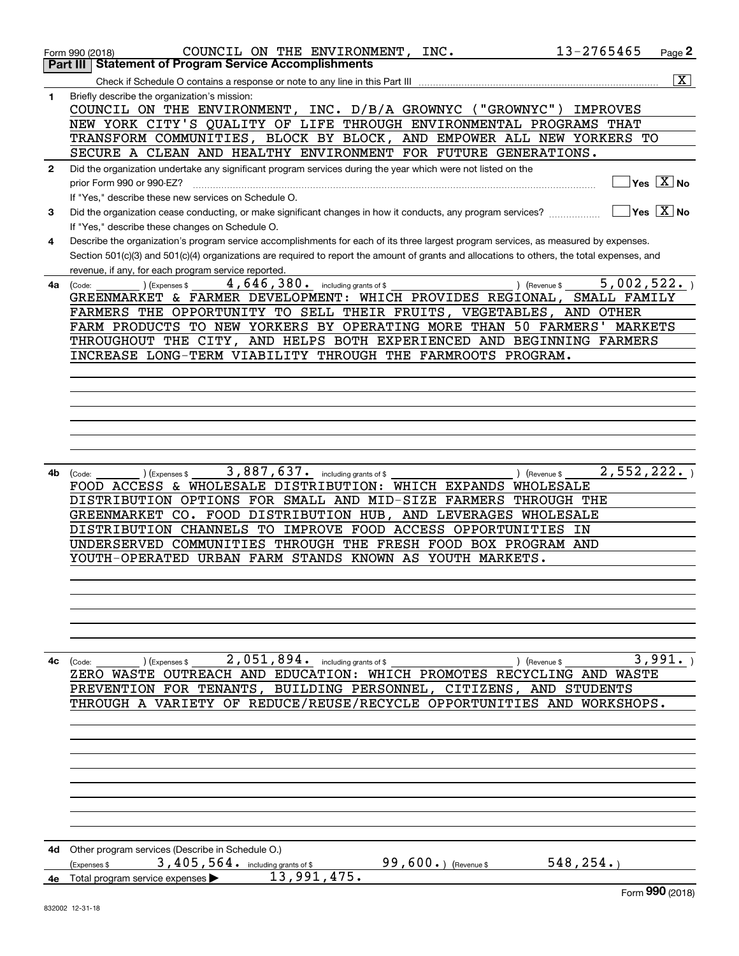|              | 13-2765465<br>COUNCIL ON THE ENVIRONMENT, INC.<br>Page 2<br>Form 990 (2018)                                                                            |
|--------------|--------------------------------------------------------------------------------------------------------------------------------------------------------|
|              | <b>Statement of Program Service Accomplishments</b><br>Part III                                                                                        |
|              | $\overline{\mathbf{x}}$<br>Check if Schedule O contains a response or note to any line in this Part III                                                |
| 1            | Briefly describe the organization's mission:<br>COUNCIL ON THE ENVIRONMENT, INC. D/B/A GROWNYC ("GROWNYC")<br>IMPROVES                                 |
|              | NEW YORK CITY'S QUALITY OF LIFE THROUGH ENVIRONMENTAL PROGRAMS THAT                                                                                    |
|              | TRANSFORM COMMUNITIES, BLOCK BY BLOCK, AND EMPOWER ALL NEW YORKERS TO                                                                                  |
|              | SECURE A CLEAN AND HEALTHY ENVIRONMENT FOR FUTURE GENERATIONS.                                                                                         |
| $\mathbf{2}$ | Did the organization undertake any significant program services during the year which were not listed on the                                           |
|              | $\overline{\ }$ Yes $\overline{\phantom{X}}$ No<br>prior Form 990 or 990-EZ?                                                                           |
|              | If "Yes," describe these new services on Schedule O.                                                                                                   |
| 3            | $\sqrt{}$ Yes $\sqrt{}$ X $\sqrt{}$ No<br>Did the organization cease conducting, or make significant changes in how it conducts, any program services? |
|              | If "Yes," describe these changes on Schedule O.                                                                                                        |
| 4            | Describe the organization's program service accomplishments for each of its three largest program services, as measured by expenses.                   |
|              | Section 501(c)(3) and 501(c)(4) organizations are required to report the amount of grants and allocations to others, the total expenses, and           |
|              | revenue, if any, for each program service reported.                                                                                                    |
| 4a           | 5,002,522.<br>4, 646, 380. including grants of \$<br>) (Revenue \$<br>(Expenses \$<br>(Code:                                                           |
|              | GREENMARKET & FARMER DEVELOPMENT: WHICH PROVIDES REGIONAL,<br>SMALL FAMILY                                                                             |
|              | FARMERS THE OPPORTUNITY TO SELL THEIR FRUITS, VEGETABLES, AND OTHER<br>FARM PRODUCTS TO NEW YORKERS BY OPERATING MORE THAN 50 FARMERS' MARKETS         |
|              | THROUGHOUT THE CITY, AND HELPS BOTH EXPERIENCED AND BEGINNING FARMERS                                                                                  |
|              | INCREASE LONG-TERM VIABILITY THROUGH THE FARMROOTS PROGRAM.                                                                                            |
|              |                                                                                                                                                        |
|              |                                                                                                                                                        |
|              |                                                                                                                                                        |
|              |                                                                                                                                                        |
|              |                                                                                                                                                        |
|              |                                                                                                                                                        |
|              |                                                                                                                                                        |
| 4b           | 2,552,222.<br>3,887,637. including grants of \$<br>) (Revenue \$<br>(Code:<br>(Expenses \$                                                             |
|              | FOOD ACCESS & WHOLESALE DISTRIBUTION: WHICH EXPANDS WHOLESALE                                                                                          |
|              | DISTRIBUTION OPTIONS FOR SMALL AND MID-SIZE FARMERS THROUGH THE                                                                                        |
|              | GREENMARKET CO. FOOD DISTRIBUTION HUB, AND LEVERAGES WHOLESALE                                                                                         |
|              | DISTRIBUTION CHANNELS TO IMPROVE FOOD ACCESS OPPORTUNITIES IN                                                                                          |
|              | UNDERSERVED COMMUNITIES THROUGH THE FRESH FOOD BOX PROGRAM AND                                                                                         |
|              | YOUTH-OPERATED URBAN FARM STANDS KNOWN AS YOUTH MARKETS.                                                                                               |
|              |                                                                                                                                                        |
|              |                                                                                                                                                        |
|              |                                                                                                                                                        |
|              |                                                                                                                                                        |
|              |                                                                                                                                                        |
| 4с           | 2,051,894. including grants of \$<br>3,991.<br>) (Expenses \$<br>) (Revenue \$<br>(Code:                                                               |
|              | ZERO WASTE OUTREACH AND EDUCATION: WHICH PROMOTES RECYCLING AND WASTE                                                                                  |
|              | PREVENTION FOR TENANTS, BUILDING PERSONNEL, CITIZENS, AND STUDENTS                                                                                     |
|              | THROUGH A VARIETY OF REDUCE/REUSE/RECYCLE OPPORTUNITIES AND WORKSHOPS.                                                                                 |
|              |                                                                                                                                                        |
|              |                                                                                                                                                        |
|              |                                                                                                                                                        |
|              |                                                                                                                                                        |
|              |                                                                                                                                                        |
|              |                                                                                                                                                        |
|              |                                                                                                                                                        |
|              |                                                                                                                                                        |
|              |                                                                                                                                                        |
|              | 4d Other program services (Describe in Schedule O.)<br>3, 405, 564. including grants of \$<br>99,600.) (Revenue \$<br>548, 254.                        |
| 4е           | (Expenses \$<br>13,991,475.<br>Total program service expenses                                                                                          |
|              | Form 990 (2018)                                                                                                                                        |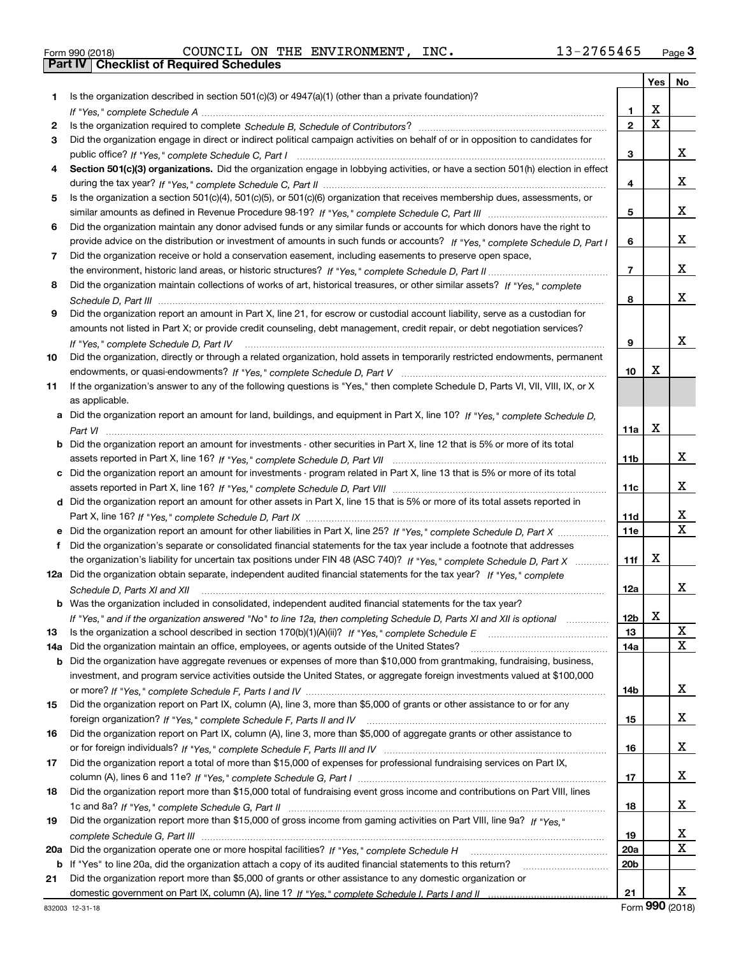| Form 990 (2018) |  |  |
|-----------------|--|--|

Form 990 (2018) Page **3Part IV Checklist of Required Schedules** COUNCIL ON THE ENVIRONMENT, INC. 13-2765465

|     |                                                                                                                                                                                                                                                       |                 | Yes         | No                |
|-----|-------------------------------------------------------------------------------------------------------------------------------------------------------------------------------------------------------------------------------------------------------|-----------------|-------------|-------------------|
| 1.  | Is the organization described in section $501(c)(3)$ or $4947(a)(1)$ (other than a private foundation)?                                                                                                                                               |                 |             |                   |
|     |                                                                                                                                                                                                                                                       | 1               | X           |                   |
| 2   |                                                                                                                                                                                                                                                       | $\overline{2}$  | $\mathbf X$ |                   |
| 3   | Did the organization engage in direct or indirect political campaign activities on behalf of or in opposition to candidates for                                                                                                                       |                 |             |                   |
|     |                                                                                                                                                                                                                                                       | 3               |             | x                 |
| 4   | Section 501(c)(3) organizations. Did the organization engage in lobbying activities, or have a section 501(h) election in effect                                                                                                                      |                 |             |                   |
|     |                                                                                                                                                                                                                                                       | 4               |             | x                 |
| 5   | Is the organization a section 501(c)(4), 501(c)(5), or 501(c)(6) organization that receives membership dues, assessments, or                                                                                                                          |                 |             |                   |
|     |                                                                                                                                                                                                                                                       | 5               |             | x                 |
| 6   | Did the organization maintain any donor advised funds or any similar funds or accounts for which donors have the right to                                                                                                                             |                 |             |                   |
|     | provide advice on the distribution or investment of amounts in such funds or accounts? If "Yes," complete Schedule D, Part I                                                                                                                          | 6               |             | x                 |
| 7   | Did the organization receive or hold a conservation easement, including easements to preserve open space,                                                                                                                                             |                 |             |                   |
|     |                                                                                                                                                                                                                                                       | $\overline{7}$  |             | x                 |
| 8   | Did the organization maintain collections of works of art, historical treasures, or other similar assets? If "Yes," complete                                                                                                                          |                 |             |                   |
|     |                                                                                                                                                                                                                                                       | 8               |             | x                 |
| 9   | Did the organization report an amount in Part X, line 21, for escrow or custodial account liability, serve as a custodian for                                                                                                                         |                 |             |                   |
|     | amounts not listed in Part X; or provide credit counseling, debt management, credit repair, or debt negotiation services?                                                                                                                             |                 |             |                   |
|     | If "Yes," complete Schedule D, Part IV                                                                                                                                                                                                                | 9               |             | x                 |
| 10  | Did the organization, directly or through a related organization, hold assets in temporarily restricted endowments, permanent                                                                                                                         |                 |             |                   |
|     |                                                                                                                                                                                                                                                       | 10              | x           |                   |
| 11  | If the organization's answer to any of the following questions is "Yes," then complete Schedule D, Parts VI, VII, VIII, IX, or X                                                                                                                      |                 |             |                   |
|     | as applicable.                                                                                                                                                                                                                                        |                 |             |                   |
|     | a Did the organization report an amount for land, buildings, and equipment in Part X, line 10? If "Yes," complete Schedule D,                                                                                                                         |                 |             |                   |
|     |                                                                                                                                                                                                                                                       | 11a             | X           |                   |
|     | <b>b</b> Did the organization report an amount for investments - other securities in Part X, line 12 that is 5% or more of its total                                                                                                                  |                 |             |                   |
|     |                                                                                                                                                                                                                                                       | 11 <sub>b</sub> |             | x                 |
|     | c Did the organization report an amount for investments - program related in Part X, line 13 that is 5% or more of its total                                                                                                                          |                 |             |                   |
|     |                                                                                                                                                                                                                                                       | 11c             |             | X.                |
|     | d Did the organization report an amount for other assets in Part X, line 15 that is 5% or more of its total assets reported in                                                                                                                        |                 |             |                   |
|     |                                                                                                                                                                                                                                                       | 11d             |             | х<br>$\mathbf{x}$ |
|     |                                                                                                                                                                                                                                                       | 11e             |             |                   |
|     | Did the organization's separate or consolidated financial statements for the tax year include a footnote that addresses                                                                                                                               |                 |             |                   |
|     | the organization's liability for uncertain tax positions under FIN 48 (ASC 740)? If "Yes," complete Schedule D, Part X                                                                                                                                | 11f             | x           |                   |
|     | 12a Did the organization obtain separate, independent audited financial statements for the tax year? If "Yes," complete                                                                                                                               |                 |             | x                 |
|     | Schedule D, Parts XI and XII                                                                                                                                                                                                                          | 12a             |             |                   |
|     | b Was the organization included in consolidated, independent audited financial statements for the tax year?                                                                                                                                           |                 |             |                   |
|     | If "Yes," and if the organization answered "No" to line 12a, then completing Schedule D, Parts XI and XII is optional metallion                                                                                                                       | 12b             | A           | X                 |
| 13  |                                                                                                                                                                                                                                                       | 13              |             | X                 |
| 14a | Did the organization maintain an office, employees, or agents outside of the United States?                                                                                                                                                           | 14a             |             |                   |
| b   | Did the organization have aggregate revenues or expenses of more than \$10,000 from grantmaking, fundraising, business,<br>investment, and program service activities outside the United States, or aggregate foreign investments valued at \$100,000 |                 |             |                   |
|     |                                                                                                                                                                                                                                                       | 14b             |             | x                 |
| 15  | Did the organization report on Part IX, column (A), line 3, more than \$5,000 of grants or other assistance to or for any                                                                                                                             |                 |             |                   |
|     |                                                                                                                                                                                                                                                       | 15              |             | x                 |
| 16  | Did the organization report on Part IX, column (A), line 3, more than \$5,000 of aggregate grants or other assistance to                                                                                                                              |                 |             |                   |
|     |                                                                                                                                                                                                                                                       | 16              |             | x                 |
| 17  | Did the organization report a total of more than \$15,000 of expenses for professional fundraising services on Part IX,                                                                                                                               |                 |             |                   |
|     |                                                                                                                                                                                                                                                       | 17              |             | x                 |
| 18  | Did the organization report more than \$15,000 total of fundraising event gross income and contributions on Part VIII, lines                                                                                                                          |                 |             |                   |
|     |                                                                                                                                                                                                                                                       | 18              |             | x                 |
| 19  | Did the organization report more than \$15,000 of gross income from gaming activities on Part VIII, line 9a? If "Yes."                                                                                                                                |                 |             |                   |
|     |                                                                                                                                                                                                                                                       | 19              |             | X                 |
| 20a |                                                                                                                                                                                                                                                       | 20a             |             | x                 |
|     | b If "Yes" to line 20a, did the organization attach a copy of its audited financial statements to this return?                                                                                                                                        | 20 <sub>b</sub> |             |                   |
| 21  | Did the organization report more than \$5,000 of grants or other assistance to any domestic organization or                                                                                                                                           |                 |             |                   |
|     |                                                                                                                                                                                                                                                       | 21              |             | x                 |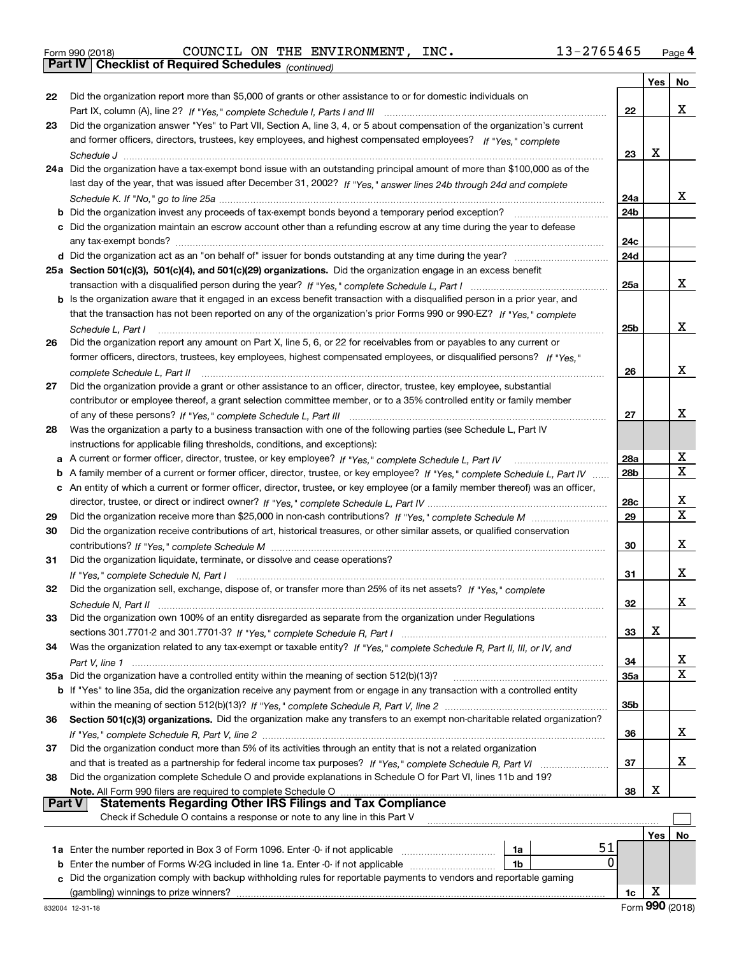|  | Form 990 (2018) |
|--|-----------------|
|  |                 |

*(continued)* Form 990 (2018) Page **4Part IV Checklist of Required Schedules** COUNCIL ON THE ENVIRONMENT, INC. 13-2765465

|               |                                                                                                                                   |                 | Yes <sub>1</sub> | No          |
|---------------|-----------------------------------------------------------------------------------------------------------------------------------|-----------------|------------------|-------------|
| 22            | Did the organization report more than \$5,000 of grants or other assistance to or for domestic individuals on                     |                 |                  |             |
|               |                                                                                                                                   | 22              |                  | X.          |
| 23            | Did the organization answer "Yes" to Part VII, Section A, line 3, 4, or 5 about compensation of the organization's current        |                 |                  |             |
|               | and former officers, directors, trustees, key employees, and highest compensated employees? If "Yes." complete                    |                 |                  |             |
|               |                                                                                                                                   | 23              | х                |             |
|               | 24a Did the organization have a tax-exempt bond issue with an outstanding principal amount of more than \$100,000 as of the       |                 |                  |             |
|               | last day of the year, that was issued after December 31, 2002? If "Yes," answer lines 24b through 24d and complete                |                 |                  |             |
|               |                                                                                                                                   | 24a             |                  | x           |
|               |                                                                                                                                   | 24b             |                  |             |
|               | c Did the organization maintain an escrow account other than a refunding escrow at any time during the year to defease            |                 |                  |             |
|               |                                                                                                                                   | 24c             |                  |             |
|               |                                                                                                                                   | 24d             |                  |             |
|               | 25a Section 501(c)(3), 501(c)(4), and 501(c)(29) organizations. Did the organization engage in an excess benefit                  |                 |                  |             |
|               |                                                                                                                                   | 25a             |                  | x           |
|               | b Is the organization aware that it engaged in an excess benefit transaction with a disqualified person in a prior year, and      |                 |                  |             |
|               | that the transaction has not been reported on any of the organization's prior Forms 990 or 990-EZ? If "Yes," complete             |                 |                  |             |
|               | Schedule L. Part I                                                                                                                | 25 <sub>b</sub> |                  | x           |
| 26            | Did the organization report any amount on Part X, line 5, 6, or 22 for receivables from or payables to any current or             |                 |                  |             |
|               | former officers, directors, trustees, key employees, highest compensated employees, or disqualified persons? If "Yes."            |                 |                  |             |
|               |                                                                                                                                   | 26              |                  | x           |
| 27            | Did the organization provide a grant or other assistance to an officer, director, trustee, key employee, substantial              |                 |                  |             |
|               | contributor or employee thereof, a grant selection committee member, or to a 35% controlled entity or family member               |                 |                  | x           |
|               |                                                                                                                                   | 27              |                  |             |
| 28            | Was the organization a party to a business transaction with one of the following parties (see Schedule L, Part IV                 |                 |                  |             |
|               | instructions for applicable filing thresholds, conditions, and exceptions):                                                       | 28a             |                  | x           |
| a             |                                                                                                                                   | 28 <sub>b</sub> |                  | $\mathbf X$ |
| b             | A family member of a current or former officer, director, trustee, or key employee? If "Yes," complete Schedule L, Part IV        |                 |                  |             |
|               | c An entity of which a current or former officer, director, trustee, or key employee (or a family member thereof) was an officer, | 28c             |                  | x           |
| 29            |                                                                                                                                   | 29              |                  | X           |
| 30            | Did the organization receive contributions of art, historical treasures, or other similar assets, or qualified conservation       |                 |                  |             |
|               |                                                                                                                                   | 30              |                  | x           |
| 31            | Did the organization liquidate, terminate, or dissolve and cease operations?                                                      |                 |                  |             |
|               |                                                                                                                                   | 31              |                  | x.          |
| 32            | Did the organization sell, exchange, dispose of, or transfer more than 25% of its net assets? If "Yes," complete                  |                 |                  |             |
|               |                                                                                                                                   | 32              |                  | x.          |
| 33            | Did the organization own 100% of an entity disregarded as separate from the organization under Regulations                        |                 |                  |             |
|               |                                                                                                                                   | 33              | Χ                |             |
| 34            | Was the organization related to any tax-exempt or taxable entity? If "Yes," complete Schedule R, Part II, III, or IV, and         |                 |                  |             |
|               |                                                                                                                                   | 34              |                  | x           |
|               | 35a Did the organization have a controlled entity within the meaning of section 512(b)(13)?                                       | 35a             |                  | X.          |
|               | b If "Yes" to line 35a, did the organization receive any payment from or engage in any transaction with a controlled entity       |                 |                  |             |
|               |                                                                                                                                   | 35b             |                  |             |
| 36            | Section 501(c)(3) organizations. Did the organization make any transfers to an exempt non-charitable related organization?        |                 |                  |             |
|               |                                                                                                                                   | 36              |                  | X.          |
| 37            | Did the organization conduct more than 5% of its activities through an entity that is not a related organization                  |                 |                  |             |
|               |                                                                                                                                   | 37              |                  | X.          |
| 38            | Did the organization complete Schedule O and provide explanations in Schedule O for Part VI, lines 11b and 19?                    |                 |                  |             |
|               | Note. All Form 990 filers are required to complete Schedule O                                                                     | 38              | Х                |             |
| <b>Part V</b> | <b>Statements Regarding Other IRS Filings and Tax Compliance</b>                                                                  |                 |                  |             |
|               | Check if Schedule O contains a response or note to any line in this Part V                                                        |                 |                  |             |
|               |                                                                                                                                   |                 | <b>Yes</b>       | No          |
|               | 51<br>1a Enter the number reported in Box 3 of Form 1096. Enter -0- if not applicable<br>1a                                       |                 |                  |             |
| b             | $\Omega$<br>Enter the number of Forms W-2G included in line 1a. Enter -0- if not applicable<br>1b                                 |                 |                  |             |
| с             | Did the organization comply with backup withholding rules for reportable payments to vendors and reportable gaming                |                 |                  |             |
|               | (gambling) winnings to prize winners?                                                                                             | 1c              | х                |             |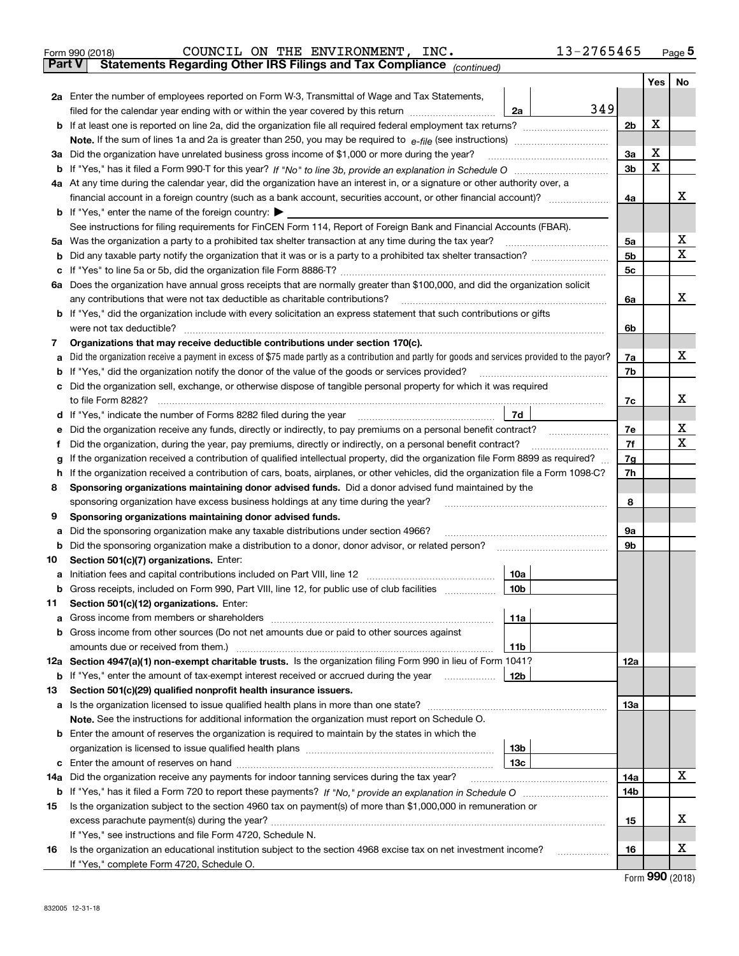| Form 990 (2018) |  |  | COUNCIL ON THE ENVIRONMENT, INC.                                                               |  | 13-2765465 | Page $5$ |
|-----------------|--|--|------------------------------------------------------------------------------------------------|--|------------|----------|
|                 |  |  | <b>Part V</b> Statements Regarding Other IRS Filings and Tax Compliance <sub>(continued)</sub> |  |            |          |

| rai l V | Statements Regarding Other IRS Fillings and Tax Compilance $_{(continued)}$                                                                                                                      |     |     |             |
|---------|--------------------------------------------------------------------------------------------------------------------------------------------------------------------------------------------------|-----|-----|-------------|
|         |                                                                                                                                                                                                  |     | Yes | No          |
|         | 2a Enter the number of employees reported on Form W-3, Transmittal of Wage and Tax Statements,<br>349                                                                                            |     |     |             |
|         | filed for the calendar year ending with or within the year covered by this return<br>2a                                                                                                          |     |     |             |
|         |                                                                                                                                                                                                  | 2b  | x   |             |
|         |                                                                                                                                                                                                  |     |     |             |
|         | 3a Did the organization have unrelated business gross income of \$1,000 or more during the year?                                                                                                 | За  | X   |             |
|         |                                                                                                                                                                                                  | 3b  | X   |             |
|         | 4a At any time during the calendar year, did the organization have an interest in, or a signature or other authority over, a                                                                     |     |     |             |
|         | financial account in a foreign country (such as a bank account, securities account, or other financial account)?                                                                                 | 4a  |     | x           |
|         | <b>b</b> If "Yes," enter the name of the foreign country: $\blacktriangleright$                                                                                                                  |     |     |             |
|         | See instructions for filing requirements for FinCEN Form 114, Report of Foreign Bank and Financial Accounts (FBAR).                                                                              |     |     |             |
|         | 5a Was the organization a party to a prohibited tax shelter transaction at any time during the tax year? <i>marrouummanner</i>                                                                   | 5а  |     | х           |
|         |                                                                                                                                                                                                  | 5b  |     | $\mathbf X$ |
|         |                                                                                                                                                                                                  | 5c  |     |             |
|         | 6a Does the organization have annual gross receipts that are normally greater than \$100,000, and did the organization solicit                                                                   |     |     |             |
|         | any contributions that were not tax deductible as charitable contributions?                                                                                                                      | 6a  |     | х           |
|         | <b>b</b> If "Yes," did the organization include with every solicitation an express statement that such contributions or gifts                                                                    |     |     |             |
|         | were not tax deductible?                                                                                                                                                                         | 6b  |     |             |
| 7       | Organizations that may receive deductible contributions under section 170(c).                                                                                                                    |     |     |             |
|         | a Did the organization receive a payment in excess of \$75 made partly as a contribution and partly for goods and services provided to the payor?                                                | 7a  |     | х           |
|         | <b>b</b> If "Yes," did the organization notify the donor of the value of the goods or services provided?                                                                                         | 7b  |     |             |
|         | c Did the organization sell, exchange, or otherwise dispose of tangible personal property for which it was required                                                                              |     |     |             |
|         | to file Form 8282?                                                                                                                                                                               | 7c  |     | х           |
|         | 7d<br><b>d</b> If "Yes," indicate the number of Forms 8282 filed during the year                                                                                                                 |     |     | х           |
|         | e Did the organization receive any funds, directly or indirectly, to pay premiums on a personal benefit contract?                                                                                | 7e  |     | Х           |
|         | Did the organization, during the year, pay premiums, directly or indirectly, on a personal benefit contract?                                                                                     | 7f  |     |             |
| g       | If the organization received a contribution of qualified intellectual property, did the organization file Form 8899 as required?                                                                 | 7g  |     |             |
|         | h If the organization received a contribution of cars, boats, airplanes, or other vehicles, did the organization file a Form 1098-C?                                                             | 7h  |     |             |
| 8       | Sponsoring organizations maintaining donor advised funds. Did a donor advised fund maintained by the                                                                                             |     |     |             |
|         | sponsoring organization have excess business holdings at any time during the year?                                                                                                               | 8   |     |             |
| 9       | Sponsoring organizations maintaining donor advised funds.                                                                                                                                        | 9а  |     |             |
| а       | Did the sponsoring organization make any taxable distributions under section 4966?<br><b>b</b> Did the sponsoring organization make a distribution to a donor, donor advisor, or related person? | 9b  |     |             |
| 10      | Section 501(c)(7) organizations. Enter:                                                                                                                                                          |     |     |             |
|         | 10a                                                                                                                                                                                              |     |     |             |
|         | b Gross receipts, included on Form 990, Part VIII, line 12, for public use of club facilities<br>10 <sub>b</sub>                                                                                 |     |     |             |
| 11.     | Section 501(c)(12) organizations. Enter:                                                                                                                                                         |     |     |             |
|         | 11a                                                                                                                                                                                              |     |     |             |
|         | <b>b</b> Gross income from other sources (Do not net amounts due or paid to other sources against                                                                                                |     |     |             |
|         | 11b                                                                                                                                                                                              |     |     |             |
|         | 12a Section 4947(a)(1) non-exempt charitable trusts. Is the organization filing Form 990 in lieu of Form 1041?                                                                                   | 12a |     |             |
|         | 12b<br><b>b</b> If "Yes," enter the amount of tax-exempt interest received or accrued during the year                                                                                            |     |     |             |
| 13      | Section 501(c)(29) qualified nonprofit health insurance issuers.                                                                                                                                 |     |     |             |
|         | a Is the organization licensed to issue qualified health plans in more than one state?                                                                                                           | 13а |     |             |
|         | Note. See the instructions for additional information the organization must report on Schedule O.                                                                                                |     |     |             |
|         | <b>b</b> Enter the amount of reserves the organization is required to maintain by the states in which the                                                                                        |     |     |             |
|         | 13 <sub>b</sub>                                                                                                                                                                                  |     |     |             |
|         | 13c                                                                                                                                                                                              |     |     |             |
| 14a     | Did the organization receive any payments for indoor tanning services during the tax year?                                                                                                       | 14a |     | х           |
|         |                                                                                                                                                                                                  | 14b |     |             |
| 15      | Is the organization subject to the section 4960 tax on payment(s) of more than \$1,000,000 in remuneration or                                                                                    |     |     |             |
|         |                                                                                                                                                                                                  | 15  |     | x           |
|         | If "Yes," see instructions and file Form 4720, Schedule N.                                                                                                                                       |     |     |             |
| 16      | Is the organization an educational institution subject to the section 4968 excise tax on net investment income?                                                                                  | 16  |     | х           |
|         | If "Yes," complete Form 4720, Schedule O.                                                                                                                                                        |     |     |             |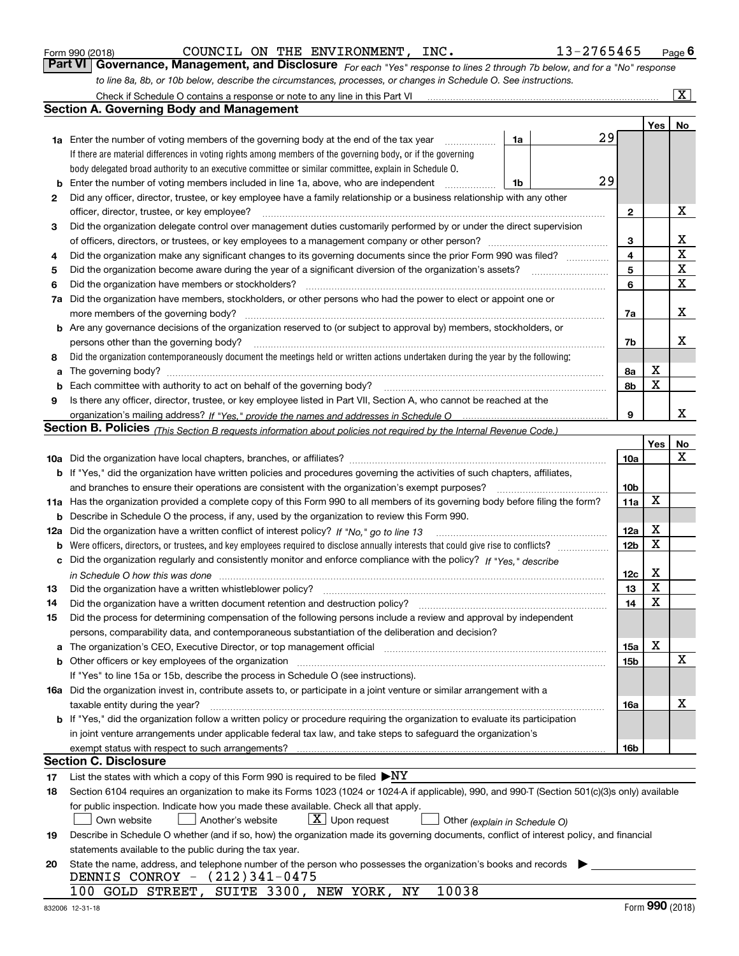| Form 990 (2018 |  |  |
|----------------|--|--|

COUNCIL ON THE ENVIRONMENT, INC. 13-2765465

*For each "Yes" response to lines 2 through 7b below, and for a "No" response to line 8a, 8b, or 10b below, describe the circumstances, processes, or changes in Schedule O. See instructions.* Form 990 (2018) **COUNCIL ON THE ENVIRONMENT, INC.** 13-2765465 Page 6<br>**Part VI Governance, Management, and Disclosure** For each "Yes" response to lines 2 through 7b below, and for a "No" response

|    | Check if Schedule O contains a response or note to any line in this Part VI                                                                                                                                                    |                 |             | $\overline{\text{X}}$   |
|----|--------------------------------------------------------------------------------------------------------------------------------------------------------------------------------------------------------------------------------|-----------------|-------------|-------------------------|
|    | Section A. Governing Body and Management                                                                                                                                                                                       |                 |             |                         |
|    |                                                                                                                                                                                                                                |                 | Yes         | No                      |
|    | 29<br>1a<br><b>1a</b> Enter the number of voting members of the governing body at the end of the tax year <i>manumum</i>                                                                                                       |                 |             |                         |
|    | If there are material differences in voting rights among members of the governing body, or if the governing                                                                                                                    |                 |             |                         |
|    | body delegated broad authority to an executive committee or similar committee, explain in Schedule O.                                                                                                                          |                 |             |                         |
| b  | 29<br>Enter the number of voting members included in line 1a, above, who are independent<br>1b                                                                                                                                 |                 |             |                         |
| 2  | Did any officer, director, trustee, or key employee have a family relationship or a business relationship with any other                                                                                                       |                 |             |                         |
|    | officer, director, trustee, or key employee?                                                                                                                                                                                   | $\mathbf{2}$    |             | Х                       |
| 3  | Did the organization delegate control over management duties customarily performed by or under the direct supervision                                                                                                          |                 |             |                         |
|    |                                                                                                                                                                                                                                | 3               |             | х                       |
| 4  | Did the organization make any significant changes to its governing documents since the prior Form 990 was filed?                                                                                                               | 4               |             | $\overline{\mathbf{x}}$ |
| 5  |                                                                                                                                                                                                                                | 5               |             | $\mathbf X$             |
| 6  | Did the organization have members or stockholders?                                                                                                                                                                             | 6               |             | $\mathbf X$             |
| 7a | Did the organization have members, stockholders, or other persons who had the power to elect or appoint one or                                                                                                                 |                 |             |                         |
|    | more members of the governing body?                                                                                                                                                                                            | 7a              |             | х                       |
|    | <b>b</b> Are any governance decisions of the organization reserved to (or subject to approval by) members, stockholders, or                                                                                                    |                 |             |                         |
|    | persons other than the governing body?                                                                                                                                                                                         | 7b              |             | х                       |
| 8  | Did the organization contemporaneously document the meetings held or written actions undertaken during the year by the following:                                                                                              |                 |             |                         |
| a  | The governing body?                                                                                                                                                                                                            | 8a              | х           |                         |
| b  | Each committee with authority to act on behalf of the governing body?                                                                                                                                                          | 8b              | $\mathbf X$ |                         |
| 9  | Is there any officer, director, trustee, or key employee listed in Part VII, Section A, who cannot be reached at the                                                                                                           |                 |             |                         |
|    |                                                                                                                                                                                                                                | 9               |             | x                       |
|    | Section B. Policies <sub>(This Section B requests information about policies not required by the Internal Revenue Code.)</sub>                                                                                                 |                 |             |                         |
|    |                                                                                                                                                                                                                                |                 | Yes         | No                      |
|    |                                                                                                                                                                                                                                | 10a             |             | х                       |
|    | <b>b</b> If "Yes," did the organization have written policies and procedures governing the activities of such chapters, affiliates,                                                                                            |                 |             |                         |
|    | and branches to ensure their operations are consistent with the organization's exempt purposes?                                                                                                                                | 10b             |             |                         |
|    | 11a Has the organization provided a complete copy of this Form 990 to all members of its governing body before filing the form?                                                                                                | 11a             | X           |                         |
|    | <b>b</b> Describe in Schedule O the process, if any, used by the organization to review this Form 990.                                                                                                                         |                 |             |                         |
|    | 12a Did the organization have a written conflict of interest policy? If "No," go to line 13                                                                                                                                    | 12a             | х           |                         |
|    |                                                                                                                                                                                                                                | 12 <sub>b</sub> | X           |                         |
|    | c Did the organization regularly and consistently monitor and enforce compliance with the policy? If "Yes," describe                                                                                                           |                 |             |                         |
|    | in Schedule O how this was done with the continuum continuum continuum control of the control of the control o                                                                                                                 | 12c             | х           |                         |
| 13 | Did the organization have a written whistleblower policy?                                                                                                                                                                      | 13              | X           |                         |
| 14 | Did the organization have a written document retention and destruction policy?                                                                                                                                                 | 14              | X           |                         |
| 15 | Did the process for determining compensation of the following persons include a review and approval by independent                                                                                                             |                 |             |                         |
|    | persons, comparability data, and contemporaneous substantiation of the deliberation and decision?                                                                                                                              |                 |             |                         |
|    | a The organization's CEO, Executive Director, or top management official manufactured content content of the organization's CEO, Executive Director, or top management official manufactured content of the state of the state | 15a             | x           |                         |
|    | b Other officers or key employees of the organization measurements are constructed by Other officers or key employees of the organization                                                                                      | 15b             |             | х                       |
|    | If "Yes" to line 15a or 15b, describe the process in Schedule O (see instructions).                                                                                                                                            |                 |             |                         |
|    | 16a Did the organization invest in, contribute assets to, or participate in a joint venture or similar arrangement with a                                                                                                      |                 |             |                         |
|    | taxable entity during the year?                                                                                                                                                                                                | 16a             |             | х                       |
|    | b If "Yes," did the organization follow a written policy or procedure requiring the organization to evaluate its participation                                                                                                 |                 |             |                         |
|    | in joint venture arrangements under applicable federal tax law, and take steps to safeguard the organization's                                                                                                                 |                 |             |                         |
|    |                                                                                                                                                                                                                                | 16b             |             |                         |
|    | <b>Section C. Disclosure</b>                                                                                                                                                                                                   |                 |             |                         |
| 17 | List the states with which a copy of this Form 990 is required to be filed $\blacktriangleright$ NY                                                                                                                            |                 |             |                         |
| 18 | Section 6104 requires an organization to make its Forms 1023 (1024 or 1024-A if applicable), 990, and 990-T (Section 501(c)(3)s only) available                                                                                |                 |             |                         |
|    | for public inspection. Indicate how you made these available. Check all that apply.                                                                                                                                            |                 |             |                         |
|    | $\boxed{\textbf{X}}$ Upon request<br>Another's website<br>Own website<br>Other (explain in Schedule O)                                                                                                                         |                 |             |                         |
| 19 | Describe in Schedule O whether (and if so, how) the organization made its governing documents, conflict of interest policy, and financial                                                                                      |                 |             |                         |
|    | statements available to the public during the tax year.                                                                                                                                                                        |                 |             |                         |
| 20 | State the name, address, and telephone number of the person who possesses the organization's books and records                                                                                                                 |                 |             |                         |
|    | DENNIS CONROY - (212)341-0475                                                                                                                                                                                                  |                 |             |                         |
|    | 100 GOLD STREET, SUITE 3300, NEW YORK,<br>10038<br>ΝY                                                                                                                                                                          |                 |             |                         |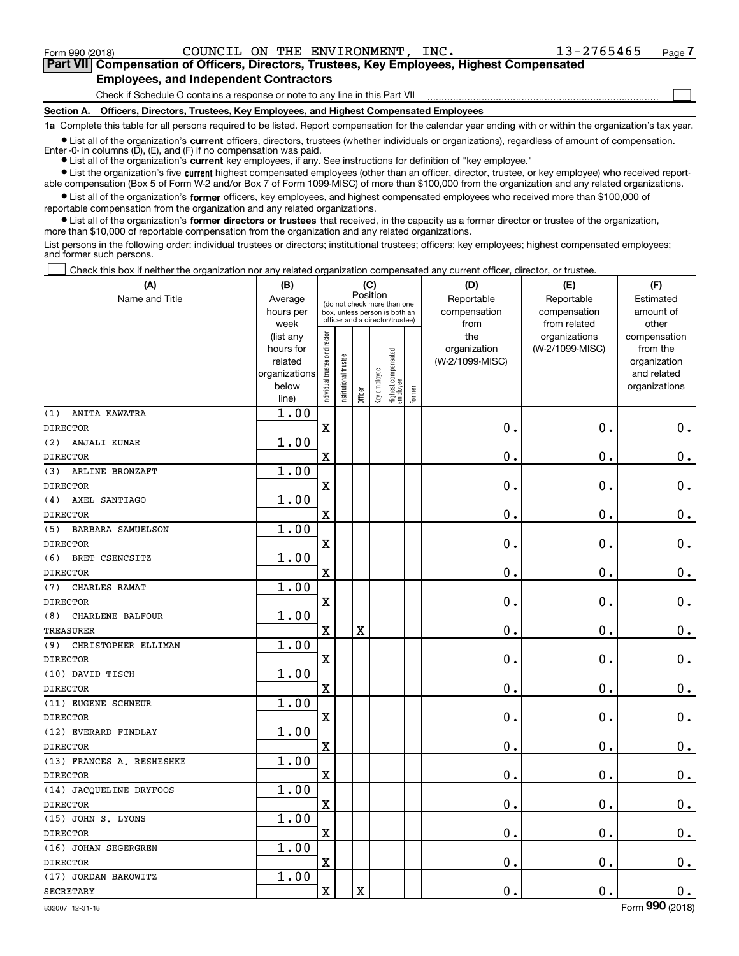$\mathcal{L}^{\text{max}}$ 

| Form 990 (2018) |                                               |  | COUNCIL ON THE ENVIRONMENT, INC. | 13-2765465                                                                                 | Page 7 |
|-----------------|-----------------------------------------------|--|----------------------------------|--------------------------------------------------------------------------------------------|--------|
|                 |                                               |  |                                  | Part VII Compensation of Officers, Directors, Trustees, Key Employees, Highest Compensated |        |
|                 | <b>Employees, and Independent Contractors</b> |  |                                  |                                                                                            |        |

Check if Schedule O contains a response or note to any line in this Part VII

**Section A. Officers, Directors, Trustees, Key Employees, and Highest Compensated Employees**

**1a**  Complete this table for all persons required to be listed. Report compensation for the calendar year ending with or within the organization's tax year.

**•** List all of the organization's current officers, directors, trustees (whether individuals or organizations), regardless of amount of compensation. Enter -0- in columns  $(D)$ ,  $(E)$ , and  $(F)$  if no compensation was paid.

● List all of the organization's **current** key employees, if any. See instructions for definition of "key employee."

**•** List the organization's five current highest compensated employees (other than an officer, director, trustee, or key employee) who received reportable compensation (Box 5 of Form W-2 and/or Box 7 of Form 1099-MISC) of more than \$100,000 from the organization and any related organizations.

 $\bullet$  List all of the organization's **former** officers, key employees, and highest compensated employees who received more than \$100,000 of reportable compensation from the organization and any related organizations.

**•** List all of the organization's former directors or trustees that received, in the capacity as a former director or trustee of the organization, more than \$10,000 of reportable compensation from the organization and any related organizations.

List persons in the following order: individual trustees or directors; institutional trustees; officers; key employees; highest compensated employees; and former such persons.

Check this box if neither the organization nor any related organization compensated any current officer, director, or trustee.  $\mathcal{L}^{\text{max}}$ 

| (A)                             | (B)                                                                          |                               |                                                                                                 | (C)                     |              |                                  |        | (D)                                            | (E)                                              | (F)                                                                               |
|---------------------------------|------------------------------------------------------------------------------|-------------------------------|-------------------------------------------------------------------------------------------------|-------------------------|--------------|----------------------------------|--------|------------------------------------------------|--------------------------------------------------|-----------------------------------------------------------------------------------|
| Name and Title                  | Average<br>hours per                                                         |                               | (do not check more than one<br>box, unless person is both an<br>officer and a director/trustee) | Position                |              |                                  |        | Reportable<br>compensation                     | Reportable<br>compensation                       | Estimated<br>amount of                                                            |
|                                 | week<br>(list any<br>hours for<br>related<br>organizations<br>below<br>line) | ndividual trustee or director | nstitutional trustee                                                                            | Officer                 | Key employee | Highest compensated<br> employee | Former | from<br>the<br>organization<br>(W-2/1099-MISC) | from related<br>organizations<br>(W-2/1099-MISC) | other<br>compensation<br>from the<br>organization<br>and related<br>organizations |
| (1)<br>ANITA KAWATRA            | 1.00                                                                         |                               |                                                                                                 |                         |              |                                  |        |                                                |                                                  |                                                                                   |
| <b>DIRECTOR</b>                 |                                                                              | $\overline{\textbf{X}}$       |                                                                                                 |                         |              |                                  |        | $\mathbf 0$ .                                  | $\mathbf 0$ .                                    | $0_{.}$                                                                           |
| (2)<br>ANJALI KUMAR             | 1.00                                                                         |                               |                                                                                                 |                         |              |                                  |        |                                                |                                                  |                                                                                   |
| <b>DIRECTOR</b>                 |                                                                              | $\overline{\textbf{X}}$       |                                                                                                 |                         |              |                                  |        | $\mathbf 0$ .                                  | $\mathbf 0$ .                                    | $\mathbf 0$ .                                                                     |
| (3)<br>ARLINE BRONZAFT          | 1.00                                                                         |                               |                                                                                                 |                         |              |                                  |        |                                                |                                                  |                                                                                   |
| <b>DIRECTOR</b>                 |                                                                              | $\overline{\textbf{X}}$       |                                                                                                 |                         |              |                                  |        | $\mathbf 0$ .                                  | $\mathbf 0$ .                                    | $0_{.}$                                                                           |
| AXEL SANTIAGO<br>(4)            | 1.00                                                                         |                               |                                                                                                 |                         |              |                                  |        |                                                |                                                  |                                                                                   |
| <b>DIRECTOR</b>                 |                                                                              | $\overline{\textbf{X}}$       |                                                                                                 |                         |              |                                  |        | $\mathbf 0$ .                                  | $\mathbf 0$ .                                    | $\mathbf 0$ .                                                                     |
| (5)<br><b>BARBARA SAMUELSON</b> | 1.00                                                                         |                               |                                                                                                 |                         |              |                                  |        |                                                |                                                  |                                                                                   |
| <b>DIRECTOR</b>                 |                                                                              | $\overline{\textbf{X}}$       |                                                                                                 |                         |              |                                  |        | $\mathbf 0$ .                                  | $\mathbf 0$ .                                    | $\mathbf 0$ .                                                                     |
| (6)<br>BRET CSENCSITZ           | 1.00                                                                         |                               |                                                                                                 |                         |              |                                  |        |                                                |                                                  |                                                                                   |
| <b>DIRECTOR</b>                 |                                                                              | $\mathbf X$                   |                                                                                                 |                         |              |                                  |        | $\mathbf 0$ .                                  | $\mathbf 0$ .                                    | $0$ .                                                                             |
| CHARLES RAMAT<br>(7)            | 1.00                                                                         |                               |                                                                                                 |                         |              |                                  |        |                                                |                                                  |                                                                                   |
| <b>DIRECTOR</b>                 |                                                                              | $\mathbf X$                   |                                                                                                 |                         |              |                                  |        | $\mathbf 0$ .                                  | $\mathbf 0$ .                                    | $\mathbf 0$ .                                                                     |
| CHARLENE BALFOUR<br>(8)         | 1.00                                                                         |                               |                                                                                                 |                         |              |                                  |        |                                                |                                                  |                                                                                   |
| <b>TREASURER</b>                |                                                                              | $\overline{\textbf{X}}$       |                                                                                                 | $\overline{\textbf{X}}$ |              |                                  |        | $\mathbf 0$ .                                  | $\mathbf 0$ .                                    | $\mathbf 0$ .                                                                     |
| (9)<br>CHRISTOPHER ELLIMAN      | 1.00                                                                         |                               |                                                                                                 |                         |              |                                  |        |                                                |                                                  |                                                                                   |
| <b>DIRECTOR</b>                 |                                                                              | $\mathbf X$                   |                                                                                                 |                         |              |                                  |        | $\mathbf 0$ .                                  | $\mathbf 0$ .                                    | $\mathbf 0$ .                                                                     |
| (10) DAVID TISCH                | 1.00                                                                         |                               |                                                                                                 |                         |              |                                  |        |                                                |                                                  |                                                                                   |
| <b>DIRECTOR</b>                 |                                                                              | $\mathbf X$                   |                                                                                                 |                         |              |                                  |        | $\mathbf 0$ .                                  | $\mathbf 0$ .                                    | $\mathbf 0$ .                                                                     |
| (11) EUGENE SCHNEUR             | 1.00                                                                         |                               |                                                                                                 |                         |              |                                  |        |                                                |                                                  |                                                                                   |
| <b>DIRECTOR</b>                 |                                                                              | $\mathbf X$                   |                                                                                                 |                         |              |                                  |        | $\mathbf 0$ .                                  | $\mathbf 0$ .                                    | $0_{.}$                                                                           |
| (12) EVERARD FINDLAY            | 1.00                                                                         |                               |                                                                                                 |                         |              |                                  |        |                                                |                                                  |                                                                                   |
| <b>DIRECTOR</b>                 |                                                                              | $\overline{\textbf{X}}$       |                                                                                                 |                         |              |                                  |        | $\mathbf 0$ .                                  | $\mathbf 0$ .                                    | $\mathbf 0$ .                                                                     |
| (13) FRANCES A. RESHESHKE       | 1.00                                                                         |                               |                                                                                                 |                         |              |                                  |        |                                                |                                                  |                                                                                   |
| <b>DIRECTOR</b>                 |                                                                              | $\mathbf X$                   |                                                                                                 |                         |              |                                  |        | $\mathbf 0$ .                                  | $\mathbf 0$ .                                    | $\mathbf 0$ .                                                                     |
| (14) JACQUELINE DRYFOOS         | 1.00                                                                         |                               |                                                                                                 |                         |              |                                  |        |                                                |                                                  |                                                                                   |
| <b>DIRECTOR</b>                 |                                                                              | $\mathbf X$                   |                                                                                                 |                         |              |                                  |        | $\mathbf 0$ .                                  | $\mathbf 0$ .                                    | $\mathbf 0$ .                                                                     |
| (15) JOHN S. LYONS              | 1.00                                                                         |                               |                                                                                                 |                         |              |                                  |        |                                                |                                                  |                                                                                   |
| <b>DIRECTOR</b>                 |                                                                              | $\mathbf X$                   |                                                                                                 |                         |              |                                  |        | $\mathbf 0$ .                                  | $\mathbf 0$ .                                    | $0_{.}$                                                                           |
| (16) JOHAN SEGERGREN            | 1.00                                                                         |                               |                                                                                                 |                         |              |                                  |        |                                                |                                                  |                                                                                   |
| <b>DIRECTOR</b>                 |                                                                              | $\overline{\textbf{X}}$       |                                                                                                 |                         |              |                                  |        | $\mathbf 0$ .                                  | $\mathbf 0$ .                                    | $\mathbf 0$ .                                                                     |
| (17) JORDAN BAROWITZ            | 1.00                                                                         |                               |                                                                                                 |                         |              |                                  |        |                                                |                                                  |                                                                                   |
| <b>SECRETARY</b>                |                                                                              | $\mathbf x$                   |                                                                                                 | X                       |              |                                  |        | $\mathbf 0$ .                                  | $\mathbf 0$ .                                    | $\mathbf 0$ .                                                                     |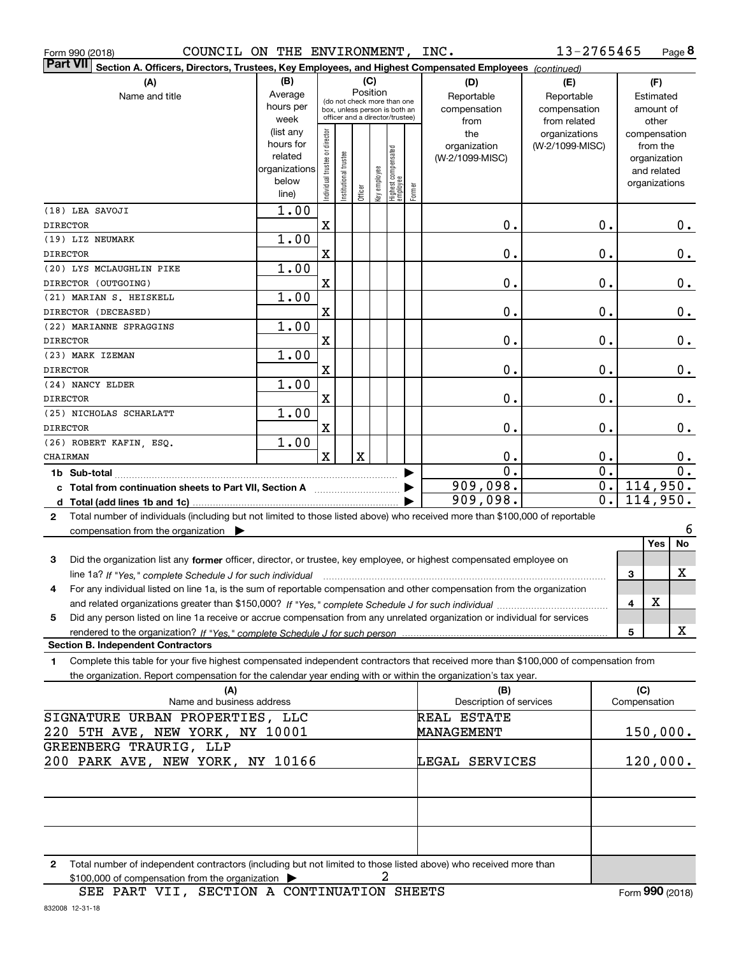| Form 990 (2018) |  |
|-----------------|--|
| - - - - -       |  |

Form 990 (2018) Page COUNCIL ON THE ENVIRONMENT, INC.

**8** 13-2765465

| ∣ Part VII<br>Section A. Officers, Directors, Trustees, Key Employees, and Highest Compensated Employees (continued)                                 |                      |                                |                        |             |              |                                   |        |                         |                 |    |               |                             |               |
|------------------------------------------------------------------------------------------------------------------------------------------------------|----------------------|--------------------------------|------------------------|-------------|--------------|-----------------------------------|--------|-------------------------|-----------------|----|---------------|-----------------------------|---------------|
| (A)                                                                                                                                                  | (B)                  |                                |                        |             | (C)          |                                   |        | (D)                     | (E)             |    |               | (F)                         |               |
| Name and title                                                                                                                                       | Average              |                                |                        |             | Position     | (do not check more than one       |        | Reportable              | Reportable      |    |               | Estimated                   |               |
|                                                                                                                                                      | hours per            |                                |                        |             |              | box, unless person is both an     |        | compensation            | compensation    |    |               | amount of                   |               |
|                                                                                                                                                      | week                 |                                |                        |             |              | officer and a director/trustee)   |        | from                    | from related    |    |               | other                       |               |
|                                                                                                                                                      | (list any            |                                |                        |             |              |                                   |        | the                     | organizations   |    | compensation  |                             |               |
|                                                                                                                                                      | hours for<br>related |                                |                        |             |              |                                   |        | organization            | (W-2/1099-MISC) |    |               | from the                    |               |
|                                                                                                                                                      | organizations        |                                |                        |             |              |                                   |        | (W-2/1099-MISC)         |                 |    |               | organization<br>and related |               |
|                                                                                                                                                      | below                |                                |                        |             |              |                                   |        |                         |                 |    | organizations |                             |               |
|                                                                                                                                                      | line)                | Individual trustee or director | In stitutional trustee | Officer     | Key employee | Highest compensated<br>  employee | Former |                         |                 |    |               |                             |               |
| (18) LEA SAVOJI                                                                                                                                      | 1.00                 |                                |                        |             |              |                                   |        |                         |                 |    |               |                             |               |
| <b>DIRECTOR</b>                                                                                                                                      |                      | Χ                              |                        |             |              |                                   |        | 0.                      |                 | 0. |               |                             | $0$ .         |
| (19) LIZ NEUMARK                                                                                                                                     | 1.00                 |                                |                        |             |              |                                   |        |                         |                 |    |               |                             |               |
| <b>DIRECTOR</b>                                                                                                                                      |                      | X                              |                        |             |              |                                   |        | $\mathbf 0$ .           |                 | 0. |               |                             | $0_{.}$       |
| (20) LYS MCLAUGHLIN PIKE                                                                                                                             | 1.00                 |                                |                        |             |              |                                   |        |                         |                 |    |               |                             |               |
| DIRECTOR (OUTGOING)                                                                                                                                  |                      | X                              |                        |             |              |                                   |        | $\mathbf 0$ .           |                 | 0. |               |                             | $\mathbf 0$ . |
| (21) MARIAN S. HEISKELL                                                                                                                              | 1.00                 |                                |                        |             |              |                                   |        |                         |                 |    |               |                             |               |
| DIRECTOR (DECEASED)                                                                                                                                  |                      | X                              |                        |             |              |                                   |        | $\mathbf 0$ .           |                 | 0. |               |                             | $\mathbf 0$ . |
| (22) MARIANNE SPRAGGINS                                                                                                                              | 1.00                 |                                |                        |             |              |                                   |        |                         |                 |    |               |                             |               |
| <b>DIRECTOR</b>                                                                                                                                      |                      | X                              |                        |             |              |                                   |        | $\mathbf 0$ .           |                 | 0. |               |                             | 0.            |
| (23) MARK IZEMAN                                                                                                                                     | 1.00                 |                                |                        |             |              |                                   |        |                         |                 |    |               |                             |               |
| <b>DIRECTOR</b>                                                                                                                                      |                      | X                              |                        |             |              |                                   |        | $\mathbf 0$ .           |                 | 0. |               |                             | 0.            |
| (24) NANCY ELDER                                                                                                                                     | 1.00                 |                                |                        |             |              |                                   |        |                         |                 |    |               |                             |               |
| <b>DIRECTOR</b>                                                                                                                                      |                      | X                              |                        |             |              |                                   |        | $\mathbf 0$ .           |                 | 0. |               |                             | 0.            |
| (25) NICHOLAS SCHARLATT                                                                                                                              | 1.00                 |                                |                        |             |              |                                   |        |                         |                 |    |               |                             |               |
| <b>DIRECTOR</b>                                                                                                                                      |                      | X                              |                        |             |              |                                   |        | $\mathbf 0$ .           |                 | 0. |               |                             | 0.            |
| (26) ROBERT KAFIN, ESQ.                                                                                                                              | 1.00                 |                                |                        |             |              |                                   |        |                         |                 |    |               |                             |               |
| CHAIRMAN                                                                                                                                             |                      | $\mathbf X$                    |                        | $\mathbf X$ |              |                                   |        | $\mathbf 0$ .           |                 | 0. |               |                             | 0.            |
|                                                                                                                                                      |                      |                                |                        |             |              |                                   |        | 0.                      |                 | 0. |               |                             | 0.            |
| c Total from continuation sheets to Part VII, Section A manufactured by                                                                              |                      |                                |                        |             |              |                                   |        | 909,098.                |                 | 0. | 114,950.      |                             |               |
|                                                                                                                                                      |                      |                                |                        |             |              |                                   |        | 909,098.                |                 | 0. | 114,950.      |                             |               |
| Total number of individuals (including but not limited to those listed above) who received more than \$100,000 of reportable<br>$\mathbf{2}$         |                      |                                |                        |             |              |                                   |        |                         |                 |    |               |                             |               |
| compensation from the organization $\blacktriangleright$                                                                                             |                      |                                |                        |             |              |                                   |        |                         |                 |    |               |                             | 6             |
|                                                                                                                                                      |                      |                                |                        |             |              |                                   |        |                         |                 |    |               | Yes                         | No            |
| 3<br>Did the organization list any former officer, director, or trustee, key employee, or highest compensated employee on                            |                      |                                |                        |             |              |                                   |        |                         |                 |    |               |                             |               |
| line 1a? If "Yes," complete Schedule J for such individual manufactured contained and the line 1a? If "Yes," complete Schedule J for such individual |                      |                                |                        |             |              |                                   |        |                         |                 |    | 3             |                             | X             |
| For any individual listed on line 1a, is the sum of reportable compensation and other compensation from the organization<br>4                        |                      |                                |                        |             |              |                                   |        |                         |                 |    |               |                             |               |
|                                                                                                                                                      |                      |                                |                        |             |              |                                   |        |                         |                 |    | 4             | X                           |               |
| Did any person listed on line 1a receive or accrue compensation from any unrelated organization or individual for services<br>5                      |                      |                                |                        |             |              |                                   |        |                         |                 |    |               |                             |               |
| rendered to the organization? If "Yes." complete Schedule J for such person                                                                          |                      |                                |                        |             |              |                                   |        |                         |                 |    | 5             |                             | x             |
| Section B. Independent Contractors                                                                                                                   |                      |                                |                        |             |              |                                   |        |                         |                 |    |               |                             |               |
| Complete this table for your five highest compensated independent contractors that received more than \$100,000 of compensation from<br>1.           |                      |                                |                        |             |              |                                   |        |                         |                 |    |               |                             |               |
| the organization. Report compensation for the calendar year ending with or within the organization's tax year.                                       |                      |                                |                        |             |              |                                   |        |                         |                 |    |               |                             |               |
| (A)                                                                                                                                                  |                      |                                |                        |             |              |                                   |        | (B)                     |                 |    | (C)           |                             |               |
| Name and business address                                                                                                                            |                      |                                |                        |             |              |                                   |        | Description of services |                 |    | Compensation  |                             |               |
| SIGNATURE URBAN PROPERTIES, LLC                                                                                                                      |                      |                                |                        |             |              |                                   |        | REAL ESTATE             |                 |    |               |                             |               |
| 220 5TH AVE, NEW YORK, NY 10001                                                                                                                      |                      |                                |                        |             |              |                                   |        | <b>MANAGEMENT</b>       |                 |    | 150,000.      |                             |               |
| GREENBERG TRAURIG, LLP                                                                                                                               |                      |                                |                        |             |              |                                   |        |                         |                 |    |               |                             |               |
| 200 PARK AVE, NEW YORK, NY 10166                                                                                                                     |                      |                                |                        |             |              |                                   |        | LEGAL SERVICES          |                 |    | 120,000.      |                             |               |
|                                                                                                                                                      |                      |                                |                        |             |              |                                   |        |                         |                 |    |               |                             |               |
|                                                                                                                                                      |                      |                                |                        |             |              |                                   |        |                         |                 |    |               |                             |               |
|                                                                                                                                                      |                      |                                |                        |             |              |                                   |        |                         |                 |    |               |                             |               |
|                                                                                                                                                      |                      |                                |                        |             |              |                                   |        |                         |                 |    |               |                             |               |
|                                                                                                                                                      |                      |                                |                        |             |              |                                   |        |                         |                 |    |               |                             |               |
| Total number of independent contractors (including but not limited to those listed above) who received more than<br>2                                |                      |                                |                        |             |              |                                   |        |                         |                 |    |               |                             |               |

2

\$100,000 of compensation from the organization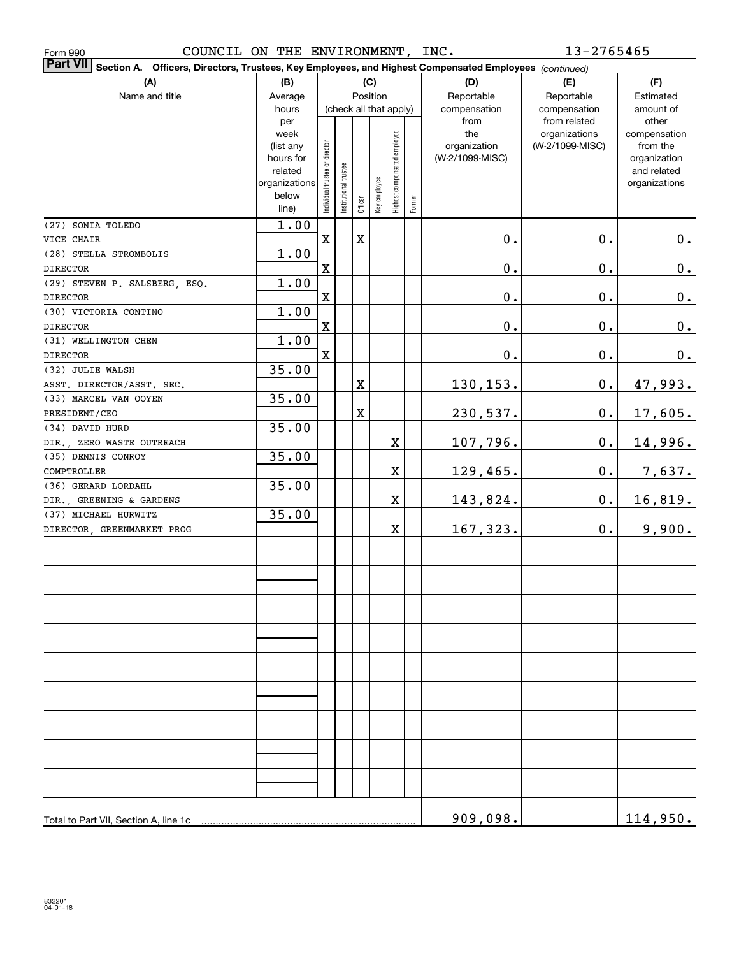| COUNCIL ON THE ENVIRONMENT, INC.<br>Form 990                                                                              |                                                                                     |                                |                       |             |              |                              |        |                                                | 13-2765465                                       |                                                                                   |
|---------------------------------------------------------------------------------------------------------------------------|-------------------------------------------------------------------------------------|--------------------------------|-----------------------|-------------|--------------|------------------------------|--------|------------------------------------------------|--------------------------------------------------|-----------------------------------------------------------------------------------|
| <b>Part VII</b><br>Section A. Officers, Directors, Trustees, Key Employees, and Highest Compensated Employees (continued) |                                                                                     |                                |                       |             |              |                              |        |                                                |                                                  |                                                                                   |
| (A)<br>Name and title                                                                                                     | (B)<br>Average                                                                      |                                |                       | Position    | (C)          |                              |        | (D)<br>Reportable                              | (E)<br>Reportable                                | (F)<br>Estimated                                                                  |
|                                                                                                                           | hours                                                                               |                                |                       |             |              | (check all that apply)       |        | compensation                                   | compensation                                     | amount of                                                                         |
|                                                                                                                           | per<br>week<br>(list any<br>hours for<br>related<br>organizations<br>below<br>line) | Individual trustee or director | Institutional trustee | Officer     | Key employee | Highest compensated employee | Former | from<br>the<br>organization<br>(W-2/1099-MISC) | from related<br>organizations<br>(W-2/1099-MISC) | other<br>compensation<br>from the<br>organization<br>and related<br>organizations |
| (27) SONIA TOLEDO                                                                                                         | 1.00                                                                                |                                |                       |             |              |                              |        |                                                |                                                  |                                                                                   |
| VICE CHAIR                                                                                                                |                                                                                     | X                              |                       | $\mathbf X$ |              |                              |        | $0$ .                                          | $\mathbf 0$ .                                    | $0_{\cdot}$                                                                       |
| (28) STELLA STROMBOLIS                                                                                                    | 1.00                                                                                |                                |                       |             |              |                              |        |                                                |                                                  |                                                                                   |
| <b>DIRECTOR</b>                                                                                                           |                                                                                     | X                              |                       |             |              |                              |        | $\mathbf 0$ .                                  | 0.                                               | $0_{.}$                                                                           |
| (29) STEVEN P. SALSBERG, ESQ.                                                                                             | 1.00                                                                                |                                |                       |             |              |                              |        |                                                |                                                  |                                                                                   |
| <b>DIRECTOR</b>                                                                                                           |                                                                                     | $\mathbf X$                    |                       |             |              |                              |        | $\mathbf 0$ .                                  | 0.                                               | 0.                                                                                |
| (30) VICTORIA CONTINO                                                                                                     | 1.00                                                                                |                                |                       |             |              |                              |        |                                                |                                                  |                                                                                   |
| <b>DIRECTOR</b>                                                                                                           |                                                                                     | X                              |                       |             |              |                              |        | $0$ .                                          | 0.                                               | $0_{.}$                                                                           |
| (31) WELLINGTON CHEN                                                                                                      | 1.00                                                                                |                                |                       |             |              |                              |        |                                                |                                                  |                                                                                   |
| <b>DIRECTOR</b>                                                                                                           |                                                                                     | $\mathbf X$                    |                       |             |              |                              |        | $0$ .                                          | $\mathbf 0$ .                                    | 0.                                                                                |
| (32) JULIE WALSH                                                                                                          | 35.00                                                                               |                                |                       |             |              |                              |        |                                                |                                                  |                                                                                   |
| ASST. DIRECTOR/ASST. SEC.                                                                                                 |                                                                                     |                                |                       | $\mathbf X$ |              |                              |        | 130,153.                                       | $\mathbf 0$ .                                    | <u>47,993.</u>                                                                    |
| (33) MARCEL VAN OOYEN                                                                                                     | 35.00                                                                               |                                |                       |             |              |                              |        |                                                |                                                  |                                                                                   |
| PRESIDENT/CEO                                                                                                             |                                                                                     |                                |                       | $\mathbf X$ |              |                              |        | 230,537.                                       | $\mathbf 0$ .                                    | 17,605.                                                                           |
| (34) DAVID HURD                                                                                                           | 35.00                                                                               |                                |                       |             |              |                              |        |                                                |                                                  |                                                                                   |
| DIR., ZERO WASTE OUTREACH                                                                                                 |                                                                                     |                                |                       |             |              | $\mathbf X$                  |        | 107,796.                                       | $\mathbf 0$ .                                    | 14,996.                                                                           |
| (35) DENNIS CONROY                                                                                                        | 35.00                                                                               |                                |                       |             |              |                              |        |                                                |                                                  |                                                                                   |
| COMPTROLLER                                                                                                               |                                                                                     |                                |                       |             |              | $\mathbf X$                  |        | <u>129,465.</u>                                | $\mathbf 0$ .                                    | 7,637.                                                                            |
| (36) GERARD LORDAHL                                                                                                       | 35.00                                                                               |                                |                       |             |              | $\mathbf X$                  |        |                                                | $\mathbf 0$ .                                    |                                                                                   |
| DIR., GREENING & GARDENS<br>(37) MICHAEL HURWITZ                                                                          | 35.00                                                                               |                                |                       |             |              |                              |        | 143,824.                                       |                                                  | <u>16,819.</u>                                                                    |
| DIRECTOR, GREENMARKET PROG                                                                                                |                                                                                     |                                |                       |             |              | $\mathbf X$                  |        | 167,323.                                       | 0.                                               | 9,900.                                                                            |
|                                                                                                                           |                                                                                     |                                |                       |             |              |                              |        |                                                |                                                  |                                                                                   |
|                                                                                                                           |                                                                                     |                                |                       |             |              |                              |        |                                                |                                                  |                                                                                   |
|                                                                                                                           |                                                                                     |                                |                       |             |              |                              |        |                                                |                                                  |                                                                                   |
|                                                                                                                           |                                                                                     |                                |                       |             |              |                              |        |                                                |                                                  |                                                                                   |
|                                                                                                                           |                                                                                     |                                |                       |             |              |                              |        |                                                |                                                  |                                                                                   |
|                                                                                                                           |                                                                                     |                                |                       |             |              |                              |        |                                                |                                                  |                                                                                   |
|                                                                                                                           |                                                                                     |                                |                       |             |              |                              |        |                                                |                                                  |                                                                                   |
|                                                                                                                           |                                                                                     |                                |                       |             |              |                              |        |                                                |                                                  |                                                                                   |
|                                                                                                                           |                                                                                     |                                |                       |             |              |                              |        |                                                |                                                  |                                                                                   |
| Total to Part VII, Section A, line 1c                                                                                     |                                                                                     |                                |                       |             |              |                              |        | 909,098.                                       |                                                  | 114,950.                                                                          |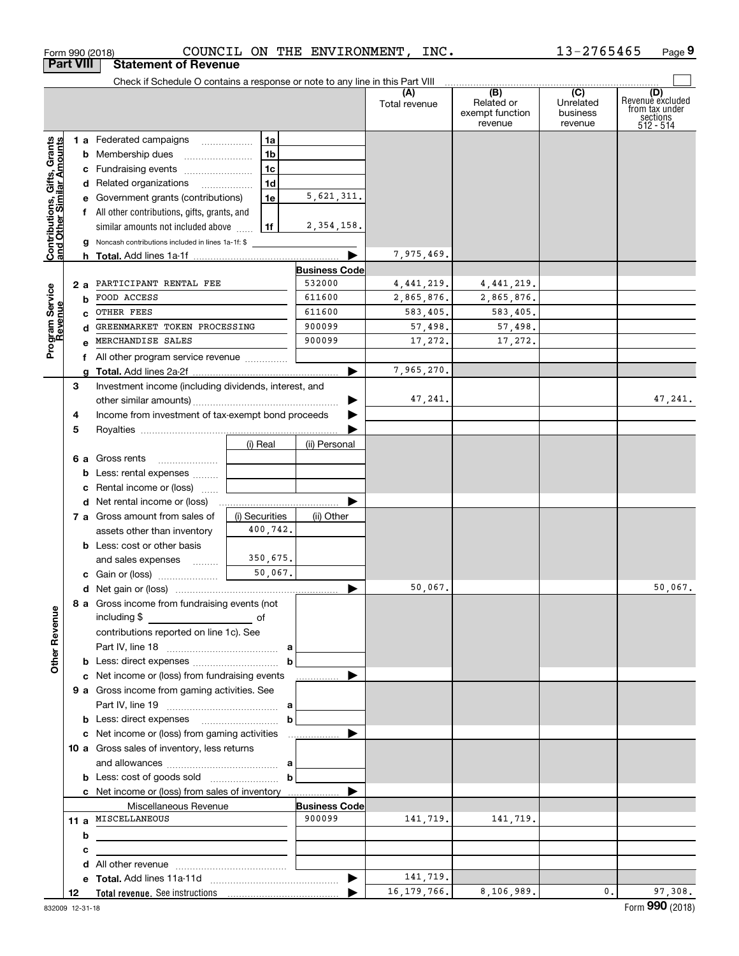|                                                           | Form 990 (2018)  |                                                                                 |                | COUNCIL ON THE ENVIRONMENT, | INC.                 |                                                                                                 | 13-2765465                       | Page 9                                                               |
|-----------------------------------------------------------|------------------|---------------------------------------------------------------------------------|----------------|-----------------------------|----------------------|-------------------------------------------------------------------------------------------------|----------------------------------|----------------------------------------------------------------------|
|                                                           | <b>Part VIII</b> | <b>Statement of Revenue</b>                                                     |                |                             |                      |                                                                                                 |                                  |                                                                      |
|                                                           |                  | Check if Schedule O contains a response or note to any line in this Part VIII   |                |                             |                      |                                                                                                 |                                  |                                                                      |
|                                                           |                  |                                                                                 |                |                             | (A)<br>Total revenue | $\overline{(\mathsf{B})}$ $\overline{(\mathsf{C})}$<br>Related or<br>exempt function<br>revenue | Unrelated<br>business<br>revenue | (D)<br>Revenue excluded<br>from tax under<br>sections<br>$512 - 514$ |
|                                                           |                  | 1 a Federated campaigns                                                         | 1a             |                             |                      |                                                                                                 |                                  |                                                                      |
|                                                           |                  | <b>b</b> Membership dues                                                        | 1 <sub>b</sub> |                             |                      |                                                                                                 |                                  |                                                                      |
| Contributions, Gifts, Grants<br>and Other Similar Amounts |                  | c Fundraising events                                                            | 1 <sub>c</sub> |                             |                      |                                                                                                 |                                  |                                                                      |
|                                                           |                  | d Related organizations                                                         | 1 <sub>d</sub> |                             |                      |                                                                                                 |                                  |                                                                      |
|                                                           |                  | e Government grants (contributions)                                             | 1e             | 5,621,311.                  |                      |                                                                                                 |                                  |                                                                      |
|                                                           |                  | f All other contributions, gifts, grants, and                                   |                |                             |                      |                                                                                                 |                                  |                                                                      |
|                                                           |                  | similar amounts not included above                                              | 1f             | 2, 354, 158.                |                      |                                                                                                 |                                  |                                                                      |
|                                                           | g                | Noncash contributions included in lines 1a-1f: \$                               |                |                             |                      |                                                                                                 |                                  |                                                                      |
|                                                           |                  |                                                                                 |                |                             | 7,975,469.           |                                                                                                 |                                  |                                                                      |
|                                                           |                  |                                                                                 |                | <b>Business Code</b>        |                      |                                                                                                 |                                  |                                                                      |
|                                                           | 2a               | PARTICIPANT RENTAL FEE                                                          |                | 532000                      | 4,441,219.           | 4,441,219.                                                                                      |                                  |                                                                      |
|                                                           | b                | FOOD ACCESS                                                                     |                | 611600                      | 2,865,876.           | 2,865,876.                                                                                      |                                  |                                                                      |
|                                                           | C.               | OTHER FEES                                                                      |                | 611600                      | 583,405.             | 583,405.                                                                                        |                                  |                                                                      |
|                                                           | d                | GREENMARKET TOKEN PROCESSING                                                    |                | 900099                      | 57,498.              | 57,498.                                                                                         |                                  |                                                                      |
| Program Service<br>Revenue                                |                  | MERCHANDISE SALES                                                               |                | 900099                      | 17,272.              | 17,272.                                                                                         |                                  |                                                                      |
|                                                           |                  | f All other program service revenue                                             |                |                             |                      |                                                                                                 |                                  |                                                                      |
|                                                           | g                |                                                                                 |                |                             | 7,965,270.           |                                                                                                 |                                  |                                                                      |
|                                                           | 3                | Investment income (including dividends, interest, and                           |                |                             |                      |                                                                                                 |                                  |                                                                      |
|                                                           |                  |                                                                                 |                |                             | 47,241.              |                                                                                                 |                                  | 47,241.                                                              |
|                                                           | 4                | Income from investment of tax-exempt bond proceeds                              |                |                             |                      |                                                                                                 |                                  |                                                                      |
|                                                           | 5                |                                                                                 |                |                             |                      |                                                                                                 |                                  |                                                                      |
|                                                           |                  |                                                                                 | (i) Real       | (ii) Personal               |                      |                                                                                                 |                                  |                                                                      |
|                                                           |                  | 6 a Gross rents                                                                 |                |                             |                      |                                                                                                 |                                  |                                                                      |
|                                                           | b                | Less: rental expenses                                                           |                |                             |                      |                                                                                                 |                                  |                                                                      |
|                                                           | c                | Rental income or (loss)                                                         |                |                             |                      |                                                                                                 |                                  |                                                                      |
|                                                           |                  |                                                                                 |                |                             |                      |                                                                                                 |                                  |                                                                      |
|                                                           |                  | 7 a Gross amount from sales of                                                  | (i) Securities | (ii) Other                  |                      |                                                                                                 |                                  |                                                                      |
|                                                           |                  | assets other than inventory                                                     | 400,742.       |                             |                      |                                                                                                 |                                  |                                                                      |
|                                                           |                  | <b>b</b> Less: cost or other basis                                              |                |                             |                      |                                                                                                 |                                  |                                                                      |
|                                                           |                  | and sales expenses                                                              | 350,675.       |                             |                      |                                                                                                 |                                  |                                                                      |
|                                                           |                  | c Gain or (loss)                                                                | 50,067.        |                             |                      |                                                                                                 |                                  |                                                                      |
|                                                           |                  |                                                                                 |                |                             | 50,067.              |                                                                                                 |                                  | 50,067.                                                              |
|                                                           |                  | 8 a Gross income from fundraising events (not                                   |                |                             |                      |                                                                                                 |                                  |                                                                      |
|                                                           |                  |                                                                                 |                |                             |                      |                                                                                                 |                                  |                                                                      |
|                                                           |                  | contributions reported on line 1c). See                                         |                |                             |                      |                                                                                                 |                                  |                                                                      |
|                                                           |                  |                                                                                 |                |                             |                      |                                                                                                 |                                  |                                                                      |
| <b>Other Revenue</b>                                      |                  | <b>b</b> Less: direct expenses <b>manually b</b>                                |                |                             |                      |                                                                                                 |                                  |                                                                      |
|                                                           |                  | c Net income or (loss) from fundraising events                                  |                | .                           |                      |                                                                                                 |                                  |                                                                      |
|                                                           |                  | <b>9 a</b> Gross income from gaming activities. See                             |                |                             |                      |                                                                                                 |                                  |                                                                      |
|                                                           |                  |                                                                                 |                |                             |                      |                                                                                                 |                                  |                                                                      |
|                                                           |                  |                                                                                 | $\mathbf b$    |                             |                      |                                                                                                 |                                  |                                                                      |
|                                                           |                  |                                                                                 |                |                             |                      |                                                                                                 |                                  |                                                                      |
|                                                           |                  | 10 a Gross sales of inventory, less returns                                     |                |                             |                      |                                                                                                 |                                  |                                                                      |
|                                                           |                  |                                                                                 |                |                             |                      |                                                                                                 |                                  |                                                                      |
|                                                           |                  | <b>b</b> Less: cost of goods sold $\ldots$ <b>b</b>                             |                |                             |                      |                                                                                                 |                                  |                                                                      |
|                                                           |                  | c Net income or (loss) from sales of inventory                                  |                |                             |                      |                                                                                                 |                                  |                                                                      |
|                                                           |                  | Miscellaneous Revenue                                                           |                | <b>Business Code</b>        |                      |                                                                                                 |                                  |                                                                      |
|                                                           |                  | 11 a MISCELLANEOUS                                                              |                | 900099                      | 141,719.             | 141,719.                                                                                        |                                  |                                                                      |
|                                                           | b                |                                                                                 |                |                             |                      |                                                                                                 |                                  |                                                                      |
|                                                           |                  | the contract of the contract of the contract of the contract of the contract of |                |                             |                      |                                                                                                 |                                  |                                                                      |
|                                                           | с                |                                                                                 |                |                             |                      |                                                                                                 |                                  |                                                                      |
|                                                           | d                |                                                                                 |                |                             | 141,719.             |                                                                                                 |                                  |                                                                      |
|                                                           | 12               |                                                                                 |                |                             | 16, 179, 766.        | 8,106,989.                                                                                      | 0.1                              | 97,308.                                                              |
|                                                           |                  |                                                                                 |                |                             |                      |                                                                                                 |                                  |                                                                      |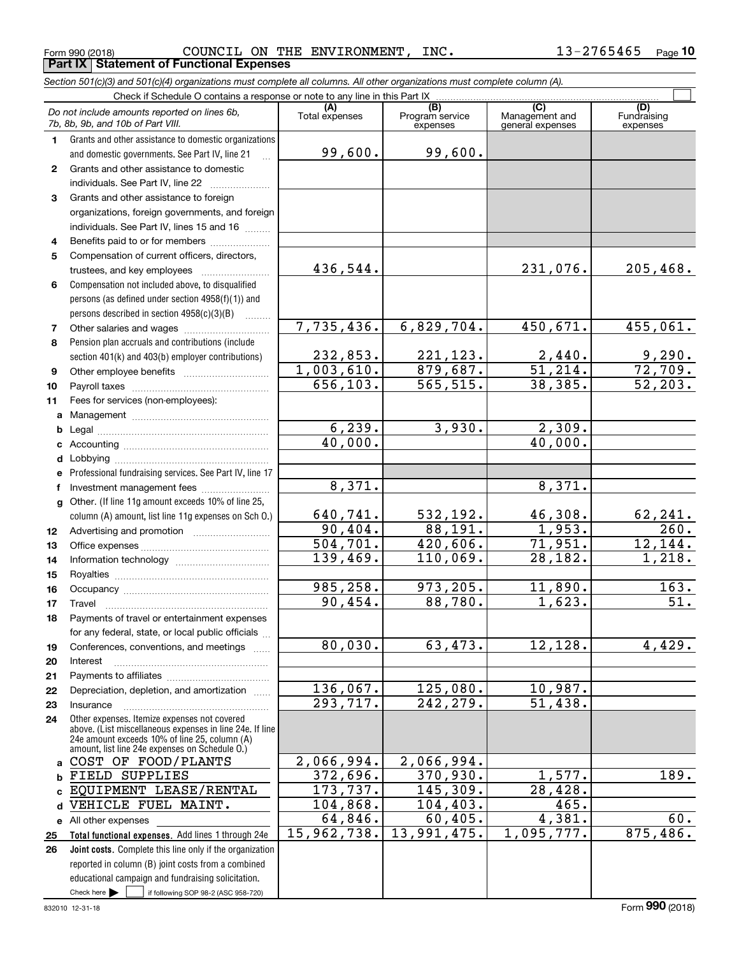*Section 501(c)(3) and 501(c)(4) organizations must complete all columns. All other organizations must complete column (A).*

|              | Do not include amounts reported on lines 6b,<br>7b, 8b, 9b, and 10b of Part VIII.                        | (A)<br>Total expenses | $\overline{(B)}$<br>Program service<br>expenses | (C)<br>Management and<br>general expenses | (D)<br>Fundraising<br>expenses |
|--------------|----------------------------------------------------------------------------------------------------------|-----------------------|-------------------------------------------------|-------------------------------------------|--------------------------------|
| 1.           | Grants and other assistance to domestic organizations                                                    |                       |                                                 |                                           |                                |
|              | and domestic governments. See Part IV, line 21                                                           | 99,600.               | 99,600.                                         |                                           |                                |
| $\mathbf{2}$ | Grants and other assistance to domestic                                                                  |                       |                                                 |                                           |                                |
|              | individuals. See Part IV, line 22                                                                        |                       |                                                 |                                           |                                |
| 3            | Grants and other assistance to foreign                                                                   |                       |                                                 |                                           |                                |
|              | organizations, foreign governments, and foreign                                                          |                       |                                                 |                                           |                                |
|              | individuals. See Part IV, lines 15 and 16                                                                |                       |                                                 |                                           |                                |
| 4            | Benefits paid to or for members                                                                          |                       |                                                 |                                           |                                |
| 5            | Compensation of current officers, directors,                                                             |                       |                                                 |                                           |                                |
|              | trustees, and key employees                                                                              | 436,544.              |                                                 | 231,076.                                  | 205,468.                       |
| 6            | Compensation not included above, to disqualified                                                         |                       |                                                 |                                           |                                |
|              | persons (as defined under section 4958(f)(1)) and                                                        |                       |                                                 |                                           |                                |
|              | persons described in section $4958(c)(3)(B)$                                                             |                       |                                                 |                                           |                                |
| 7            |                                                                                                          | 7,735,436.            | 6,829,704.                                      | 450,671.                                  | 455,061.                       |
| 8            | Pension plan accruals and contributions (include                                                         |                       |                                                 |                                           |                                |
|              | section 401(k) and 403(b) employer contributions)                                                        | 232,853.              | 221, 123.                                       | $\frac{2,440}{51,214}$ .                  | 9,290.                         |
| 9            |                                                                                                          | 1,003,610.            | 879,687.                                        |                                           | 72,709.                        |
| 10           |                                                                                                          | 656, 103.             | 565, 515.                                       | 38,385.                                   | 52, 203.                       |
| 11           | Fees for services (non-employees):                                                                       |                       |                                                 |                                           |                                |
| a            |                                                                                                          |                       |                                                 |                                           |                                |
| b            |                                                                                                          | 6, 239.               | 3,930.                                          | 2,309.                                    |                                |
| c            |                                                                                                          | 40,000.               |                                                 | 40,000.                                   |                                |
| d            |                                                                                                          |                       |                                                 |                                           |                                |
| e            | Professional fundraising services. See Part IV, line 17                                                  |                       |                                                 |                                           |                                |
| f            | Investment management fees                                                                               | 8,371.                |                                                 | 8,371.                                    |                                |
| $\mathbf{q}$ | Other. (If line 11g amount exceeds 10% of line 25,                                                       |                       |                                                 |                                           |                                |
|              | column (A) amount, list line 11g expenses on Sch O.)                                                     | 640,741.<br>90,404.   | 532,192.<br>88,191.                             | 46,308.<br>1,953.                         | 62,241.<br>260.                |
| 12           |                                                                                                          | 504, 701.             | $\overline{420,606}$ .                          | 71,951.                                   | 12, 144.                       |
| 13           |                                                                                                          | 139,469.              | 110,069.                                        | 28,182.                                   | 1,218.                         |
| 14           |                                                                                                          |                       |                                                 |                                           |                                |
| 15           |                                                                                                          | 985,258.              | 973,205.                                        | 11,890.                                   | 163.                           |
| 16           | Travel                                                                                                   | 90, 454.              | 88,780.                                         | 1,623.                                    | 51.                            |
| 17           | Payments of travel or entertainment expenses                                                             |                       |                                                 |                                           |                                |
| 18           | for any federal, state, or local public officials                                                        |                       |                                                 |                                           |                                |
| 19           | Conferences, conventions, and meetings                                                                   | 80,030.               | 63,473.                                         | 12, 128.                                  | 4,429.                         |
| 20           | Interest                                                                                                 |                       |                                                 |                                           |                                |
| 21           |                                                                                                          |                       |                                                 |                                           |                                |
| 22           | Depreciation, depletion, and amortization                                                                | 136,067.              | 125,080.                                        | 10,987.                                   |                                |
| 23           | Insurance                                                                                                | 293,717.              | 242,279.                                        | 51,438.                                   |                                |
| 24           | Other expenses. Itemize expenses not covered<br>above. (List miscellaneous expenses in line 24e. If line |                       |                                                 |                                           |                                |
|              | 24e amount exceeds 10% of line 25, column (A)                                                            |                       |                                                 |                                           |                                |
|              | amount, list line 24e expenses on Schedule O.)<br>COST OF FOOD/PLANTS                                    | 2,066,994.            | 2,066,994.                                      |                                           |                                |
| a            |                                                                                                          | 372,696.              | 370,930.                                        | 1,577.                                    | 189.                           |
| b            | FIELD SUPPLIES<br>EQUIPMENT LEASE/RENTAL                                                                 | 173,737.              | 145,309.                                        | $\overline{28,428}$ .                     |                                |
| c.           | VEHICLE FUEL MAINT.                                                                                      | 104,868.              | 104, 403.                                       | 465.                                      |                                |
| d            |                                                                                                          | 64,846.               | 60,405.                                         | 4,381.                                    | $\overline{60}$ .              |
|              | e All other expenses<br>Total functional expenses. Add lines 1 through 24e                               | 15,962,738.           | 13,991,475.                                     | 1,095,777.                                | 875,486.                       |
| 25<br>26     | Joint costs. Complete this line only if the organization                                                 |                       |                                                 |                                           |                                |
|              | reported in column (B) joint costs from a combined                                                       |                       |                                                 |                                           |                                |
|              | educational campaign and fundraising solicitation.                                                       |                       |                                                 |                                           |                                |
|              | Check here $\blacktriangleright$<br>if following SOP 98-2 (ASC 958-720)                                  |                       |                                                 |                                           |                                |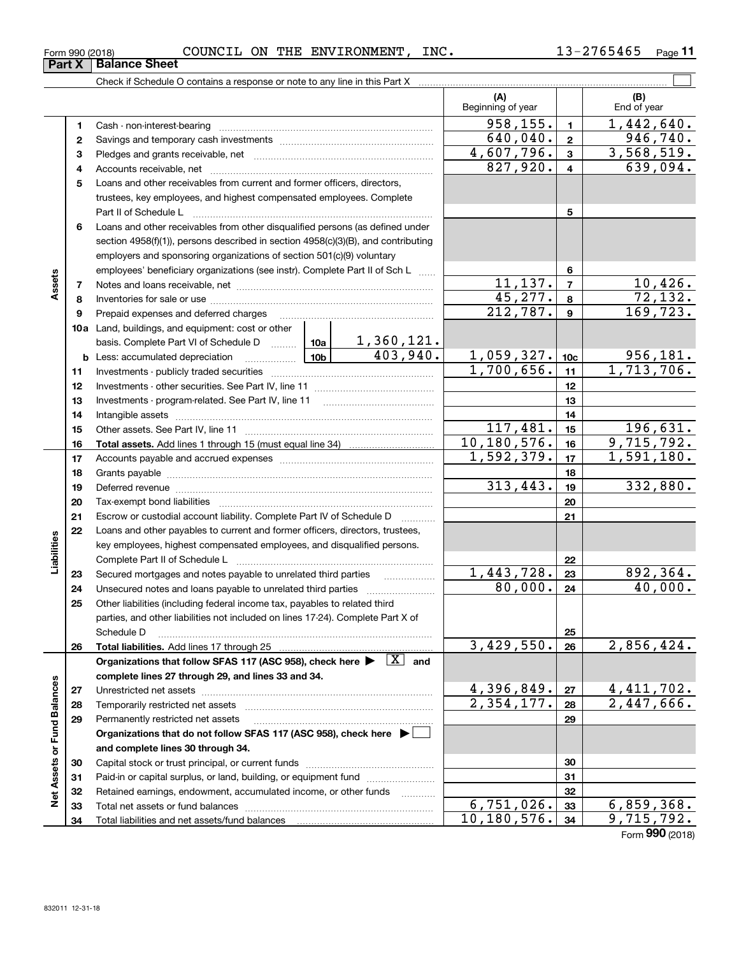| COUNCIL<br>INC.<br>ON<br>THE<br><b>ENVIRONMENT</b><br>$\sim$<br>5465<br>Form 990 (2018)<br>כ ס | Page |  |
|------------------------------------------------------------------------------------------------|------|--|
|------------------------------------------------------------------------------------------------|------|--|

|                             |          |                                                                                                                                                                                                                                |                   | (A)<br>Beginning of year |                         | (B)<br>End of year       |
|-----------------------------|----------|--------------------------------------------------------------------------------------------------------------------------------------------------------------------------------------------------------------------------------|-------------------|--------------------------|-------------------------|--------------------------|
|                             | 1        |                                                                                                                                                                                                                                |                   | 958, 155.                | $\blacksquare$          | 1,442,640.               |
|                             | 2        |                                                                                                                                                                                                                                |                   | 640,040.                 | $\overline{\mathbf{2}}$ | 946, 740.                |
|                             | 3        |                                                                                                                                                                                                                                |                   | 4,607,796.               | 3                       | 3,568,519.               |
|                             | 4        |                                                                                                                                                                                                                                | 827,920.          | $\overline{4}$           | $\overline{639}$ , 094. |                          |
|                             | 5        | Loans and other receivables from current and former officers, directors,                                                                                                                                                       |                   |                          |                         |                          |
|                             |          | trustees, key employees, and highest compensated employees. Complete                                                                                                                                                           |                   |                          |                         |                          |
|                             |          |                                                                                                                                                                                                                                |                   |                          | 5                       |                          |
|                             | 6        | Loans and other receivables from other disqualified persons (as defined under                                                                                                                                                  |                   |                          |                         |                          |
|                             |          | section 4958(f)(1)), persons described in section 4958(c)(3)(B), and contributing                                                                                                                                              |                   |                          |                         |                          |
|                             |          | employers and sponsoring organizations of section 501(c)(9) voluntary                                                                                                                                                          |                   |                          |                         |                          |
|                             |          | employees' beneficiary organizations (see instr). Complete Part II of Sch L                                                                                                                                                    |                   |                          | 6                       |                          |
| Assets                      | 7        |                                                                                                                                                                                                                                |                   | 11, 137.                 | $\overline{7}$          | 10,426.                  |
|                             | 8        |                                                                                                                                                                                                                                |                   | 45,277.                  | 8                       | 72,132.                  |
|                             | 9        | Prepaid expenses and deferred charges                                                                                                                                                                                          |                   | $\overline{212,787}$ .   | 9                       | 169, 723.                |
|                             |          | 10a Land, buildings, and equipment: cost or other                                                                                                                                                                              |                   |                          |                         |                          |
|                             |          | basis. Complete Part VI of Schedule D  10a                                                                                                                                                                                     | <u>1,360,121.</u> |                          |                         |                          |
|                             |          | 10 <sub>b</sub><br><b>b</b> Less: accumulated depreciation<br><b>Contract Contract Contract Contract</b>                                                                                                                       | 403,940.          | 1,059,327.               | 10 <sub>c</sub>         | 956,181.                 |
|                             | 11       |                                                                                                                                                                                                                                |                   | 1,700,656.               | 11                      | 1,713,706.               |
|                             | 12       |                                                                                                                                                                                                                                |                   |                          | 12                      |                          |
|                             | 13       |                                                                                                                                                                                                                                |                   |                          | 13                      |                          |
|                             | 14       |                                                                                                                                                                                                                                |                   |                          | 14                      |                          |
|                             | 15       |                                                                                                                                                                                                                                |                   | 117,481.                 | 15                      | 196,631.                 |
|                             | 16       |                                                                                                                                                                                                                                |                   | 10, 180, 576.            | 16                      | 9,715,792.               |
|                             | 17       |                                                                                                                                                                                                                                |                   | 1,592,379.               | 17                      | 1,591,180.               |
|                             | 18       |                                                                                                                                                                                                                                |                   |                          | 18                      |                          |
|                             | 19       | Deferred revenue manual contracts and contracts are contracted and contract and contract are contracted and contract are contracted and contract are contracted and contract are contracted and contract are contracted and co |                   | 313,443.                 | 19                      | 332,880.                 |
|                             | 20       |                                                                                                                                                                                                                                |                   |                          | 20                      |                          |
|                             | 21       | Escrow or custodial account liability. Complete Part IV of Schedule D                                                                                                                                                          |                   |                          | 21                      |                          |
|                             | 22       | Loans and other payables to current and former officers, directors, trustees,                                                                                                                                                  |                   |                          |                         |                          |
| Liabilities                 |          | key employees, highest compensated employees, and disqualified persons.                                                                                                                                                        |                   |                          |                         |                          |
|                             |          |                                                                                                                                                                                                                                |                   |                          | 22                      |                          |
|                             | 23       |                                                                                                                                                                                                                                |                   | 1,443,728.               | 23                      | 892,364.                 |
|                             | 24       |                                                                                                                                                                                                                                |                   | 80,000.                  | 24                      | 40,000.                  |
|                             | 25       | Other liabilities (including federal income tax, payables to related third                                                                                                                                                     |                   |                          |                         |                          |
|                             |          | parties, and other liabilities not included on lines 17-24). Complete Part X of                                                                                                                                                |                   |                          |                         |                          |
|                             |          | Schedule D                                                                                                                                                                                                                     |                   |                          | 25                      |                          |
|                             | 26       |                                                                                                                                                                                                                                |                   | 3,429,550.               | 26                      | 2,856,424.               |
|                             |          | Organizations that follow SFAS 117 (ASC 958), check here $\blacktriangleright \begin{array}{ c } \hline X & \text{and} \end{array}$                                                                                            |                   |                          |                         |                          |
|                             |          | complete lines 27 through 29, and lines 33 and 34.                                                                                                                                                                             |                   | 4,396,849.               |                         |                          |
|                             | 27       |                                                                                                                                                                                                                                |                   | $\overline{2,354},177.$  | 27                      | 4,411,702.<br>2,447,666. |
|                             | 28       |                                                                                                                                                                                                                                |                   |                          | 28<br>29                |                          |
|                             | 29       | Permanently restricted net assets                                                                                                                                                                                              |                   |                          |                         |                          |
| Net Assets or Fund Balances |          | Organizations that do not follow SFAS 117 (ASC 958), check here ▶ │<br>and complete lines 30 through 34.                                                                                                                       |                   |                          |                         |                          |
|                             |          |                                                                                                                                                                                                                                |                   |                          | 30                      |                          |
|                             | 30<br>31 | Paid-in or capital surplus, or land, building, or equipment fund                                                                                                                                                               |                   |                          | 31                      |                          |
|                             | 32       | Retained earnings, endowment, accumulated income, or other funds                                                                                                                                                               |                   |                          | 32                      |                          |
|                             | 33       |                                                                                                                                                                                                                                |                   | 6,751,026.               | 33                      | 6,859,368.               |
|                             | 34       |                                                                                                                                                                                                                                |                   | 10, 180, 576.            | 34                      | 9,715,792.               |
|                             |          |                                                                                                                                                                                                                                |                   |                          |                         | Form 990 (2018)          |

**Part X Balance Sheet**

| Form 990 (20 |  |
|--------------|--|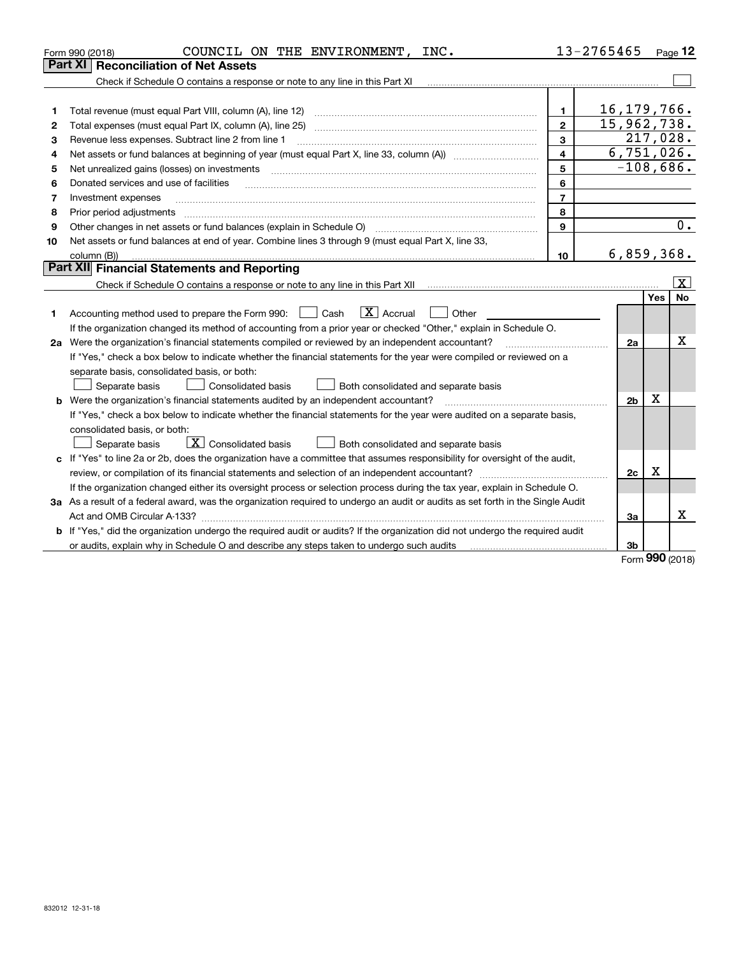| Form 990 (2018) | COUNCIL ON THE ENVIRONMENT,<br>INC.                                                                                             |                         | 13-2765465     |         | Page $12$          |
|-----------------|---------------------------------------------------------------------------------------------------------------------------------|-------------------------|----------------|---------|--------------------|
| Part XI         | <b>Reconciliation of Net Assets</b>                                                                                             |                         |                |         |                    |
|                 | Check if Schedule O contains a response or note to any line in this Part XI                                                     |                         |                |         |                    |
|                 |                                                                                                                                 |                         |                |         |                    |
| 1               | Total revenue (must equal Part VIII, column (A), line 12)                                                                       | 1                       | 16, 179, 766.  |         |                    |
| 2               | Total expenses (must equal Part IX, column (A), line 25)                                                                        | $\overline{2}$          | 15,962,738.    |         |                    |
| З               | Revenue less expenses. Subtract line 2 from line 1                                                                              | 3                       | 217,028.       |         |                    |
| 4               |                                                                                                                                 | $\overline{\mathbf{4}}$ | 6,751,026.     |         |                    |
| 5               | Net unrealized gains (losses) on investments                                                                                    | 5                       | $-108,686.$    |         |                    |
| 6               | Donated services and use of facilities                                                                                          | 6                       |                |         |                    |
| 7               | Investment expenses                                                                                                             | $\overline{7}$          |                |         |                    |
| 8               | Prior period adjustments                                                                                                        | 8                       |                |         |                    |
| 9               | Other changes in net assets or fund balances (explain in Schedule O)                                                            | 9                       |                |         | 0.                 |
| 10              | Net assets or fund balances at end of year. Combine lines 3 through 9 (must equal Part X, line 33,                              |                         |                |         |                    |
|                 | column (B))                                                                                                                     | 10                      | 6,859,368.     |         |                    |
|                 | Part XII Financial Statements and Reporting                                                                                     |                         |                |         |                    |
|                 |                                                                                                                                 |                         |                |         | $\boxed{\text{X}}$ |
|                 |                                                                                                                                 |                         |                | Yes     | <b>No</b>          |
| 1               | $\boxed{\text{X}}$ Accrual<br>Accounting method used to prepare the Form 990: <u>June</u> Cash<br>Other                         |                         |                |         |                    |
|                 | If the organization changed its method of accounting from a prior year or checked "Other," explain in Schedule O.               |                         |                |         |                    |
|                 | 2a Were the organization's financial statements compiled or reviewed by an independent accountant?                              |                         | 2a             |         | x                  |
|                 | If "Yes," check a box below to indicate whether the financial statements for the year were compiled or reviewed on a            |                         |                |         |                    |
|                 | separate basis, consolidated basis, or both:                                                                                    |                         |                |         |                    |
|                 | Separate basis<br>Consolidated basis<br>Both consolidated and separate basis                                                    |                         |                |         |                    |
|                 | Were the organization's financial statements audited by an independent accountant?                                              |                         | 2 <sub>b</sub> | x       |                    |
|                 | If "Yes," check a box below to indicate whether the financial statements for the year were audited on a separate basis,         |                         |                |         |                    |
|                 | consolidated basis, or both:                                                                                                    |                         |                |         |                    |
|                 | $\vert$ X $\vert$ Consolidated basis<br>Separate basis<br>Both consolidated and separate basis                                  |                         |                |         |                    |
| c               | If "Yes" to line 2a or 2b, does the organization have a committee that assumes responsibility for oversight of the audit,       |                         |                |         |                    |
|                 |                                                                                                                                 |                         | 2c             | X       |                    |
|                 | If the organization changed either its oversight process or selection process during the tax year, explain in Schedule O.       |                         |                |         |                    |
|                 | 3a As a result of a federal award, was the organization required to undergo an audit or audits as set forth in the Single Audit |                         |                |         |                    |
|                 |                                                                                                                                 |                         | За             |         | x                  |
|                 | b If "Yes," did the organization undergo the required audit or audits? If the organization did not undergo the required audit   |                         |                |         |                    |
|                 | or audits, explain why in Schedule O and describe any steps taken to undergo such audits                                        |                         | 3b             | $000 -$ |                    |

Form (2018) **990**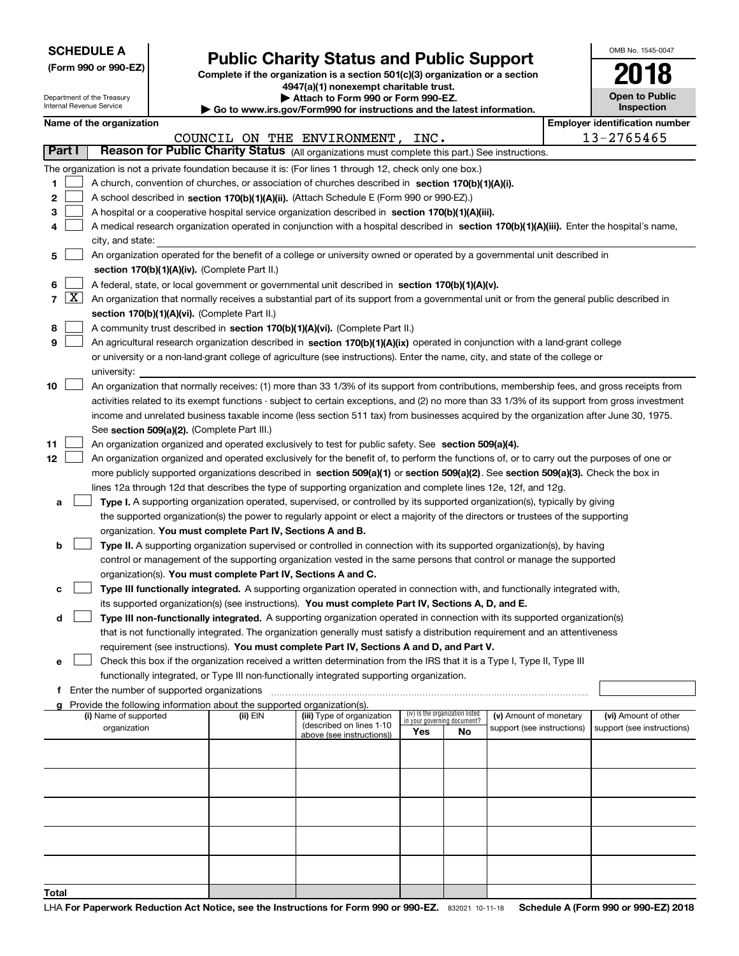| <b>SCHEDULE A</b> |  |
|-------------------|--|
|-------------------|--|

Department of the Treasury Internal Revenue Service

**(Form 990 or 990-EZ)**

# **Public Charity Status and Public Support**

**Complete if the organization is a section 501(c)(3) organization or a section 4947(a)(1) nonexempt charitable trust. | Attach to Form 990 or Form 990-EZ.** 

| <b>P</b> Allach to Form 330 or Form 330-LZ.                              |  |
|--------------------------------------------------------------------------|--|
| ► Go to www.irs.gov/Form990 for instructions and the latest information. |  |
|                                                                          |  |

| OMB No. 1545-0047            |
|------------------------------|
| 2018                         |
| Open to Public<br>Inspection |

|  | Name of the organization |  |
|--|--------------------------|--|

|        | Name of the organization<br><b>Employer identification number</b> |                                                                                                                                                          |          |                                  |                                                                       |    |                            |  |                            |
|--------|-------------------------------------------------------------------|----------------------------------------------------------------------------------------------------------------------------------------------------------|----------|----------------------------------|-----------------------------------------------------------------------|----|----------------------------|--|----------------------------|
|        |                                                                   |                                                                                                                                                          |          | COUNCIL ON THE ENVIRONMENT, INC. |                                                                       |    |                            |  | 13-2765465                 |
| Part I |                                                                   | Reason for Public Charity Status (All organizations must complete this part.) See instructions.                                                          |          |                                  |                                                                       |    |                            |  |                            |
|        |                                                                   | The organization is not a private foundation because it is: (For lines 1 through 12, check only one box.)                                                |          |                                  |                                                                       |    |                            |  |                            |
| 1      |                                                                   | A church, convention of churches, or association of churches described in section 170(b)(1)(A)(i).                                                       |          |                                  |                                                                       |    |                            |  |                            |
| 2      |                                                                   | A school described in section 170(b)(1)(A)(ii). (Attach Schedule E (Form 990 or 990-EZ).)                                                                |          |                                  |                                                                       |    |                            |  |                            |
| з      |                                                                   | A hospital or a cooperative hospital service organization described in section 170(b)(1)(A)(iii).                                                        |          |                                  |                                                                       |    |                            |  |                            |
| 4      |                                                                   | A medical research organization operated in conjunction with a hospital described in section 170(b)(1)(A)(iii). Enter the hospital's name,               |          |                                  |                                                                       |    |                            |  |                            |
|        |                                                                   | city, and state:                                                                                                                                         |          |                                  |                                                                       |    |                            |  |                            |
| 5      |                                                                   | An organization operated for the benefit of a college or university owned or operated by a governmental unit described in                                |          |                                  |                                                                       |    |                            |  |                            |
|        |                                                                   | section 170(b)(1)(A)(iv). (Complete Part II.)                                                                                                            |          |                                  |                                                                       |    |                            |  |                            |
| 6      |                                                                   | A federal, state, or local government or governmental unit described in section 170(b)(1)(A)(v).                                                         |          |                                  |                                                                       |    |                            |  |                            |
|        | $7 \times$                                                        | An organization that normally receives a substantial part of its support from a governmental unit or from the general public described in                |          |                                  |                                                                       |    |                            |  |                            |
|        |                                                                   | section 170(b)(1)(A)(vi). (Complete Part II.)                                                                                                            |          |                                  |                                                                       |    |                            |  |                            |
| 8      |                                                                   | A community trust described in section 170(b)(1)(A)(vi). (Complete Part II.)                                                                             |          |                                  |                                                                       |    |                            |  |                            |
| 9      |                                                                   | An agricultural research organization described in section 170(b)(1)(A)(ix) operated in conjunction with a land-grant college                            |          |                                  |                                                                       |    |                            |  |                            |
|        |                                                                   | or university or a non-land-grant college of agriculture (see instructions). Enter the name, city, and state of the college or                           |          |                                  |                                                                       |    |                            |  |                            |
| 10     |                                                                   | university:<br>An organization that normally receives: (1) more than 33 1/3% of its support from contributions, membership fees, and gross receipts from |          |                                  |                                                                       |    |                            |  |                            |
|        |                                                                   | activities related to its exempt functions - subject to certain exceptions, and (2) no more than 33 1/3% of its support from gross investment            |          |                                  |                                                                       |    |                            |  |                            |
|        |                                                                   | income and unrelated business taxable income (less section 511 tax) from businesses acquired by the organization after June 30, 1975.                    |          |                                  |                                                                       |    |                            |  |                            |
|        |                                                                   | See section 509(a)(2). (Complete Part III.)                                                                                                              |          |                                  |                                                                       |    |                            |  |                            |
| 11     |                                                                   | An organization organized and operated exclusively to test for public safety. See section 509(a)(4).                                                     |          |                                  |                                                                       |    |                            |  |                            |
| 12     |                                                                   | An organization organized and operated exclusively for the benefit of, to perform the functions of, or to carry out the purposes of one or               |          |                                  |                                                                       |    |                            |  |                            |
|        |                                                                   | more publicly supported organizations described in section 509(a)(1) or section 509(a)(2). See section 509(a)(3). Check the box in                       |          |                                  |                                                                       |    |                            |  |                            |
|        |                                                                   | lines 12a through 12d that describes the type of supporting organization and complete lines 12e, 12f, and 12g.                                           |          |                                  |                                                                       |    |                            |  |                            |
| a      |                                                                   | Type I. A supporting organization operated, supervised, or controlled by its supported organization(s), typically by giving                              |          |                                  |                                                                       |    |                            |  |                            |
|        |                                                                   | the supported organization(s) the power to regularly appoint or elect a majority of the directors or trustees of the supporting                          |          |                                  |                                                                       |    |                            |  |                            |
|        |                                                                   | organization. You must complete Part IV, Sections A and B.                                                                                               |          |                                  |                                                                       |    |                            |  |                            |
| b      |                                                                   | Type II. A supporting organization supervised or controlled in connection with its supported organization(s), by having                                  |          |                                  |                                                                       |    |                            |  |                            |
|        |                                                                   | control or management of the supporting organization vested in the same persons that control or manage the supported                                     |          |                                  |                                                                       |    |                            |  |                            |
|        |                                                                   | organization(s). You must complete Part IV, Sections A and C.                                                                                            |          |                                  |                                                                       |    |                            |  |                            |
| c      |                                                                   | Type III functionally integrated. A supporting organization operated in connection with, and functionally integrated with,                               |          |                                  |                                                                       |    |                            |  |                            |
|        |                                                                   | its supported organization(s) (see instructions). You must complete Part IV, Sections A, D, and E.                                                       |          |                                  |                                                                       |    |                            |  |                            |
| d      |                                                                   | Type III non-functionally integrated. A supporting organization operated in connection with its supported organization(s)                                |          |                                  |                                                                       |    |                            |  |                            |
|        |                                                                   | that is not functionally integrated. The organization generally must satisfy a distribution requirement and an attentiveness                             |          |                                  |                                                                       |    |                            |  |                            |
|        |                                                                   | requirement (see instructions). You must complete Part IV, Sections A and D, and Part V.                                                                 |          |                                  |                                                                       |    |                            |  |                            |
| е      |                                                                   | Check this box if the organization received a written determination from the IRS that it is a Type I, Type II, Type III                                  |          |                                  |                                                                       |    |                            |  |                            |
|        |                                                                   | functionally integrated, or Type III non-functionally integrated supporting organization.                                                                |          |                                  |                                                                       |    |                            |  |                            |
| f      |                                                                   | Enter the number of supported organizations                                                                                                              |          |                                  |                                                                       |    |                            |  |                            |
|        |                                                                   | Provide the following information about the supported organization(s).<br>(i) Name of supported                                                          | (ii) EIN | (iii) Type of organization       |                                                                       |    | (v) Amount of monetary     |  | (vi) Amount of other       |
|        |                                                                   | organization                                                                                                                                             |          | (described on lines 1-10         | (iv) Is the organization listed<br>in your governing document?<br>Yes | No | support (see instructions) |  | support (see instructions) |
|        |                                                                   |                                                                                                                                                          |          | above (see instructions))        |                                                                       |    |                            |  |                            |
|        |                                                                   |                                                                                                                                                          |          |                                  |                                                                       |    |                            |  |                            |
|        |                                                                   |                                                                                                                                                          |          |                                  |                                                                       |    |                            |  |                            |
|        |                                                                   |                                                                                                                                                          |          |                                  |                                                                       |    |                            |  |                            |
|        |                                                                   |                                                                                                                                                          |          |                                  |                                                                       |    |                            |  |                            |
|        |                                                                   |                                                                                                                                                          |          |                                  |                                                                       |    |                            |  |                            |
|        |                                                                   |                                                                                                                                                          |          |                                  |                                                                       |    |                            |  |                            |
|        |                                                                   |                                                                                                                                                          |          |                                  |                                                                       |    |                            |  |                            |
|        |                                                                   |                                                                                                                                                          |          |                                  |                                                                       |    |                            |  |                            |
|        |                                                                   |                                                                                                                                                          |          |                                  |                                                                       |    |                            |  |                            |
| Total  |                                                                   |                                                                                                                                                          |          |                                  |                                                                       |    |                            |  |                            |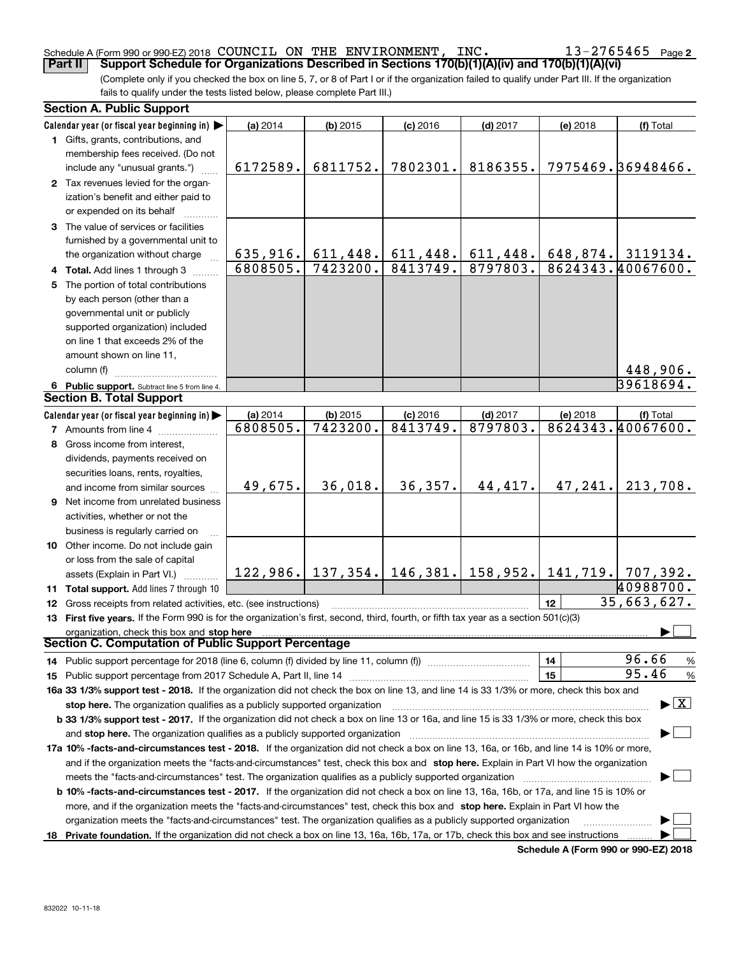#### Schedule A (Form 990 or 990-EZ) 2018 Page COUNCIL ON THE ENVIRONMENT, INC. 13-2765465**Part II Support Schedule for Organizations Described in Sections 170(b)(1)(A)(iv) and 170(b)(1)(A)(vi)**

(Complete only if you checked the box on line 5, 7, or 8 of Part I or if the organization failed to qualify under Part III. If the organization fails to qualify under the tests listed below, please complete Part III.)

| <b>Section A. Public Support</b>                                                                                                           |                      |                        |                        |                                           |          |                                          |
|--------------------------------------------------------------------------------------------------------------------------------------------|----------------------|------------------------|------------------------|-------------------------------------------|----------|------------------------------------------|
| Calendar year (or fiscal year beginning in)                                                                                                | (a) 2014             | $(b)$ 2015             | $(c)$ 2016             | $(d)$ 2017                                | (e) 2018 | (f) Total                                |
| 1 Gifts, grants, contributions, and                                                                                                        |                      |                        |                        |                                           |          |                                          |
| membership fees received. (Do not                                                                                                          |                      |                        |                        |                                           |          |                                          |
| include any "unusual grants.")                                                                                                             | 6172589.             | 6811752.               | 7802301.               | 8186355.                                  |          | 7975469.36948466.                        |
| 2 Tax revenues levied for the organ-                                                                                                       |                      |                        |                        |                                           |          |                                          |
| ization's benefit and either paid to                                                                                                       |                      |                        |                        |                                           |          |                                          |
| or expended on its behalf                                                                                                                  |                      |                        |                        |                                           |          |                                          |
| 3 The value of services or facilities                                                                                                      |                      |                        |                        |                                           |          |                                          |
| furnished by a governmental unit to                                                                                                        |                      |                        |                        |                                           |          |                                          |
| the organization without charge                                                                                                            | 635, 916.            | 611, 448.              | 611, 448.              | 611,448.                                  |          | 648,874. 3119134.                        |
| 4 Total. Add lines 1 through 3                                                                                                             | 6808505.             | 7423200.               | 8413749.               | 8797803.                                  |          | 8624343.40067600.                        |
| 5 The portion of total contributions                                                                                                       |                      |                        |                        |                                           |          |                                          |
| by each person (other than a                                                                                                               |                      |                        |                        |                                           |          |                                          |
| governmental unit or publicly                                                                                                              |                      |                        |                        |                                           |          |                                          |
| supported organization) included                                                                                                           |                      |                        |                        |                                           |          |                                          |
| on line 1 that exceeds 2% of the                                                                                                           |                      |                        |                        |                                           |          |                                          |
| amount shown on line 11,                                                                                                                   |                      |                        |                        |                                           |          |                                          |
| column (f)                                                                                                                                 |                      |                        |                        |                                           |          | 448,906.                                 |
|                                                                                                                                            |                      |                        |                        |                                           |          | 39618694.                                |
| 6 Public support. Subtract line 5 from line 4.<br><b>Section B. Total Support</b>                                                          |                      |                        |                        |                                           |          |                                          |
|                                                                                                                                            |                      |                        |                        |                                           |          |                                          |
| Calendar year (or fiscal year beginning in)                                                                                                | (a) 2014<br>6808505. | $(b)$ 2015<br>7423200. | $(c)$ 2016<br>8413749. | $(d)$ 2017<br>8797803.                    | (e) 2018 | (f) Total<br>8624343.40067600.           |
| <b>7</b> Amounts from line 4                                                                                                               |                      |                        |                        |                                           |          |                                          |
| 8 Gross income from interest,                                                                                                              |                      |                        |                        |                                           |          |                                          |
| dividends, payments received on                                                                                                            |                      |                        |                        |                                           |          |                                          |
| securities loans, rents, royalties,                                                                                                        |                      |                        |                        |                                           |          |                                          |
| and income from similar sources                                                                                                            | 49,675.              | 36,018.                | 36,357.                | 44,417.                                   | 47,241.  | 213,708.                                 |
| 9 Net income from unrelated business                                                                                                       |                      |                        |                        |                                           |          |                                          |
| activities, whether or not the                                                                                                             |                      |                        |                        |                                           |          |                                          |
| business is regularly carried on                                                                                                           |                      |                        |                        |                                           |          |                                          |
| 10 Other income. Do not include gain                                                                                                       |                      |                        |                        |                                           |          |                                          |
| or loss from the sale of capital                                                                                                           |                      |                        |                        |                                           |          |                                          |
| assets (Explain in Part VI.)                                                                                                               |                      |                        |                        | $122, 986.$ 137, 354. 146, 381. 158, 952. |          | $141, 719.$ 707, 392.                    |
| 11 Total support. Add lines 7 through 10                                                                                                   |                      |                        |                        |                                           |          | 40988700.                                |
| 12 Gross receipts from related activities, etc. (see instructions)                                                                         |                      |                        |                        |                                           | 12       | 35,663,627.                              |
| 13 First five years. If the Form 990 is for the organization's first, second, third, fourth, or fifth tax year as a section 501(c)(3)      |                      |                        |                        |                                           |          |                                          |
| organization, check this box and stop here                                                                                                 |                      |                        |                        |                                           |          |                                          |
| Section C. Computation of Public Support Percentage                                                                                        |                      |                        |                        |                                           |          |                                          |
| 14 Public support percentage for 2018 (line 6, column (f) divided by line 11, column (f) <i>manumanomeron</i>                              |                      |                        |                        |                                           | 14       | 96.66<br>$\%$                            |
|                                                                                                                                            |                      |                        |                        |                                           | 15       | 95.46<br>$\%$                            |
| 16a 33 1/3% support test - 2018. If the organization did not check the box on line 13, and line 14 is 33 1/3% or more, check this box and  |                      |                        |                        |                                           |          |                                          |
| stop here. The organization qualifies as a publicly supported organization                                                                 |                      |                        |                        |                                           |          | $\blacktriangleright$ $\boxed{\text{X}}$ |
| b 33 1/3% support test - 2017. If the organization did not check a box on line 13 or 16a, and line 15 is 33 1/3% or more, check this box   |                      |                        |                        |                                           |          |                                          |
| and stop here. The organization qualifies as a publicly supported organization                                                             |                      |                        |                        |                                           |          |                                          |
| 17a 10% -facts-and-circumstances test - 2018. If the organization did not check a box on line 13, 16a, or 16b, and line 14 is 10% or more, |                      |                        |                        |                                           |          |                                          |
| and if the organization meets the "facts-and-circumstances" test, check this box and stop here. Explain in Part VI how the organization    |                      |                        |                        |                                           |          |                                          |
|                                                                                                                                            |                      |                        |                        |                                           |          |                                          |
| b 10% -facts-and-circumstances test - 2017. If the organization did not check a box on line 13, 16a, 16b, or 17a, and line 15 is 10% or    |                      |                        |                        |                                           |          |                                          |
| more, and if the organization meets the "facts-and-circumstances" test, check this box and stop here. Explain in Part VI how the           |                      |                        |                        |                                           |          |                                          |
| organization meets the "facts-and-circumstances" test. The organization qualifies as a publicly supported organization                     |                      |                        |                        |                                           |          |                                          |
| 18 Private foundation. If the organization did not check a box on line 13, 16a, 16b, 17a, or 17b, check this box and see instructions      |                      |                        |                        |                                           |          |                                          |

**Schedule A (Form 990 or 990-EZ) 2018**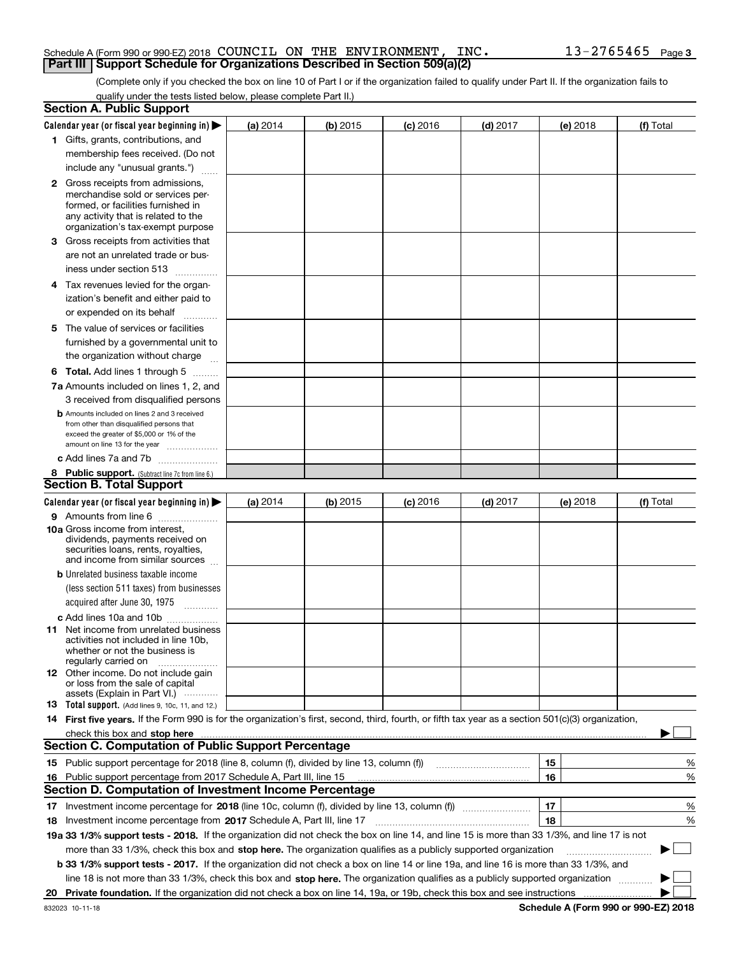#### Schedule A (Form 990 or 990-EZ) 2018 Page COUNCIL ON THE ENVIRONMENT, INC. 13-2765465**Part III Support Schedule for Organizations Described in Section 509(a)(2)**

(Complete only if you checked the box on line 10 of Part I or if the organization failed to qualify under Part II. If the organization fails to qualify under the tests listed below, please complete Part II.)

|    | <b>Section A. Public Support</b>                                                                                                                                                                                                                                                             |          |          |            |            |          |                          |
|----|----------------------------------------------------------------------------------------------------------------------------------------------------------------------------------------------------------------------------------------------------------------------------------------------|----------|----------|------------|------------|----------|--------------------------|
|    | Calendar year (or fiscal year beginning in) $\blacktriangleright$                                                                                                                                                                                                                            | (a) 2014 | (b) 2015 | $(c)$ 2016 | $(d)$ 2017 | (e) 2018 | (f) Total                |
|    | 1 Gifts, grants, contributions, and                                                                                                                                                                                                                                                          |          |          |            |            |          |                          |
|    | membership fees received. (Do not                                                                                                                                                                                                                                                            |          |          |            |            |          |                          |
|    | include any "unusual grants.")                                                                                                                                                                                                                                                               |          |          |            |            |          |                          |
|    | <b>2</b> Gross receipts from admissions,                                                                                                                                                                                                                                                     |          |          |            |            |          |                          |
|    | merchandise sold or services per-                                                                                                                                                                                                                                                            |          |          |            |            |          |                          |
|    | formed, or facilities furnished in                                                                                                                                                                                                                                                           |          |          |            |            |          |                          |
|    | any activity that is related to the<br>organization's tax-exempt purpose                                                                                                                                                                                                                     |          |          |            |            |          |                          |
|    | 3 Gross receipts from activities that                                                                                                                                                                                                                                                        |          |          |            |            |          |                          |
|    | are not an unrelated trade or bus-                                                                                                                                                                                                                                                           |          |          |            |            |          |                          |
|    | iness under section 513                                                                                                                                                                                                                                                                      |          |          |            |            |          |                          |
|    |                                                                                                                                                                                                                                                                                              |          |          |            |            |          |                          |
|    | 4 Tax revenues levied for the organ-                                                                                                                                                                                                                                                         |          |          |            |            |          |                          |
|    | ization's benefit and either paid to                                                                                                                                                                                                                                                         |          |          |            |            |          |                          |
|    | or expended on its behalf<br>.                                                                                                                                                                                                                                                               |          |          |            |            |          |                          |
|    | 5 The value of services or facilities                                                                                                                                                                                                                                                        |          |          |            |            |          |                          |
|    | furnished by a governmental unit to                                                                                                                                                                                                                                                          |          |          |            |            |          |                          |
|    | the organization without charge                                                                                                                                                                                                                                                              |          |          |            |            |          |                          |
|    | <b>6 Total.</b> Add lines 1 through 5                                                                                                                                                                                                                                                        |          |          |            |            |          |                          |
|    | 7a Amounts included on lines 1, 2, and                                                                                                                                                                                                                                                       |          |          |            |            |          |                          |
|    | 3 received from disqualified persons                                                                                                                                                                                                                                                         |          |          |            |            |          |                          |
|    | <b>b</b> Amounts included on lines 2 and 3 received                                                                                                                                                                                                                                          |          |          |            |            |          |                          |
|    | from other than disqualified persons that<br>exceed the greater of \$5,000 or 1% of the                                                                                                                                                                                                      |          |          |            |            |          |                          |
|    | amount on line 13 for the year                                                                                                                                                                                                                                                               |          |          |            |            |          |                          |
|    | c Add lines 7a and 7b                                                                                                                                                                                                                                                                        |          |          |            |            |          |                          |
|    | 8 Public support. (Subtract line 7c from line 6.)                                                                                                                                                                                                                                            |          |          |            |            |          |                          |
|    | <b>Section B. Total Support</b>                                                                                                                                                                                                                                                              |          |          |            |            |          |                          |
|    | Calendar year (or fiscal year beginning in)                                                                                                                                                                                                                                                  | (a) 2014 | (b) 2015 | $(c)$ 2016 | $(d)$ 2017 | (e) 2018 | (f) Total                |
|    | 9 Amounts from line 6                                                                                                                                                                                                                                                                        |          |          |            |            |          |                          |
|    | 10a Gross income from interest,                                                                                                                                                                                                                                                              |          |          |            |            |          |                          |
|    | dividends, payments received on<br>securities loans, rents, royalties,                                                                                                                                                                                                                       |          |          |            |            |          |                          |
|    | and income from similar sources                                                                                                                                                                                                                                                              |          |          |            |            |          |                          |
|    | <b>b</b> Unrelated business taxable income                                                                                                                                                                                                                                                   |          |          |            |            |          |                          |
|    | (less section 511 taxes) from businesses                                                                                                                                                                                                                                                     |          |          |            |            |          |                          |
|    | acquired after June 30, 1975                                                                                                                                                                                                                                                                 |          |          |            |            |          |                          |
|    | c Add lines 10a and 10b                                                                                                                                                                                                                                                                      |          |          |            |            |          |                          |
|    | 11 Net income from unrelated business                                                                                                                                                                                                                                                        |          |          |            |            |          |                          |
|    | activities not included in line 10b,                                                                                                                                                                                                                                                         |          |          |            |            |          |                          |
|    | whether or not the business is<br>regularly carried on                                                                                                                                                                                                                                       |          |          |            |            |          |                          |
|    | <b>12</b> Other income. Do not include gain                                                                                                                                                                                                                                                  |          |          |            |            |          |                          |
|    | or loss from the sale of capital                                                                                                                                                                                                                                                             |          |          |            |            |          |                          |
|    | assets (Explain in Part VI.)                                                                                                                                                                                                                                                                 |          |          |            |            |          |                          |
|    | 13 Total support. (Add lines 9, 10c, 11, and 12.)                                                                                                                                                                                                                                            |          |          |            |            |          |                          |
|    | 14 First five years. If the Form 990 is for the organization's first, second, third, fourth, or fifth tax year as a section 501(c)(3) organization,                                                                                                                                          |          |          |            |            |          |                          |
|    | check this box and stop here measurements and contain the state of the state of the state of the state of the state of the state of the state of the state of the state of the state of the state of the state of the state of<br><b>Section C. Computation of Public Support Percentage</b> |          |          |            |            |          |                          |
|    |                                                                                                                                                                                                                                                                                              |          |          |            |            |          |                          |
|    | 15 Public support percentage for 2018 (line 8, column (f), divided by line 13, column (f))                                                                                                                                                                                                   |          |          |            |            | 15       | %                        |
|    | 16 Public support percentage from 2017 Schedule A, Part III, line 15<br><b>Section D. Computation of Investment Income Percentage</b>                                                                                                                                                        |          |          |            |            | 16       | %                        |
|    |                                                                                                                                                                                                                                                                                              |          |          |            |            |          |                          |
|    | 17 Investment income percentage for 2018 (line 10c, column (f), divided by line 13, column (f))                                                                                                                                                                                              |          |          |            |            | 17       | %                        |
|    | <b>18</b> Investment income percentage from <b>2017</b> Schedule A, Part III, line 17                                                                                                                                                                                                        |          |          |            |            | 18       | %                        |
|    | 19a 33 1/3% support tests - 2018. If the organization did not check the box on line 14, and line 15 is more than 33 1/3%, and line 17 is not                                                                                                                                                 |          |          |            |            |          |                          |
|    | more than 33 1/3%, check this box and stop here. The organization qualifies as a publicly supported organization                                                                                                                                                                             |          |          |            |            |          | $\overline{\phantom{a}}$ |
|    | b 33 1/3% support tests - 2017. If the organization did not check a box on line 14 or line 19a, and line 16 is more than 33 1/3%, and                                                                                                                                                        |          |          |            |            |          |                          |
|    | line 18 is not more than 33 1/3%, check this box and stop here. The organization qualifies as a publicly supported organization                                                                                                                                                              |          |          |            |            |          |                          |
| 20 |                                                                                                                                                                                                                                                                                              |          |          |            |            |          |                          |

**Schedule A (Form 990 or 990-EZ) 2018**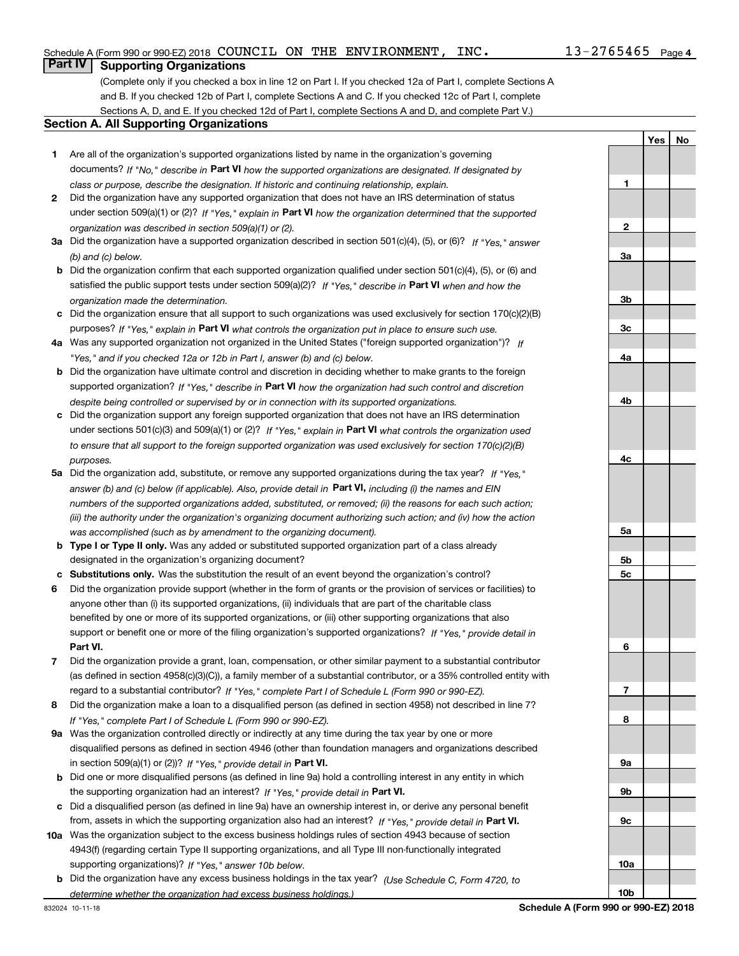**1**

**2**

**3a**

**3b**

**3c**

**4a**

**4b**

**4c**

**5a**

**5b5c**

**6**

**7**

**8**

**9a**

**9b**

**9c**

**10a**

**10b**

**YesNo**

### **Part IV Supporting Organizations**

(Complete only if you checked a box in line 12 on Part I. If you checked 12a of Part I, complete Sections A and B. If you checked 12b of Part I, complete Sections A and C. If you checked 12c of Part I, complete Sections A, D, and E. If you checked 12d of Part I, complete Sections A and D, and complete Part V.)

#### **Section A. All Supporting Organizations**

- **1** Are all of the organization's supported organizations listed by name in the organization's governing documents? If "No," describe in **Part VI** how the supported organizations are designated. If designated by *class or purpose, describe the designation. If historic and continuing relationship, explain.*
- **2** Did the organization have any supported organization that does not have an IRS determination of status under section 509(a)(1) or (2)? If "Yes," explain in Part VI how the organization determined that the supported *organization was described in section 509(a)(1) or (2).*
- **3a** Did the organization have a supported organization described in section 501(c)(4), (5), or (6)? If "Yes," answer *(b) and (c) below.*
- **b** Did the organization confirm that each supported organization qualified under section 501(c)(4), (5), or (6) and satisfied the public support tests under section 509(a)(2)? If "Yes," describe in **Part VI** when and how the *organization made the determination.*
- **c**Did the organization ensure that all support to such organizations was used exclusively for section 170(c)(2)(B) purposes? If "Yes," explain in **Part VI** what controls the organization put in place to ensure such use.
- **4a***If* Was any supported organization not organized in the United States ("foreign supported organization")? *"Yes," and if you checked 12a or 12b in Part I, answer (b) and (c) below.*
- **b** Did the organization have ultimate control and discretion in deciding whether to make grants to the foreign supported organization? If "Yes," describe in **Part VI** how the organization had such control and discretion *despite being controlled or supervised by or in connection with its supported organizations.*
- **c** Did the organization support any foreign supported organization that does not have an IRS determination under sections 501(c)(3) and 509(a)(1) or (2)? If "Yes," explain in **Part VI** what controls the organization used *to ensure that all support to the foreign supported organization was used exclusively for section 170(c)(2)(B) purposes.*
- **5a***If "Yes,"* Did the organization add, substitute, or remove any supported organizations during the tax year? answer (b) and (c) below (if applicable). Also, provide detail in **Part VI,** including (i) the names and EIN *numbers of the supported organizations added, substituted, or removed; (ii) the reasons for each such action; (iii) the authority under the organization's organizing document authorizing such action; and (iv) how the action was accomplished (such as by amendment to the organizing document).*
- **b** Type I or Type II only. Was any added or substituted supported organization part of a class already designated in the organization's organizing document?
- **cSubstitutions only.**  Was the substitution the result of an event beyond the organization's control?
- **6** Did the organization provide support (whether in the form of grants or the provision of services or facilities) to **Part VI.** *If "Yes," provide detail in* support or benefit one or more of the filing organization's supported organizations? anyone other than (i) its supported organizations, (ii) individuals that are part of the charitable class benefited by one or more of its supported organizations, or (iii) other supporting organizations that also
- **7**Did the organization provide a grant, loan, compensation, or other similar payment to a substantial contributor *If "Yes," complete Part I of Schedule L (Form 990 or 990-EZ).* regard to a substantial contributor? (as defined in section 4958(c)(3)(C)), a family member of a substantial contributor, or a 35% controlled entity with
- **8** Did the organization make a loan to a disqualified person (as defined in section 4958) not described in line 7? *If "Yes," complete Part I of Schedule L (Form 990 or 990-EZ).*
- **9a** Was the organization controlled directly or indirectly at any time during the tax year by one or more in section 509(a)(1) or (2))? If "Yes," *provide detail in* <code>Part VI.</code> disqualified persons as defined in section 4946 (other than foundation managers and organizations described
- **b** Did one or more disqualified persons (as defined in line 9a) hold a controlling interest in any entity in which the supporting organization had an interest? If "Yes," provide detail in P**art VI**.
- **c**Did a disqualified person (as defined in line 9a) have an ownership interest in, or derive any personal benefit from, assets in which the supporting organization also had an interest? If "Yes," provide detail in P**art VI.**
- **10a** Was the organization subject to the excess business holdings rules of section 4943 because of section supporting organizations)? If "Yes," answer 10b below. 4943(f) (regarding certain Type II supporting organizations, and all Type III non-functionally integrated
- **b** Did the organization have any excess business holdings in the tax year? (Use Schedule C, Form 4720, to *determine whether the organization had excess business holdings.)*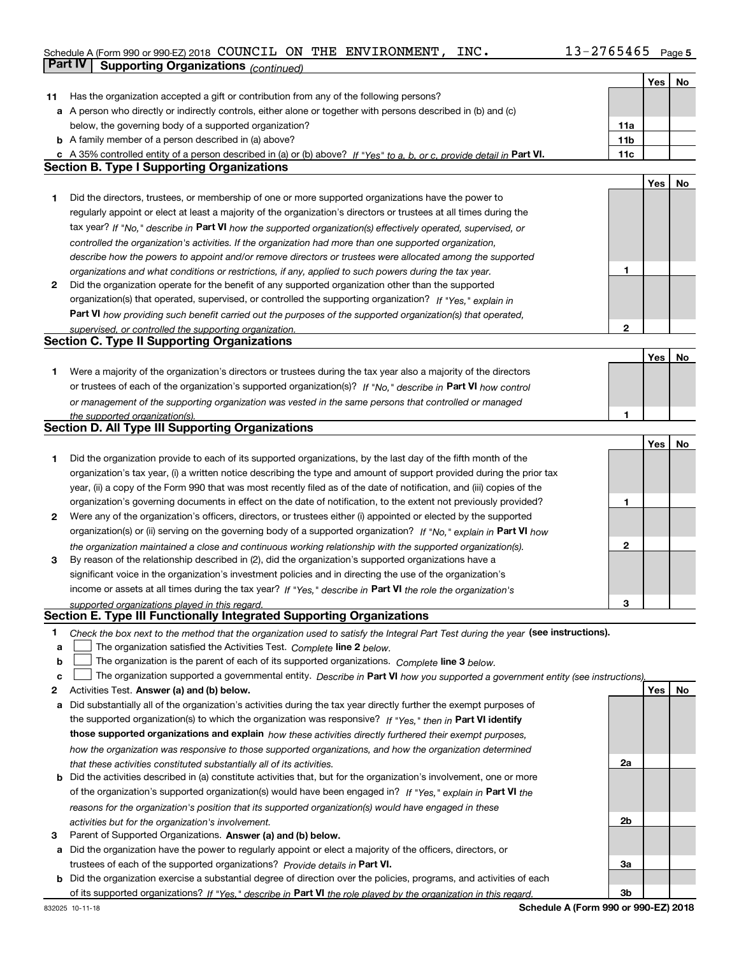### Schedule A (Form 990 or 990-EZ) 2018 Page COUNCIL ON THE ENVIRONMENT, INC. 13-2765465**Part IV Supporting Organizations** *(continued)*

|    |                                                                                                                                                                                                               |                 | Yes | No |
|----|---------------------------------------------------------------------------------------------------------------------------------------------------------------------------------------------------------------|-----------------|-----|----|
| 11 | Has the organization accepted a gift or contribution from any of the following persons?                                                                                                                       |                 |     |    |
|    | a A person who directly or indirectly controls, either alone or together with persons described in (b) and (c)                                                                                                |                 |     |    |
|    | below, the governing body of a supported organization?                                                                                                                                                        | 11a             |     |    |
|    | <b>b</b> A family member of a person described in (a) above?                                                                                                                                                  | 11 <sub>b</sub> |     |    |
|    | c A 35% controlled entity of a person described in (a) or (b) above? If "Yes" to a, b, or c, provide detail in Part VI.                                                                                       | 11c             |     |    |
|    | <b>Section B. Type I Supporting Organizations</b>                                                                                                                                                             |                 |     |    |
|    |                                                                                                                                                                                                               |                 | Yes | No |
| 1  | Did the directors, trustees, or membership of one or more supported organizations have the power to                                                                                                           |                 |     |    |
|    | regularly appoint or elect at least a majority of the organization's directors or trustees at all times during the                                                                                            |                 |     |    |
|    | tax year? If "No," describe in Part VI how the supported organization(s) effectively operated, supervised, or                                                                                                 |                 |     |    |
|    |                                                                                                                                                                                                               |                 |     |    |
|    | controlled the organization's activities. If the organization had more than one supported organization,                                                                                                       |                 |     |    |
|    | describe how the powers to appoint and/or remove directors or trustees were allocated among the supported                                                                                                     | 1               |     |    |
| 2  | organizations and what conditions or restrictions, if any, applied to such powers during the tax year.<br>Did the organization operate for the benefit of any supported organization other than the supported |                 |     |    |
|    |                                                                                                                                                                                                               |                 |     |    |
|    | organization(s) that operated, supervised, or controlled the supporting organization? If "Yes," explain in                                                                                                    |                 |     |    |
|    | Part VI how providing such benefit carried out the purposes of the supported organization(s) that operated,                                                                                                   |                 |     |    |
|    | supervised, or controlled the supporting organization.                                                                                                                                                        | 2               |     |    |
|    | <b>Section C. Type II Supporting Organizations</b>                                                                                                                                                            |                 |     |    |
|    |                                                                                                                                                                                                               |                 | Yes | No |
| 1  | Were a majority of the organization's directors or trustees during the tax year also a majority of the directors                                                                                              |                 |     |    |
|    | or trustees of each of the organization's supported organization(s)? If "No," describe in Part VI how control                                                                                                 |                 |     |    |
|    | or management of the supporting organization was vested in the same persons that controlled or managed                                                                                                        |                 |     |    |
|    | the supported organization(s).                                                                                                                                                                                | 1               |     |    |
|    | Section D. All Type III Supporting Organizations                                                                                                                                                              |                 |     |    |
|    |                                                                                                                                                                                                               |                 | Yes | No |
| 1  | Did the organization provide to each of its supported organizations, by the last day of the fifth month of the                                                                                                |                 |     |    |
|    | organization's tax year, (i) a written notice describing the type and amount of support provided during the prior tax                                                                                         |                 |     |    |
|    | year, (ii) a copy of the Form 990 that was most recently filed as of the date of notification, and (iii) copies of the                                                                                        |                 |     |    |
|    | organization's governing documents in effect on the date of notification, to the extent not previously provided?                                                                                              | 1               |     |    |
| 2  | Were any of the organization's officers, directors, or trustees either (i) appointed or elected by the supported                                                                                              |                 |     |    |
|    | organization(s) or (ii) serving on the governing body of a supported organization? If "No," explain in Part VI how                                                                                            |                 |     |    |
|    | the organization maintained a close and continuous working relationship with the supported organization(s).                                                                                                   | 2               |     |    |
| 3  | By reason of the relationship described in (2), did the organization's supported organizations have a                                                                                                         |                 |     |    |
|    | significant voice in the organization's investment policies and in directing the use of the organization's                                                                                                    |                 |     |    |
|    | income or assets at all times during the tax year? If "Yes," describe in Part VI the role the organization's                                                                                                  |                 |     |    |
|    | supported organizations played in this regard.                                                                                                                                                                | 3               |     |    |
|    | Section E. Type III Functionally Integrated Supporting Organizations                                                                                                                                          |                 |     |    |
| 1. | Check the box next to the method that the organization used to satisfy the Integral Part Test during the year (see instructions).                                                                             |                 |     |    |
| a  | The organization satisfied the Activities Test. Complete line 2 below.                                                                                                                                        |                 |     |    |
| b  | The organization is the parent of each of its supported organizations. Complete line 3 below.                                                                                                                 |                 |     |    |
| c  | The organization supported a governmental entity. Describe in Part VI how you supported a government entity (see instructions),                                                                               |                 |     |    |
| 2  | Activities Test. Answer (a) and (b) below.                                                                                                                                                                    |                 | Yes | No |
| а  | Did substantially all of the organization's activities during the tax year directly further the exempt purposes of                                                                                            |                 |     |    |
|    | the supported organization(s) to which the organization was responsive? If "Yes," then in Part VI identify                                                                                                    |                 |     |    |
|    | those supported organizations and explain how these activities directly furthered their exempt purposes,                                                                                                      |                 |     |    |
|    | how the organization was responsive to those supported organizations, and how the organization determined                                                                                                     |                 |     |    |
|    | that these activities constituted substantially all of its activities.                                                                                                                                        | 2a              |     |    |
|    | <b>b</b> Did the activities described in (a) constitute activities that, but for the organization's involvement, one or more                                                                                  |                 |     |    |
|    | of the organization's supported organization(s) would have been engaged in? If "Yes," explain in Part VI the                                                                                                  |                 |     |    |
|    |                                                                                                                                                                                                               |                 |     |    |
|    | reasons for the organization's position that its supported organization(s) would have engaged in these                                                                                                        |                 |     |    |
|    | activities but for the organization's involvement.                                                                                                                                                            | 2b              |     |    |
| з  | Parent of Supported Organizations. Answer (a) and (b) below.                                                                                                                                                  |                 |     |    |
|    | a Did the organization have the power to regularly appoint or elect a majority of the officers, directors, or                                                                                                 |                 |     |    |
|    | trustees of each of the supported organizations? Provide details in Part VI.                                                                                                                                  | За              |     |    |
|    | <b>b</b> Did the organization exercise a substantial degree of direction over the policies, programs, and activities of each                                                                                  |                 |     |    |
|    | of its supported organizations? If "Yes," describe in Part VI the role played by the organization in this regard.                                                                                             | 3b              |     |    |

**Schedule A (Form 990 or 990-EZ) 2018**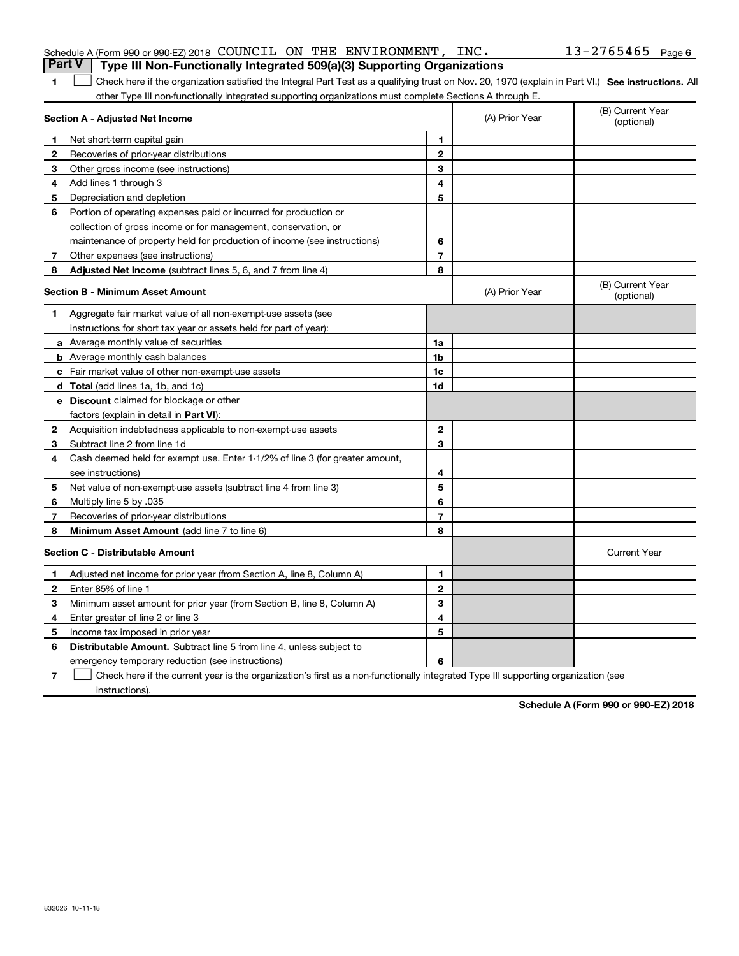| 1  | Check here if the organization satisfied the Integral Part Test as a qualifying trust on Nov. 20, 1970 (explain in Part VI.) See instructions. All |                |                |                                |
|----|----------------------------------------------------------------------------------------------------------------------------------------------------|----------------|----------------|--------------------------------|
|    | other Type III non-functionally integrated supporting organizations must complete Sections A through E.                                            |                |                |                                |
|    | Section A - Adjusted Net Income                                                                                                                    |                | (A) Prior Year | (B) Current Year<br>(optional) |
| 1  | Net short-term capital gain                                                                                                                        | 1              |                |                                |
| 2  | Recoveries of prior-year distributions                                                                                                             | $\mathbf{2}$   |                |                                |
| 3  | Other gross income (see instructions)                                                                                                              | 3              |                |                                |
| 4  | Add lines 1 through 3                                                                                                                              | 4              |                |                                |
| 5  | Depreciation and depletion                                                                                                                         | 5              |                |                                |
| 6  | Portion of operating expenses paid or incurred for production or                                                                                   |                |                |                                |
|    | collection of gross income or for management, conservation, or                                                                                     |                |                |                                |
|    | maintenance of property held for production of income (see instructions)                                                                           | 6              |                |                                |
| 7  | Other expenses (see instructions)                                                                                                                  | $\overline{7}$ |                |                                |
| 8  | <b>Adjusted Net Income</b> (subtract lines 5, 6, and 7 from line 4)                                                                                | 8              |                |                                |
|    | Section B - Minimum Asset Amount                                                                                                                   |                | (A) Prior Year | (B) Current Year<br>(optional) |
| 1  | Aggregate fair market value of all non-exempt-use assets (see                                                                                      |                |                |                                |
|    | instructions for short tax year or assets held for part of year):                                                                                  |                |                |                                |
|    | a Average monthly value of securities                                                                                                              | 1a             |                |                                |
|    | <b>b</b> Average monthly cash balances                                                                                                             | 1 <sub>b</sub> |                |                                |
|    | c Fair market value of other non-exempt-use assets                                                                                                 | 1c             |                |                                |
|    | d Total (add lines 1a, 1b, and 1c)                                                                                                                 | 1d             |                |                                |
|    | e Discount claimed for blockage or other                                                                                                           |                |                |                                |
|    | factors (explain in detail in Part VI):                                                                                                            |                |                |                                |
| 2  | Acquisition indebtedness applicable to non-exempt-use assets                                                                                       | $\mathbf{2}$   |                |                                |
| 3. | Subtract line 2 from line 1d                                                                                                                       | 3              |                |                                |
| 4  | Cash deemed held for exempt use. Enter 1-1/2% of line 3 (for greater amount,                                                                       |                |                |                                |
|    | see instructions)                                                                                                                                  | 4              |                |                                |
| 5  | Net value of non-exempt-use assets (subtract line 4 from line 3)                                                                                   | 5              |                |                                |
| 6  | Multiply line 5 by .035                                                                                                                            | 6              |                |                                |
| 7  | Recoveries of prior-year distributions                                                                                                             | $\overline{7}$ |                |                                |
| 8  | Minimum Asset Amount (add line 7 to line 6)                                                                                                        | 8              |                |                                |
|    | <b>Section C - Distributable Amount</b>                                                                                                            |                |                | <b>Current Year</b>            |
| 1  | Adjusted net income for prior year (from Section A, line 8, Column A)                                                                              | 1              |                |                                |
| 2  | Enter 85% of line 1                                                                                                                                | $\mathbf{2}$   |                |                                |
| 3  | Minimum asset amount for prior year (from Section B, line 8, Column A)                                                                             | 3              |                |                                |
| 4  | Enter greater of line 2 or line 3                                                                                                                  | 4              |                |                                |
| 5  | Income tax imposed in prior year                                                                                                                   | 5              |                |                                |
| 6  | Distributable Amount. Subtract line 5 from line 4, unless subject to                                                                               |                |                |                                |
|    | emergency temporary reduction (see instructions)                                                                                                   | 6              |                |                                |

**7**Check here if the current year is the organization's first as a non-functionally integrated Type III supporting organization (see instructions).

**Schedule A (Form 990 or 990-EZ) 2018**

#### Schedule A (Form 990 or 990-EZ) 2018 COUNCIL ON THE ENVIRONMENT,INC。 13-2765465 Page COUNCIL ON THE ENVIRONMENT, INC. 13-2765465

# **Part V Type III Non-Functionally Integrated 509(a)(3) Supporting Organizations**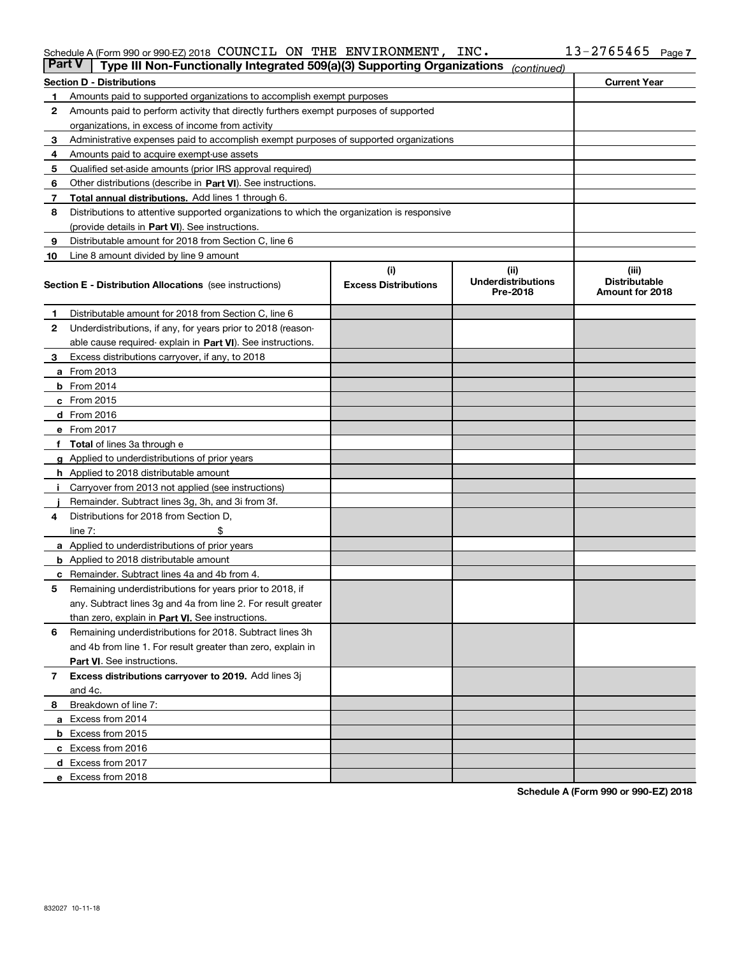#### Schedule A (Form 990 or 990-EZ) 2018 COUNCIL ON THE ENVIRONMENT,INC。 13-2765465 Page COUNCIL ON THE ENVIRONMENT, INC. 13-2765465

| <b>Part V</b> | Type III Non-Functionally Integrated 509(a)(3) Supporting Organizations                    |                             | (continued)                           |                                         |  |  |  |  |  |
|---------------|--------------------------------------------------------------------------------------------|-----------------------------|---------------------------------------|-----------------------------------------|--|--|--|--|--|
|               | <b>Section D - Distributions</b>                                                           |                             |                                       | <b>Current Year</b>                     |  |  |  |  |  |
| 1             | Amounts paid to supported organizations to accomplish exempt purposes                      |                             |                                       |                                         |  |  |  |  |  |
| 2             | Amounts paid to perform activity that directly furthers exempt purposes of supported       |                             |                                       |                                         |  |  |  |  |  |
|               | organizations, in excess of income from activity                                           |                             |                                       |                                         |  |  |  |  |  |
| 3             | Administrative expenses paid to accomplish exempt purposes of supported organizations      |                             |                                       |                                         |  |  |  |  |  |
| 4             | Amounts paid to acquire exempt-use assets                                                  |                             |                                       |                                         |  |  |  |  |  |
| 5             | Qualified set-aside amounts (prior IRS approval required)                                  |                             |                                       |                                         |  |  |  |  |  |
| 6             | Other distributions (describe in Part VI). See instructions.                               |                             |                                       |                                         |  |  |  |  |  |
| 7             | Total annual distributions. Add lines 1 through 6.                                         |                             |                                       |                                         |  |  |  |  |  |
| 8             | Distributions to attentive supported organizations to which the organization is responsive |                             |                                       |                                         |  |  |  |  |  |
|               | (provide details in Part VI). See instructions.                                            |                             |                                       |                                         |  |  |  |  |  |
| 9             | Distributable amount for 2018 from Section C, line 6                                       |                             |                                       |                                         |  |  |  |  |  |
| 10            | Line 8 amount divided by line 9 amount                                                     |                             |                                       |                                         |  |  |  |  |  |
|               |                                                                                            | (i)                         | (iii)                                 | (iii)                                   |  |  |  |  |  |
|               | <b>Section E - Distribution Allocations</b> (see instructions)                             | <b>Excess Distributions</b> | <b>Underdistributions</b><br>Pre-2018 | <b>Distributable</b><br>Amount for 2018 |  |  |  |  |  |
| 1.            | Distributable amount for 2018 from Section C, line 6                                       |                             |                                       |                                         |  |  |  |  |  |
| 2             | Underdistributions, if any, for years prior to 2018 (reason-                               |                             |                                       |                                         |  |  |  |  |  |
|               | able cause required- explain in Part VI). See instructions.                                |                             |                                       |                                         |  |  |  |  |  |
| З             | Excess distributions carryover, if any, to 2018                                            |                             |                                       |                                         |  |  |  |  |  |
|               | <b>a</b> From 2013                                                                         |                             |                                       |                                         |  |  |  |  |  |
|               | <b>b</b> From $2014$                                                                       |                             |                                       |                                         |  |  |  |  |  |
|               | $c$ From 2015                                                                              |                             |                                       |                                         |  |  |  |  |  |
|               | $d$ From 2016                                                                              |                             |                                       |                                         |  |  |  |  |  |
|               | e From 2017                                                                                |                             |                                       |                                         |  |  |  |  |  |
|               | <b>Total</b> of lines 3a through e                                                         |                             |                                       |                                         |  |  |  |  |  |
|               | <b>g</b> Applied to underdistributions of prior years                                      |                             |                                       |                                         |  |  |  |  |  |
|               | <b>h</b> Applied to 2018 distributable amount                                              |                             |                                       |                                         |  |  |  |  |  |
|               | Carryover from 2013 not applied (see instructions)                                         |                             |                                       |                                         |  |  |  |  |  |
|               | Remainder. Subtract lines 3g, 3h, and 3i from 3f.                                          |                             |                                       |                                         |  |  |  |  |  |
| 4             | Distributions for 2018 from Section D,                                                     |                             |                                       |                                         |  |  |  |  |  |
|               | line $7:$                                                                                  |                             |                                       |                                         |  |  |  |  |  |
|               | <b>a</b> Applied to underdistributions of prior years                                      |                             |                                       |                                         |  |  |  |  |  |
|               | <b>b</b> Applied to 2018 distributable amount                                              |                             |                                       |                                         |  |  |  |  |  |
|               | c Remainder. Subtract lines 4a and 4b from 4.                                              |                             |                                       |                                         |  |  |  |  |  |
| 5             | Remaining underdistributions for years prior to 2018, if                                   |                             |                                       |                                         |  |  |  |  |  |
|               | any. Subtract lines 3g and 4a from line 2. For result greater                              |                             |                                       |                                         |  |  |  |  |  |
|               | than zero, explain in Part VI. See instructions.                                           |                             |                                       |                                         |  |  |  |  |  |
| 6             | Remaining underdistributions for 2018. Subtract lines 3h                                   |                             |                                       |                                         |  |  |  |  |  |
|               | and 4b from line 1. For result greater than zero, explain in                               |                             |                                       |                                         |  |  |  |  |  |
|               | Part VI. See instructions.                                                                 |                             |                                       |                                         |  |  |  |  |  |
|               |                                                                                            |                             |                                       |                                         |  |  |  |  |  |
| 7             | Excess distributions carryover to 2019. Add lines 3j                                       |                             |                                       |                                         |  |  |  |  |  |
|               | and 4c.                                                                                    |                             |                                       |                                         |  |  |  |  |  |
| 8             | Breakdown of line 7:                                                                       |                             |                                       |                                         |  |  |  |  |  |
|               | a Excess from 2014                                                                         |                             |                                       |                                         |  |  |  |  |  |
|               | <b>b</b> Excess from 2015                                                                  |                             |                                       |                                         |  |  |  |  |  |
|               | c Excess from 2016                                                                         |                             |                                       |                                         |  |  |  |  |  |
|               | d Excess from 2017                                                                         |                             |                                       |                                         |  |  |  |  |  |
|               | e Excess from 2018                                                                         |                             |                                       |                                         |  |  |  |  |  |

**Schedule A (Form 990 or 990-EZ) 2018**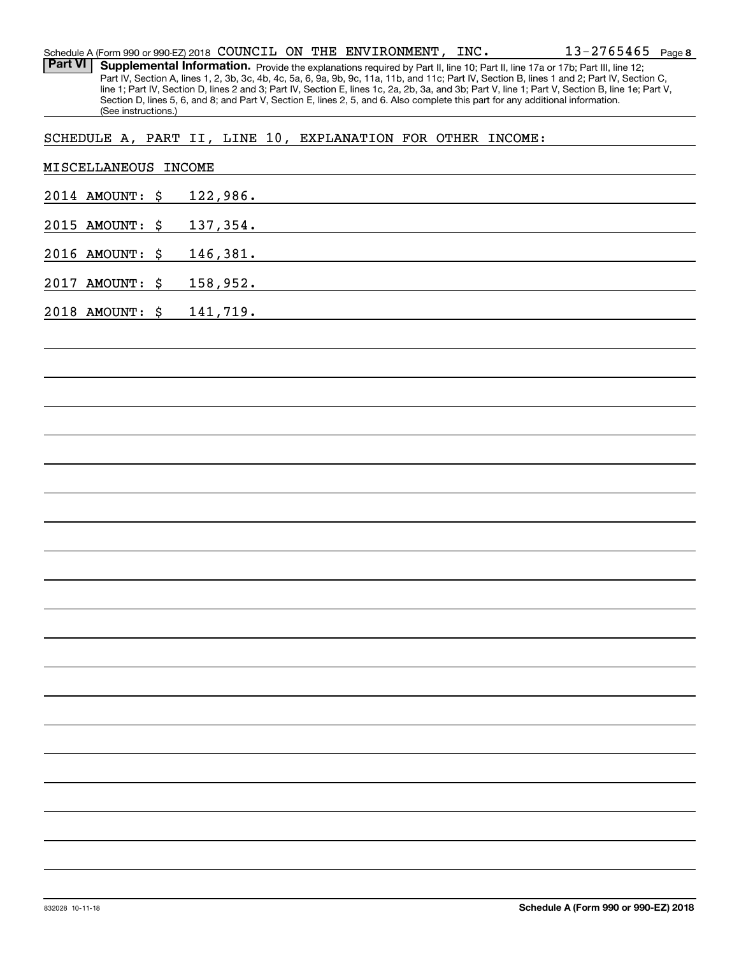|                | Schedule A (Form 990 or 990-EZ) 2018 COUNCIL ON THE ENVIRONMENT, $INC$ . |  |          |  |                                                                                                                      |  |           | $13 - 2765465$ Page 8                                                                                                                                                                                                                                                                            |  |
|----------------|--------------------------------------------------------------------------|--|----------|--|----------------------------------------------------------------------------------------------------------------------|--|-----------|--------------------------------------------------------------------------------------------------------------------------------------------------------------------------------------------------------------------------------------------------------------------------------------------------|--|
| <b>Part VI</b> |                                                                          |  |          |  |                                                                                                                      |  |           | Supplemental Information. Provide the explanations required by Part II, line 10; Part II, line 17a or 17b; Part III, line 12;                                                                                                                                                                    |  |
|                |                                                                          |  |          |  |                                                                                                                      |  |           | Part IV, Section A, lines 1, 2, 3b, 3c, 4b, 4c, 5a, 6, 9a, 9b, 9c, 11a, 11b, and 11c; Part IV, Section B, lines 1 and 2; Part IV, Section C,<br>line 1; Part IV, Section D, lines 2 and 3; Part IV, Section E, lines 1c, 2a, 2b, 3a, and 3b; Part V, line 1; Part V, Section B, line 1e; Part V, |  |
|                |                                                                          |  |          |  |                                                                                                                      |  |           | Section D, lines 5, 6, and 8; and Part V, Section E, lines 2, 5, and 6. Also complete this part for any additional information.                                                                                                                                                                  |  |
|                | (See instructions.)                                                      |  |          |  |                                                                                                                      |  |           |                                                                                                                                                                                                                                                                                                  |  |
|                | SCHEDULE A, PART II, LINE 10, EXPLANATION FOR OTHER INCOME:              |  |          |  |                                                                                                                      |  |           |                                                                                                                                                                                                                                                                                                  |  |
|                |                                                                          |  |          |  |                                                                                                                      |  |           |                                                                                                                                                                                                                                                                                                  |  |
|                | MISCELLANEOUS INCOME                                                     |  |          |  |                                                                                                                      |  |           |                                                                                                                                                                                                                                                                                                  |  |
|                |                                                                          |  |          |  |                                                                                                                      |  |           |                                                                                                                                                                                                                                                                                                  |  |
|                | 2014 AMOUNT: \$                                                          |  | 122,986. |  | <u> 1980 - Jan Samuel Barbara, martin da shekara 1980 - An tsara 1980 - An tsara 1980 - An tsara 1980 - An tsara</u> |  |           |                                                                                                                                                                                                                                                                                                  |  |
|                |                                                                          |  |          |  |                                                                                                                      |  |           |                                                                                                                                                                                                                                                                                                  |  |
|                | 2015 AMOUNT: \$                                                          |  |          |  |                                                                                                                      |  | 137, 354. |                                                                                                                                                                                                                                                                                                  |  |
|                |                                                                          |  |          |  |                                                                                                                      |  |           |                                                                                                                                                                                                                                                                                                  |  |
|                | 2016 AMOUNT: \$                                                          |  |          |  | 146,381.                                                                                                             |  |           |                                                                                                                                                                                                                                                                                                  |  |
|                | 2017 AMOUNT: \$                                                          |  |          |  | 158,952.                                                                                                             |  |           |                                                                                                                                                                                                                                                                                                  |  |
|                |                                                                          |  |          |  |                                                                                                                      |  |           |                                                                                                                                                                                                                                                                                                  |  |
|                | 2018 AMOUNT: \$                                                          |  | 141,719. |  |                                                                                                                      |  |           |                                                                                                                                                                                                                                                                                                  |  |
|                |                                                                          |  |          |  |                                                                                                                      |  |           |                                                                                                                                                                                                                                                                                                  |  |
|                |                                                                          |  |          |  |                                                                                                                      |  |           |                                                                                                                                                                                                                                                                                                  |  |
|                |                                                                          |  |          |  |                                                                                                                      |  |           |                                                                                                                                                                                                                                                                                                  |  |
|                |                                                                          |  |          |  |                                                                                                                      |  |           |                                                                                                                                                                                                                                                                                                  |  |
|                |                                                                          |  |          |  |                                                                                                                      |  |           |                                                                                                                                                                                                                                                                                                  |  |
|                |                                                                          |  |          |  |                                                                                                                      |  |           |                                                                                                                                                                                                                                                                                                  |  |
|                |                                                                          |  |          |  |                                                                                                                      |  |           |                                                                                                                                                                                                                                                                                                  |  |
|                |                                                                          |  |          |  |                                                                                                                      |  |           |                                                                                                                                                                                                                                                                                                  |  |
|                |                                                                          |  |          |  |                                                                                                                      |  |           |                                                                                                                                                                                                                                                                                                  |  |
|                |                                                                          |  |          |  |                                                                                                                      |  |           |                                                                                                                                                                                                                                                                                                  |  |
|                |                                                                          |  |          |  |                                                                                                                      |  |           |                                                                                                                                                                                                                                                                                                  |  |
|                |                                                                          |  |          |  |                                                                                                                      |  |           |                                                                                                                                                                                                                                                                                                  |  |
|                |                                                                          |  |          |  |                                                                                                                      |  |           |                                                                                                                                                                                                                                                                                                  |  |
|                |                                                                          |  |          |  |                                                                                                                      |  |           |                                                                                                                                                                                                                                                                                                  |  |
|                |                                                                          |  |          |  |                                                                                                                      |  |           |                                                                                                                                                                                                                                                                                                  |  |
|                |                                                                          |  |          |  |                                                                                                                      |  |           |                                                                                                                                                                                                                                                                                                  |  |
|                |                                                                          |  |          |  |                                                                                                                      |  |           |                                                                                                                                                                                                                                                                                                  |  |
|                |                                                                          |  |          |  |                                                                                                                      |  |           |                                                                                                                                                                                                                                                                                                  |  |
|                |                                                                          |  |          |  |                                                                                                                      |  |           |                                                                                                                                                                                                                                                                                                  |  |
|                |                                                                          |  |          |  |                                                                                                                      |  |           |                                                                                                                                                                                                                                                                                                  |  |
|                |                                                                          |  |          |  |                                                                                                                      |  |           |                                                                                                                                                                                                                                                                                                  |  |
|                |                                                                          |  |          |  |                                                                                                                      |  |           |                                                                                                                                                                                                                                                                                                  |  |
|                |                                                                          |  |          |  |                                                                                                                      |  |           |                                                                                                                                                                                                                                                                                                  |  |
|                |                                                                          |  |          |  |                                                                                                                      |  |           |                                                                                                                                                                                                                                                                                                  |  |
|                |                                                                          |  |          |  |                                                                                                                      |  |           |                                                                                                                                                                                                                                                                                                  |  |
|                |                                                                          |  |          |  |                                                                                                                      |  |           |                                                                                                                                                                                                                                                                                                  |  |
|                |                                                                          |  |          |  |                                                                                                                      |  |           |                                                                                                                                                                                                                                                                                                  |  |
|                |                                                                          |  |          |  |                                                                                                                      |  |           |                                                                                                                                                                                                                                                                                                  |  |
|                |                                                                          |  |          |  |                                                                                                                      |  |           |                                                                                                                                                                                                                                                                                                  |  |
|                |                                                                          |  |          |  |                                                                                                                      |  |           |                                                                                                                                                                                                                                                                                                  |  |
|                |                                                                          |  |          |  |                                                                                                                      |  |           |                                                                                                                                                                                                                                                                                                  |  |
|                |                                                                          |  |          |  |                                                                                                                      |  |           |                                                                                                                                                                                                                                                                                                  |  |
|                |                                                                          |  |          |  |                                                                                                                      |  |           |                                                                                                                                                                                                                                                                                                  |  |
|                |                                                                          |  |          |  |                                                                                                                      |  |           |                                                                                                                                                                                                                                                                                                  |  |
|                |                                                                          |  |          |  |                                                                                                                      |  |           |                                                                                                                                                                                                                                                                                                  |  |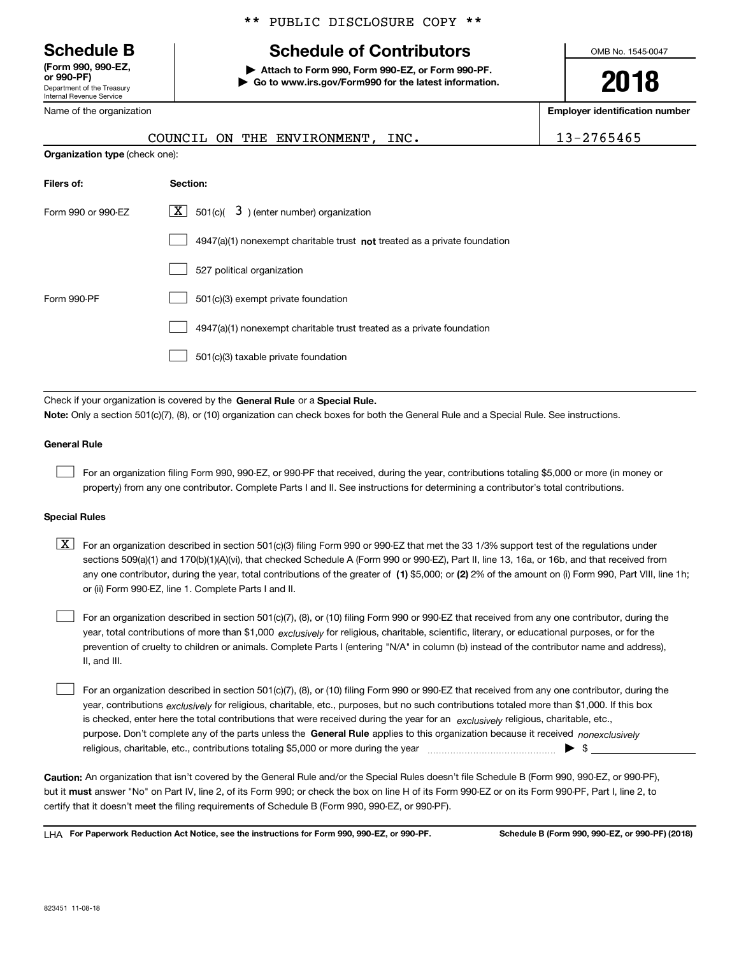Department of the Treasury Internal Revenue Service **(Form 990, 990-EZ, or 990-PF)**

Name of the organization

#### \*\* PUBLIC DISCLOSURE COPY \*\*

# **Schedule B Schedule of Contributors**

**| Attach to Form 990, Form 990-EZ, or Form 990-PF. | Go to www.irs.gov/Form990 for the latest information.** OMB No. 1545-0047

**2018**

**Employer identification number**

|                                | COUNCIL ON THE ENVIRONMENT, INC.                                                                                                          | 13-2765465 |
|--------------------------------|-------------------------------------------------------------------------------------------------------------------------------------------|------------|
| Organization type (check one): |                                                                                                                                           |            |
| Filers of:                     | Section:                                                                                                                                  |            |
| Form 990 or 990-EZ             | $\underline{X}$ 501(c)( 3) (enter number) organization                                                                                    |            |
|                                | $4947(a)(1)$ nonexempt charitable trust not treated as a private foundation                                                               |            |
|                                | 527 political organization                                                                                                                |            |
| Form 990-PF                    | 501(c)(3) exempt private foundation                                                                                                       |            |
|                                | 4947(a)(1) nonexempt charitable trust treated as a private foundation                                                                     |            |
|                                | 501(c)(3) taxable private foundation                                                                                                      |            |
|                                |                                                                                                                                           |            |
|                                | Check if your organization is covered by the General Rule or a Special Rule.                                                              |            |
|                                | Note: Only a section 501(c)(7), (8), or (10) organization can check boxes for both the General Rule and a Special Rule. See instructions. |            |

#### **General Rule**

 $\mathcal{L}^{\text{max}}$ 

For an organization filing Form 990, 990-EZ, or 990-PF that received, during the year, contributions totaling \$5,000 or more (in money or property) from any one contributor. Complete Parts I and II. See instructions for determining a contributor's total contributions.

#### **Special Rules**

any one contributor, during the year, total contributions of the greater of  $\,$  (1) \$5,000; or **(2)** 2% of the amount on (i) Form 990, Part VIII, line 1h;  $\boxed{\textbf{X}}$  For an organization described in section 501(c)(3) filing Form 990 or 990-EZ that met the 33 1/3% support test of the regulations under sections 509(a)(1) and 170(b)(1)(A)(vi), that checked Schedule A (Form 990 or 990-EZ), Part II, line 13, 16a, or 16b, and that received from or (ii) Form 990-EZ, line 1. Complete Parts I and II.

year, total contributions of more than \$1,000 *exclusively* for religious, charitable, scientific, literary, or educational purposes, or for the For an organization described in section 501(c)(7), (8), or (10) filing Form 990 or 990-EZ that received from any one contributor, during the prevention of cruelty to children or animals. Complete Parts I (entering "N/A" in column (b) instead of the contributor name and address), II, and III.  $\mathcal{L}^{\text{max}}$ 

purpose. Don't complete any of the parts unless the **General Rule** applies to this organization because it received *nonexclusively* year, contributions <sub>exclusively</sub> for religious, charitable, etc., purposes, but no such contributions totaled more than \$1,000. If this box is checked, enter here the total contributions that were received during the year for an  $\;$ exclusively religious, charitable, etc., For an organization described in section 501(c)(7), (8), or (10) filing Form 990 or 990-EZ that received from any one contributor, during the religious, charitable, etc., contributions totaling \$5,000 or more during the year  $\Box$ — $\Box$   $\Box$  $\mathcal{L}^{\text{max}}$ 

**Caution:**  An organization that isn't covered by the General Rule and/or the Special Rules doesn't file Schedule B (Form 990, 990-EZ, or 990-PF),  **must** but it answer "No" on Part IV, line 2, of its Form 990; or check the box on line H of its Form 990-EZ or on its Form 990-PF, Part I, line 2, to certify that it doesn't meet the filing requirements of Schedule B (Form 990, 990-EZ, or 990-PF).

**For Paperwork Reduction Act Notice, see the instructions for Form 990, 990-EZ, or 990-PF. Schedule B (Form 990, 990-EZ, or 990-PF) (2018)** LHA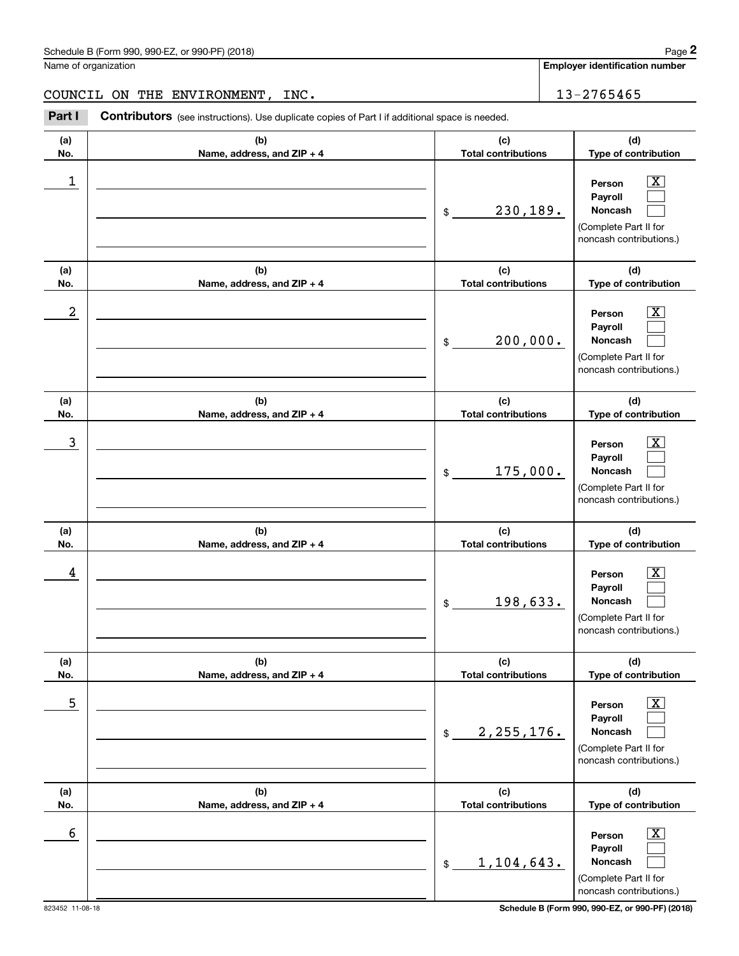## Schedule B (Form 990, 990-EZ, or 990-PF) (2018) Page 2

Name of organization

**Employer identification number**

#### COUNCIL ON THE ENVIRONMENT, INC. 13-2765465

Chedule B (Form 990, 990-EZ, or 990-PF) (2018)<br>
lame of organization<br> **20UNCIL ON THE ENVIRONMENT, INC.**<br> **20UNCIL ON THE ENVIRONMENT, INC.**<br> **20UNCIL Contributors** (see instructions). Use duplicate copies of Part I if add

| (a)<br>No. | (b)<br>Name, address, and ZIP + 4 | (c)<br><b>Total contributions</b> | (d)<br>Type of contribution                                                                                 |
|------------|-----------------------------------|-----------------------------------|-------------------------------------------------------------------------------------------------------------|
| 1          |                                   | 230,189.<br>\$                    | $\overline{\texttt{X}}$<br>Person<br>Payroll<br>Noncash<br>(Complete Part II for<br>noncash contributions.) |
| (a)<br>No. | (b)<br>Name, address, and ZIP + 4 | (c)<br><b>Total contributions</b> | (d)<br>Type of contribution                                                                                 |
| 2          |                                   | 200,000.<br>\$                    | $\overline{\texttt{X}}$<br>Person<br>Payroll<br>Noncash<br>(Complete Part II for<br>noncash contributions.) |
| (a)<br>No. | (b)<br>Name, address, and ZIP + 4 | (c)<br><b>Total contributions</b> | (d)<br>Type of contribution                                                                                 |
| 3          |                                   | 175,000.<br>\$                    | $\overline{\texttt{X}}$<br>Person<br>Payroll<br>Noncash<br>(Complete Part II for<br>noncash contributions.) |
| (a)<br>No. | (b)<br>Name, address, and ZIP + 4 | (c)<br><b>Total contributions</b> | (d)<br>Type of contribution                                                                                 |
| 4          |                                   | 198,633.<br>\$                    | $\overline{\texttt{X}}$<br>Person<br>Payroll<br>Noncash<br>(Complete Part II for<br>noncash contributions.) |
| (a)<br>No. | (b)<br>Name, address, and ZIP + 4 | (c)<br><b>Total contributions</b> | (d)<br>Type of contribution                                                                                 |
| 5          |                                   | 2, 255, 176.<br>\$                | $\overline{\text{X}}$<br>Person<br>Payroll<br>Noncash<br>(Complete Part II for<br>noncash contributions.)   |
| (a)<br>No. | (b)<br>Name, address, and ZIP + 4 | (c)<br><b>Total contributions</b> | (d)<br>Type of contribution                                                                                 |
| 6          |                                   | 1,104,643.<br>\$                  | $\overline{\text{X}}$<br>Person<br>Payroll<br>Noncash<br>(Complete Part II for<br>noncash contributions.)   |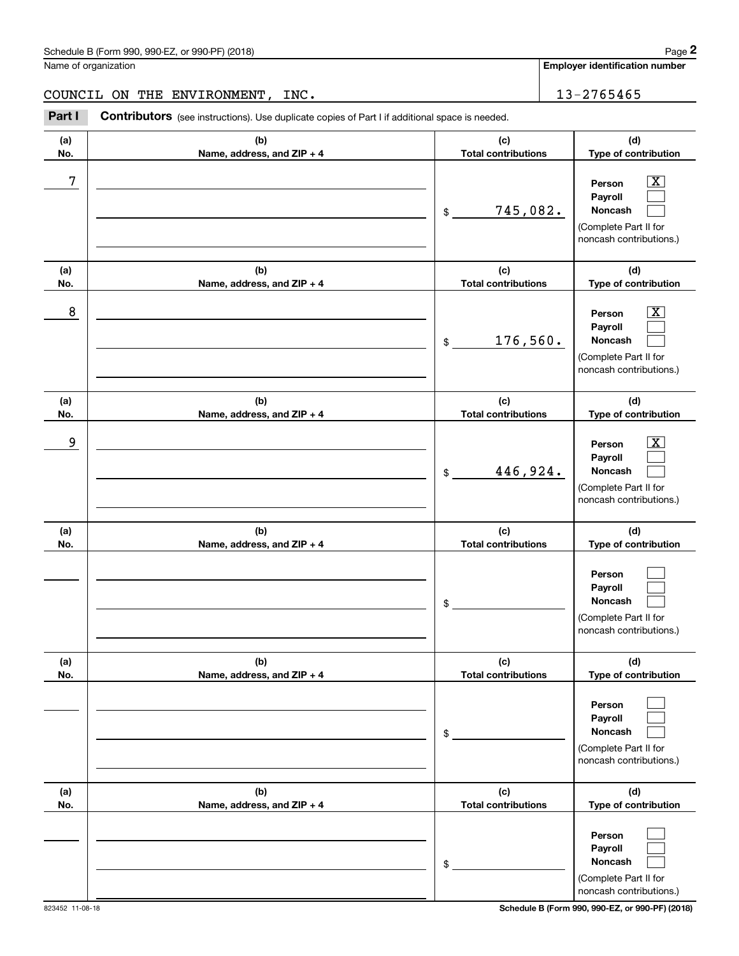## Schedule B (Form 990, 990-EZ, or 990-PF) (2018) Page 2

Name of organization

**Employer identification number**

#### COUNCIL ON THE ENVIRONMENT, INC. 13-2765465

Chedule B (Form 990, 990-EZ, or 990-PF) (2018)<br>
lame of organization<br> **20UNCIL ON THE ENVIRONMENT, INC.**<br> **20UNCIL ON THE ENVIRONMENT, INC.**<br> **20UNCIL Contributors** (see instructions). Use duplicate copies of Part I if add

| (a)<br>No. | (b)<br>Name, address, and ZIP + 4 | (c)<br><b>Total contributions</b>         | (d)<br>Type of contribution                                                                               |
|------------|-----------------------------------|-------------------------------------------|-----------------------------------------------------------------------------------------------------------|
| 7          |                                   | 745,082.<br>$\$$                          | $\overline{\text{X}}$<br>Person<br>Payroll<br>Noncash<br>(Complete Part II for<br>noncash contributions.) |
| (a)<br>No. | (b)<br>Name, address, and ZIP + 4 | (c)<br><b>Total contributions</b>         | (d)<br>Type of contribution                                                                               |
| 8          |                                   | 176,560.<br>$\$$                          | $\overline{\text{X}}$<br>Person<br>Payroll<br>Noncash<br>(Complete Part II for<br>noncash contributions.) |
| (a)<br>No. | (b)<br>Name, address, and ZIP + 4 | (c)<br><b>Total contributions</b>         | (d)<br>Type of contribution                                                                               |
| 9          |                                   | 446,924.<br>$\$$                          | х<br>Person<br>Payroll<br>Noncash<br>(Complete Part II for<br>noncash contributions.)                     |
| (a)<br>No. | (b)<br>Name, address, and ZIP + 4 | (c)<br><b>Total contributions</b>         | (d)<br>Type of contribution                                                                               |
|            |                                   | \$                                        | Person<br>Payroll<br>Noncash<br>(Complete Part II for<br>noncash contributions.)                          |
| (a)<br>No. | (b)<br>Name, address, and ZIP + 4 | (c)<br><b>Total contributions</b>         | (d)<br>Type of contribution                                                                               |
|            |                                   | $\, \, \raisebox{12pt}{$\scriptstyle \$}$ | Person<br>Payroll<br>Noncash<br>(Complete Part II for<br>noncash contributions.)                          |
| (a)<br>No. | (b)<br>Name, address, and ZIP + 4 | (c)<br><b>Total contributions</b>         | (d)<br>Type of contribution                                                                               |
|            |                                   | $\$$                                      | Person<br>Payroll<br>Noncash<br>(Complete Part II for<br>noncash contributions.)                          |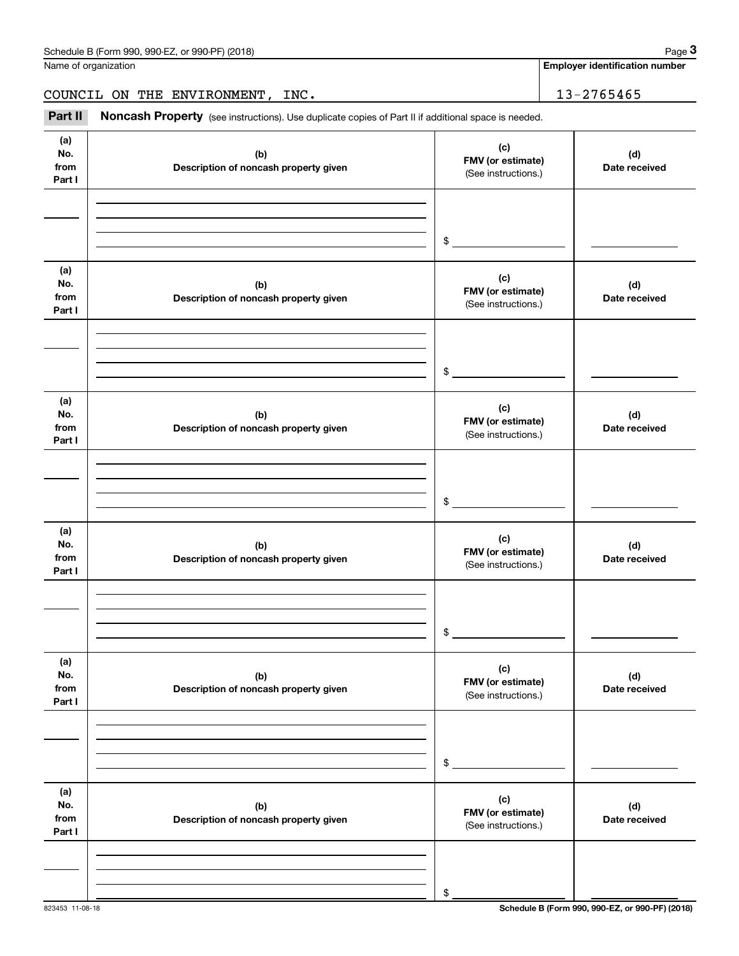Name of organization

**Employer identification number**

COUNCIL ON THE ENVIRONMENT, INC. 13-2765465

Chedule B (Form 990, 990-EZ, or 990-PF) (2018)<br>
lame of organization<br> **20UNCIL ON THE ENVIRONMENT, INC.**<br> **Part II Noncash Property** (see instructions). Use duplicate copies of Part II if additional space is needed.

| (a)<br>No.<br>from<br>Part I | (b)<br>Description of noncash property given | (c)<br>FMV (or estimate)<br>(See instructions.) | (d)<br>Date received |
|------------------------------|----------------------------------------------|-------------------------------------------------|----------------------|
|                              |                                              |                                                 |                      |
|                              |                                              | \$                                              |                      |
| (a)<br>No.<br>from<br>Part I | (b)<br>Description of noncash property given | (c)<br>FMV (or estimate)<br>(See instructions.) | (d)<br>Date received |
|                              |                                              |                                                 |                      |
|                              |                                              | \$                                              |                      |
| (a)<br>No.<br>from<br>Part I | (b)<br>Description of noncash property given | (c)<br>FMV (or estimate)<br>(See instructions.) | (d)<br>Date received |
|                              |                                              |                                                 |                      |
|                              |                                              | \$                                              |                      |
| (a)<br>No.<br>from<br>Part I | (b)<br>Description of noncash property given | (c)<br>FMV (or estimate)<br>(See instructions.) | (d)<br>Date received |
|                              |                                              |                                                 |                      |
|                              |                                              | \$                                              |                      |
| (a)<br>No.<br>from<br>Part I | (b)<br>Description of noncash property given | (c)<br>FMV (or estimate)<br>(See instructions.) | (d)<br>Date received |
|                              |                                              |                                                 |                      |
|                              |                                              | $\$$                                            |                      |
| (a)<br>No.<br>from<br>Part I | (b)<br>Description of noncash property given | (c)<br>FMV (or estimate)<br>(See instructions.) | (d)<br>Date received |
|                              |                                              |                                                 |                      |
|                              |                                              | \$                                              |                      |

823453 11-08-18 **Schedule B (Form 990, 990-EZ, or 990-PF) (2018)**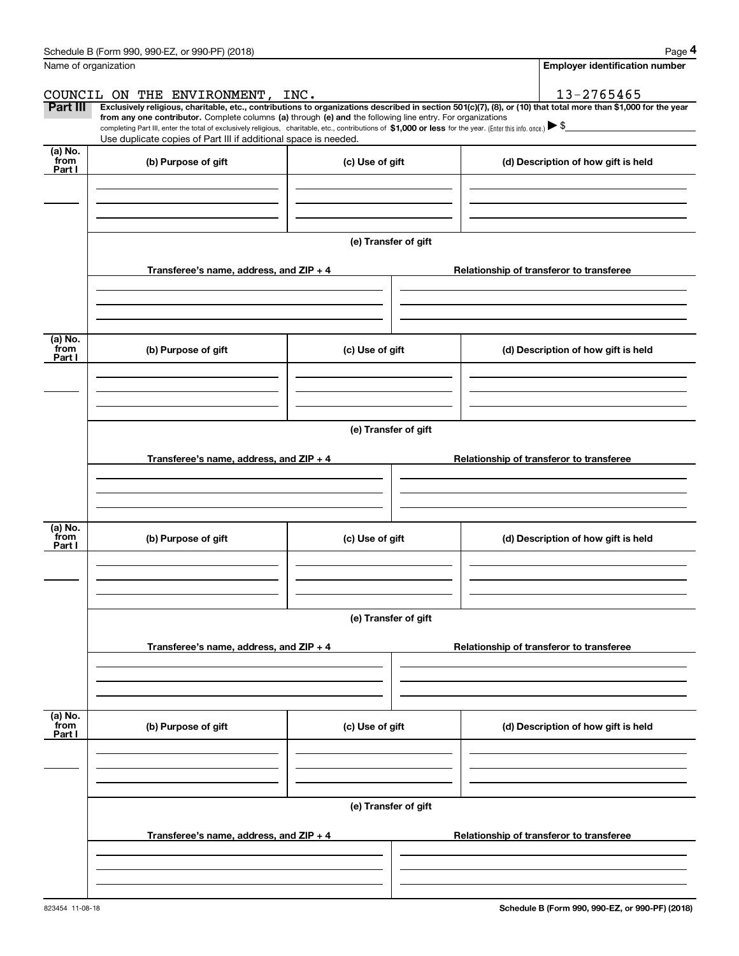| Schedule B (Form 990, 990-EZ, or 990-PF) (2018)<br>Page |  |
|---------------------------------------------------------|--|
|---------------------------------------------------------|--|

|                           | Schedule B (Form 990, 990-EZ, or 990-PF) (2018)                                                                                                                                                                                                      |                      | Page 4                                                                                                                                                         |  |  |  |
|---------------------------|------------------------------------------------------------------------------------------------------------------------------------------------------------------------------------------------------------------------------------------------------|----------------------|----------------------------------------------------------------------------------------------------------------------------------------------------------------|--|--|--|
|                           | Name of organization                                                                                                                                                                                                                                 |                      | <b>Employer identification number</b>                                                                                                                          |  |  |  |
|                           | COUNCIL ON THE ENVIRONMENT, INC.                                                                                                                                                                                                                     |                      | 13-2765465                                                                                                                                                     |  |  |  |
| <b>Part III</b>           | from any one contributor. Complete columns (a) through (e) and the following line entry. For organizations                                                                                                                                           |                      | Exclusively religious, charitable, etc., contributions to organizations described in section 501(c)(7), (8), or (10) that total more than \$1,000 for the year |  |  |  |
|                           | completing Part III, enter the total of exclusively religious, charitable, etc., contributions of \$1,000 or less for the year. (Enter this info. once.) $\blacktriangleright$ \$<br>Use duplicate copies of Part III if additional space is needed. |                      |                                                                                                                                                                |  |  |  |
| (a) No.<br>from<br>Part I | (b) Purpose of gift                                                                                                                                                                                                                                  | (c) Use of gift      | (d) Description of how gift is held                                                                                                                            |  |  |  |
|                           |                                                                                                                                                                                                                                                      |                      |                                                                                                                                                                |  |  |  |
|                           |                                                                                                                                                                                                                                                      |                      |                                                                                                                                                                |  |  |  |
|                           |                                                                                                                                                                                                                                                      | (e) Transfer of gift |                                                                                                                                                                |  |  |  |
|                           | Transferee's name, address, and ZIP + 4                                                                                                                                                                                                              |                      | Relationship of transferor to transferee                                                                                                                       |  |  |  |
|                           |                                                                                                                                                                                                                                                      |                      |                                                                                                                                                                |  |  |  |
| (a) No.<br>from<br>Part I | (b) Purpose of gift                                                                                                                                                                                                                                  | (c) Use of gift      | (d) Description of how gift is held                                                                                                                            |  |  |  |
|                           |                                                                                                                                                                                                                                                      |                      |                                                                                                                                                                |  |  |  |
|                           |                                                                                                                                                                                                                                                      | (e) Transfer of gift |                                                                                                                                                                |  |  |  |
|                           | Transferee's name, address, and ZIP + 4                                                                                                                                                                                                              |                      | Relationship of transferor to transferee                                                                                                                       |  |  |  |
|                           |                                                                                                                                                                                                                                                      |                      |                                                                                                                                                                |  |  |  |
| (a) No.<br>from<br>Part I | (b) Purpose of gift                                                                                                                                                                                                                                  | (c) Use of gift      | (d) Description of how gift is held                                                                                                                            |  |  |  |
|                           |                                                                                                                                                                                                                                                      |                      |                                                                                                                                                                |  |  |  |
|                           |                                                                                                                                                                                                                                                      | (e) Transfer of gift |                                                                                                                                                                |  |  |  |
|                           | Transferee's name, address, and ZIP + 4                                                                                                                                                                                                              |                      | Relationship of transferor to transferee                                                                                                                       |  |  |  |
|                           |                                                                                                                                                                                                                                                      |                      |                                                                                                                                                                |  |  |  |
| (a) No.<br>from<br>Part I | (b) Purpose of gift                                                                                                                                                                                                                                  | (c) Use of gift      | (d) Description of how gift is held                                                                                                                            |  |  |  |
|                           |                                                                                                                                                                                                                                                      |                      |                                                                                                                                                                |  |  |  |
|                           |                                                                                                                                                                                                                                                      | (e) Transfer of gift |                                                                                                                                                                |  |  |  |
|                           | Transferee's name, address, and $ZIP + 4$                                                                                                                                                                                                            |                      | Relationship of transferor to transferee                                                                                                                       |  |  |  |
|                           |                                                                                                                                                                                                                                                      |                      |                                                                                                                                                                |  |  |  |
|                           |                                                                                                                                                                                                                                                      |                      |                                                                                                                                                                |  |  |  |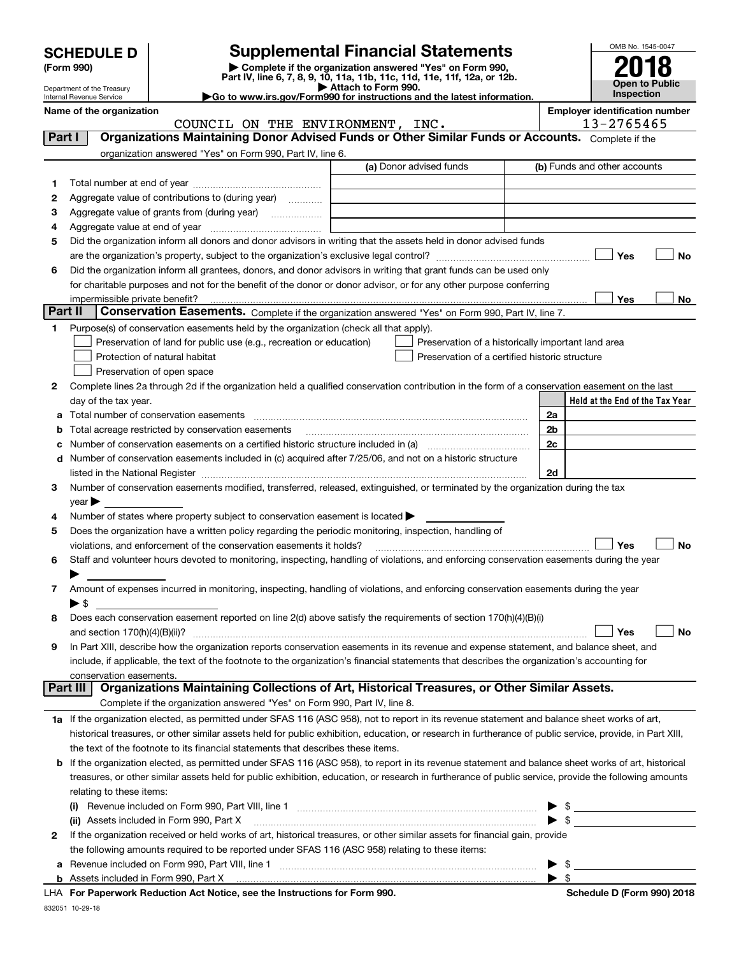| <b>SCHEDULE D</b> I |  |
|---------------------|--|
|                     |  |

Department of the Treasury Internal Revenue Service

# **SCHEDULE D Supplemental Financial Statements**

(Form 990)<br>
Pepartment of the Treasury<br>
Department of the Treasury<br>
Department of the Treasury<br>
Department of the Treasury<br> **Co to www.irs.gov/Form990 for instructions and the latest information.**<br> **Co to www.irs.gov/Form9** 



**Name of the organization Employer identification number**

|         | COUNCIL ON THE ENVIRONMENT, INC.                                                                                                                           |                         | 13-2765465                                         |
|---------|------------------------------------------------------------------------------------------------------------------------------------------------------------|-------------------------|----------------------------------------------------|
| Part I  | Organizations Maintaining Donor Advised Funds or Other Similar Funds or Accounts. Complete if the                                                          |                         |                                                    |
|         | organization answered "Yes" on Form 990, Part IV, line 6.                                                                                                  |                         |                                                    |
|         |                                                                                                                                                            | (a) Donor advised funds | (b) Funds and other accounts                       |
| 1       |                                                                                                                                                            |                         |                                                    |
| 2       | Aggregate value of contributions to (during year)                                                                                                          |                         |                                                    |
| з       | Aggregate value of grants from (during year)                                                                                                               |                         |                                                    |
| 4       |                                                                                                                                                            |                         |                                                    |
| 5       | Did the organization inform all donors and donor advisors in writing that the assets held in donor advised funds                                           |                         |                                                    |
|         |                                                                                                                                                            |                         | Yes<br>No                                          |
| 6       | Did the organization inform all grantees, donors, and donor advisors in writing that grant funds can be used only                                          |                         |                                                    |
|         |                                                                                                                                                            |                         |                                                    |
|         | for charitable purposes and not for the benefit of the donor or donor advisor, or for any other purpose conferring                                         |                         |                                                    |
| Part II | impermissible private benefit?<br>Conservation Easements. Complete if the organization answered "Yes" on Form 990, Part IV, line 7.                        |                         | Yes<br>No                                          |
|         |                                                                                                                                                            |                         |                                                    |
| 1       | Purpose(s) of conservation easements held by the organization (check all that apply).                                                                      |                         |                                                    |
|         | Preservation of land for public use (e.g., recreation or education)                                                                                        |                         | Preservation of a historically important land area |
|         | Protection of natural habitat                                                                                                                              |                         | Preservation of a certified historic structure     |
|         | Preservation of open space                                                                                                                                 |                         |                                                    |
| 2       | Complete lines 2a through 2d if the organization held a qualified conservation contribution in the form of a conservation easement on the last             |                         |                                                    |
|         | day of the tax year.                                                                                                                                       |                         | Held at the End of the Tax Year                    |
|         |                                                                                                                                                            |                         | 2a                                                 |
| b       | Total acreage restricted by conservation easements                                                                                                         |                         | 2 <sub>b</sub>                                     |
| c       | Number of conservation easements on a certified historic structure included in (a) manufacture included in (a)                                             |                         | 2c                                                 |
|         | d Number of conservation easements included in (c) acquired after 7/25/06, and not on a historic structure                                                 |                         |                                                    |
|         |                                                                                                                                                            |                         | 2d                                                 |
| 3       | Number of conservation easements modified, transferred, released, extinguished, or terminated by the organization during the tax                           |                         |                                                    |
|         | year                                                                                                                                                       |                         |                                                    |
| 4       | Number of states where property subject to conservation easement is located $\blacktriangleright$                                                          |                         |                                                    |
| 5       | Does the organization have a written policy regarding the periodic monitoring, inspection, handling of                                                     |                         |                                                    |
|         | violations, and enforcement of the conservation easements it holds?                                                                                        |                         | Yes<br><b>No</b>                                   |
| 6       | Staff and volunteer hours devoted to monitoring, inspecting, handling of violations, and enforcing conservation easements during the year                  |                         |                                                    |
|         |                                                                                                                                                            |                         |                                                    |
| 7       | Amount of expenses incurred in monitoring, inspecting, handling of violations, and enforcing conservation easements during the year                        |                         |                                                    |
|         | $\blacktriangleright$ s                                                                                                                                    |                         |                                                    |
| 8       | Does each conservation easement reported on line 2(d) above satisfy the requirements of section 170(h)(4)(B)(i)                                            |                         |                                                    |
|         |                                                                                                                                                            |                         | Yes<br>No                                          |
| 9       | In Part XIII, describe how the organization reports conservation easements in its revenue and expense statement, and balance sheet, and                    |                         |                                                    |
|         | include, if applicable, the text of the footnote to the organization's financial statements that describes the organization's accounting for               |                         |                                                    |
|         | conservation easements.                                                                                                                                    |                         |                                                    |
|         | Organizations Maintaining Collections of Art, Historical Treasures, or Other Similar Assets.<br>Part III                                                   |                         |                                                    |
|         | Complete if the organization answered "Yes" on Form 990, Part IV, line 8.                                                                                  |                         |                                                    |
|         | 1a If the organization elected, as permitted under SFAS 116 (ASC 958), not to report in its revenue statement and balance sheet works of art,              |                         |                                                    |
|         | historical treasures, or other similar assets held for public exhibition, education, or research in furtherance of public service, provide, in Part XIII,  |                         |                                                    |
|         | the text of the footnote to its financial statements that describes these items.                                                                           |                         |                                                    |
|         | <b>b</b> If the organization elected, as permitted under SFAS 116 (ASC 958), to report in its revenue statement and balance sheet works of art, historical |                         |                                                    |
|         | treasures, or other similar assets held for public exhibition, education, or research in furtherance of public service, provide the following amounts      |                         |                                                    |
|         | relating to these items:                                                                                                                                   |                         |                                                    |
|         |                                                                                                                                                            |                         | $\blacktriangleright$ \$                           |
|         | (ii) Assets included in Form 990, Part X                                                                                                                   |                         | $\bullet$ \$                                       |
| 2       | If the organization received or held works of art, historical treasures, or other similar assets for financial gain, provide                               |                         |                                                    |
|         | the following amounts required to be reported under SFAS 116 (ASC 958) relating to these items:                                                            |                         |                                                    |
| а       |                                                                                                                                                            |                         | $\blacktriangleright$ \$                           |
|         |                                                                                                                                                            |                         | $\blacktriangleright$ \$                           |
|         |                                                                                                                                                            |                         |                                                    |

**For Paperwork Reduction Act Notice, see the Instructions for Form 990. Schedule D (Form 990) 2018** LHA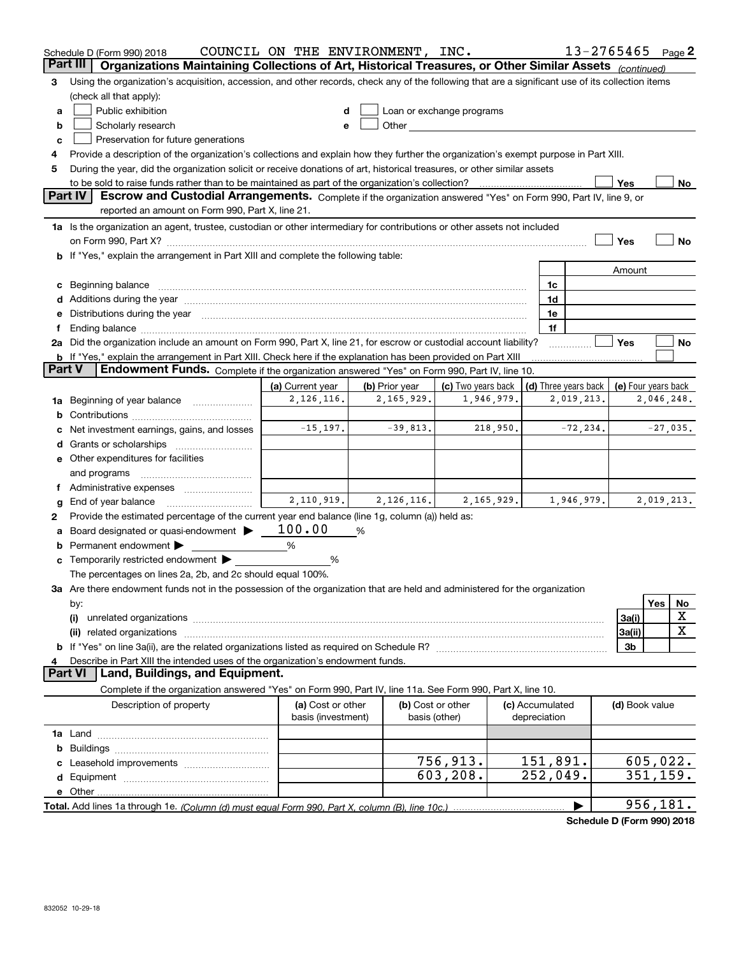|               | Schedule D (Form 990) 2018                                                                                                                                                                                                          | COUNCIL ON THE ENVIRONMENT, INC.        |                              |                                                                                                                                                                                                                               |  |                                    |             | 13-2765465          |            | Page 2 |  |  |  |
|---------------|-------------------------------------------------------------------------------------------------------------------------------------------------------------------------------------------------------------------------------------|-----------------------------------------|------------------------------|-------------------------------------------------------------------------------------------------------------------------------------------------------------------------------------------------------------------------------|--|------------------------------------|-------------|---------------------|------------|--------|--|--|--|
|               | Organizations Maintaining Collections of Art, Historical Treasures, or Other Similar Assets (continued)<br>Part III                                                                                                                 |                                         |                              |                                                                                                                                                                                                                               |  |                                    |             |                     |            |        |  |  |  |
| 3             | Using the organization's acquisition, accession, and other records, check any of the following that are a significant use of its collection items<br>(check all that apply):                                                        |                                         |                              |                                                                                                                                                                                                                               |  |                                    |             |                     |            |        |  |  |  |
| a             | Public exhibition                                                                                                                                                                                                                   | d                                       |                              | Loan or exchange programs                                                                                                                                                                                                     |  |                                    |             |                     |            |        |  |  |  |
| b             | Scholarly research                                                                                                                                                                                                                  | е                                       |                              | Other and the contract of the contract of the contract of the contract of the contract of the contract of the contract of the contract of the contract of the contract of the contract of the contract of the contract of the |  |                                    |             |                     |            |        |  |  |  |
| c             | Preservation for future generations                                                                                                                                                                                                 |                                         |                              |                                                                                                                                                                                                                               |  |                                    |             |                     |            |        |  |  |  |
| 4             | Provide a description of the organization's collections and explain how they further the organization's exempt purpose in Part XIII.                                                                                                |                                         |                              |                                                                                                                                                                                                                               |  |                                    |             |                     |            |        |  |  |  |
| 5             | During the year, did the organization solicit or receive donations of art, historical treasures, or other similar assets                                                                                                            |                                         |                              |                                                                                                                                                                                                                               |  |                                    |             |                     |            |        |  |  |  |
|               | to be sold to raise funds rather than to be maintained as part of the organization's collection?                                                                                                                                    |                                         |                              |                                                                                                                                                                                                                               |  |                                    |             | Yes                 |            | No     |  |  |  |
|               | Part IV<br>Escrow and Custodial Arrangements. Complete if the organization answered "Yes" on Form 990, Part IV, line 9, or                                                                                                          |                                         |                              |                                                                                                                                                                                                                               |  |                                    |             |                     |            |        |  |  |  |
|               | reported an amount on Form 990, Part X, line 21.                                                                                                                                                                                    |                                         |                              |                                                                                                                                                                                                                               |  |                                    |             |                     |            |        |  |  |  |
|               | 1a Is the organization an agent, trustee, custodian or other intermediary for contributions or other assets not included                                                                                                            |                                         |                              |                                                                                                                                                                                                                               |  |                                    |             |                     |            |        |  |  |  |
|               |                                                                                                                                                                                                                                     |                                         |                              |                                                                                                                                                                                                                               |  |                                    |             | Yes                 |            | No     |  |  |  |
|               | b If "Yes," explain the arrangement in Part XIII and complete the following table:                                                                                                                                                  |                                         |                              |                                                                                                                                                                                                                               |  |                                    |             |                     |            |        |  |  |  |
|               |                                                                                                                                                                                                                                     |                                         |                              |                                                                                                                                                                                                                               |  |                                    |             | Amount              |            |        |  |  |  |
|               |                                                                                                                                                                                                                                     |                                         |                              |                                                                                                                                                                                                                               |  | 1c                                 |             |                     |            |        |  |  |  |
|               | d Additions during the year manufactured and an account of the year manufactured and account of the year manufactured and account of the year manufactured and account of the year manufactured and account of the year manufa      |                                         |                              |                                                                                                                                                                                                                               |  | 1d                                 |             |                     |            |        |  |  |  |
|               | e Distributions during the year manufactured and a control of the year manufactured and the year manufactured and the year manufactured and the year manufactured and the year manufactured and the year manufactured and the       |                                         |                              |                                                                                                                                                                                                                               |  | 1e                                 |             |                     |            |        |  |  |  |
| Ť             | Ending balance manufactured and contract the contract of the contract of the contract of the contract of the contract of the contract of the contract of the contract of the contract of the contract of the contract of the c      |                                         |                              |                                                                                                                                                                                                                               |  | 1f                                 |             |                     |            |        |  |  |  |
|               | 2a Did the organization include an amount on Form 990, Part X, line 21, for escrow or custodial account liability?                                                                                                                  |                                         |                              |                                                                                                                                                                                                                               |  |                                    |             | Yes                 |            | No     |  |  |  |
| <b>Part V</b> | <b>b</b> If "Yes," explain the arrangement in Part XIII. Check here if the explanation has been provided on Part XIII<br>Endowment Funds. Complete if the organization answered "Yes" on Form 990, Part IV, line 10.                |                                         |                              |                                                                                                                                                                                                                               |  |                                    |             |                     |            |        |  |  |  |
|               |                                                                                                                                                                                                                                     |                                         |                              | (c) Two years back                                                                                                                                                                                                            |  |                                    |             |                     |            |        |  |  |  |
|               |                                                                                                                                                                                                                                     | (a) Current year<br>2, 126, 116.        | (b) Prior year<br>2,165,929. | 1,946,979.                                                                                                                                                                                                                    |  | (d) Three years back<br>2,019,213. |             | (e) Four years back | 2,046,248. |        |  |  |  |
|               | 1a Beginning of year balance                                                                                                                                                                                                        |                                         |                              |                                                                                                                                                                                                                               |  |                                    |             |                     |            |        |  |  |  |
|               | Net investment earnings, gains, and losses                                                                                                                                                                                          | $-15, 197.$                             | $-39,813.$                   | 218,950.                                                                                                                                                                                                                      |  |                                    | $-72, 234.$ |                     | $-27,035.$ |        |  |  |  |
|               |                                                                                                                                                                                                                                     |                                         |                              |                                                                                                                                                                                                                               |  |                                    |             |                     |            |        |  |  |  |
|               | e Other expenditures for facilities                                                                                                                                                                                                 |                                         |                              |                                                                                                                                                                                                                               |  |                                    |             |                     |            |        |  |  |  |
|               | and programs                                                                                                                                                                                                                        |                                         |                              |                                                                                                                                                                                                                               |  |                                    |             |                     |            |        |  |  |  |
|               | Administrative expenses                                                                                                                                                                                                             |                                         |                              |                                                                                                                                                                                                                               |  |                                    |             |                     |            |        |  |  |  |
| g             | End of year balance                                                                                                                                                                                                                 | 2,110,919.                              | 2,126,116.                   | 2,165,929.                                                                                                                                                                                                                    |  | 1,946,979.                         |             |                     | 2,019,213. |        |  |  |  |
| 2             | Provide the estimated percentage of the current year end balance (line 1g, column (a)) held as:                                                                                                                                     |                                         |                              |                                                                                                                                                                                                                               |  |                                    |             |                     |            |        |  |  |  |
| а             | Board designated or quasi-endowment                                                                                                                                                                                                 | 100.00                                  | %                            |                                                                                                                                                                                                                               |  |                                    |             |                     |            |        |  |  |  |
|               | <b>b</b> Permanent endowment $\blacktriangleright$                                                                                                                                                                                  | %                                       |                              |                                                                                                                                                                                                                               |  |                                    |             |                     |            |        |  |  |  |
|               | <b>c</b> Temporarily restricted endowment $\blacktriangleright$                                                                                                                                                                     | %                                       |                              |                                                                                                                                                                                                                               |  |                                    |             |                     |            |        |  |  |  |
|               | The percentages on lines 2a, 2b, and 2c should equal 100%.                                                                                                                                                                          |                                         |                              |                                                                                                                                                                                                                               |  |                                    |             |                     |            |        |  |  |  |
|               | 3a Are there endowment funds not in the possession of the organization that are held and administered for the organization                                                                                                          |                                         |                              |                                                                                                                                                                                                                               |  |                                    |             |                     |            |        |  |  |  |
|               | by:                                                                                                                                                                                                                                 |                                         |                              |                                                                                                                                                                                                                               |  |                                    |             |                     | Yes        | No     |  |  |  |
|               | (i)                                                                                                                                                                                                                                 |                                         |                              |                                                                                                                                                                                                                               |  |                                    |             | 3a(i)               |            | х      |  |  |  |
|               | (ii) related organizations <b>constructions</b> and construction of the construction of the construction of the construction of the construction of the construction of the construction of the construction of the construction of |                                         |                              |                                                                                                                                                                                                                               |  |                                    |             | 3a(ii)              |            | X      |  |  |  |
|               |                                                                                                                                                                                                                                     |                                         |                              |                                                                                                                                                                                                                               |  |                                    |             | 3b                  |            |        |  |  |  |
| 4             | Describe in Part XIII the intended uses of the organization's endowment funds.                                                                                                                                                      |                                         |                              |                                                                                                                                                                                                                               |  |                                    |             |                     |            |        |  |  |  |
|               | Land, Buildings, and Equipment.<br><b>Part VI</b>                                                                                                                                                                                   |                                         |                              |                                                                                                                                                                                                                               |  |                                    |             |                     |            |        |  |  |  |
|               | Complete if the organization answered "Yes" on Form 990, Part IV, line 11a. See Form 990, Part X, line 10.                                                                                                                          |                                         |                              |                                                                                                                                                                                                                               |  |                                    |             |                     |            |        |  |  |  |
|               | Description of property                                                                                                                                                                                                             | (a) Cost or other<br>basis (investment) | basis (other)                | (b) Cost or other                                                                                                                                                                                                             |  | (c) Accumulated<br>depreciation    |             | (d) Book value      |            |        |  |  |  |
|               |                                                                                                                                                                                                                                     |                                         |                              |                                                                                                                                                                                                                               |  |                                    |             |                     |            |        |  |  |  |
|               |                                                                                                                                                                                                                                     |                                         |                              |                                                                                                                                                                                                                               |  |                                    |             |                     |            |        |  |  |  |
|               |                                                                                                                                                                                                                                     |                                         |                              | 756,913.                                                                                                                                                                                                                      |  | 151,891.                           |             |                     | 605,022.   |        |  |  |  |
|               |                                                                                                                                                                                                                                     |                                         |                              | 603,208.                                                                                                                                                                                                                      |  | 252,049.                           |             |                     | 351, 159.  |        |  |  |  |
|               |                                                                                                                                                                                                                                     |                                         |                              |                                                                                                                                                                                                                               |  |                                    |             |                     |            |        |  |  |  |
|               |                                                                                                                                                                                                                                     |                                         |                              |                                                                                                                                                                                                                               |  |                                    | ▶           |                     | 956,181.   |        |  |  |  |

**Schedule D (Form 990) 2018**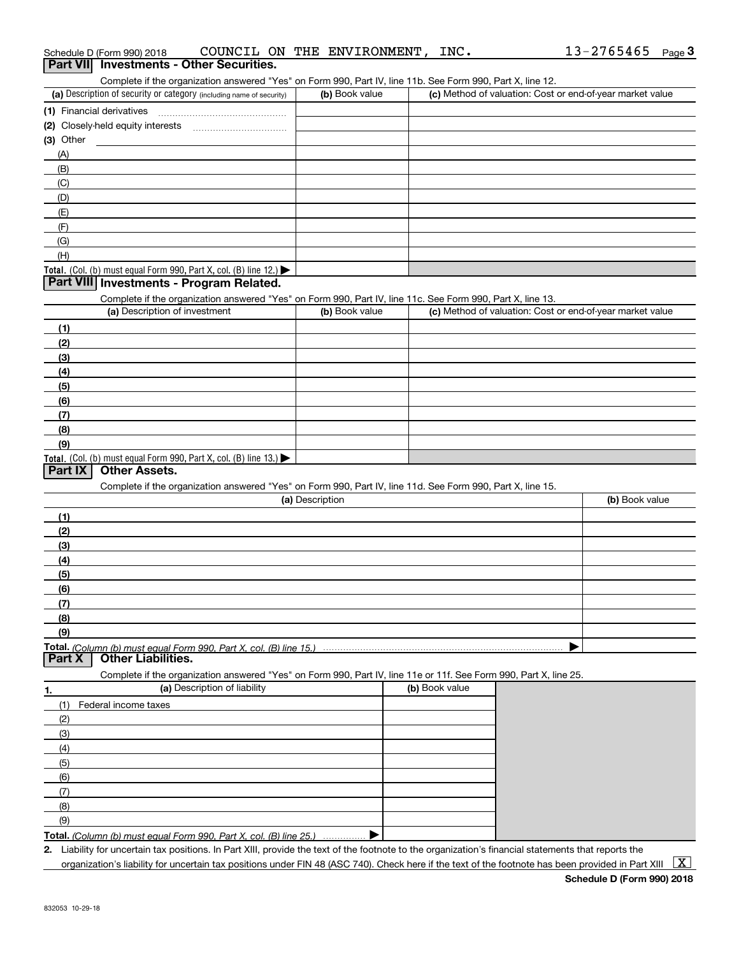|           | Schedule D (Form 990) 2018                                                                      | COUNCIL ON THE ENVIRONMENT,                                                                                       |                 |                | INC.           | 13-2765465                                                | Page <sup>3</sup> |
|-----------|-------------------------------------------------------------------------------------------------|-------------------------------------------------------------------------------------------------------------------|-----------------|----------------|----------------|-----------------------------------------------------------|-------------------|
|           | Part VII Investments - Other Securities.                                                        |                                                                                                                   |                 |                |                |                                                           |                   |
|           |                                                                                                 | Complete if the organization answered "Yes" on Form 990, Part IV, line 11b. See Form 990, Part X, line 12.        |                 |                |                |                                                           |                   |
|           | (a) Description of security or category (including name of security)                            |                                                                                                                   |                 | (b) Book value |                | (c) Method of valuation: Cost or end-of-year market value |                   |
|           | (1) Financial derivatives                                                                       |                                                                                                                   |                 |                |                |                                                           |                   |
|           |                                                                                                 |                                                                                                                   |                 |                |                |                                                           |                   |
| (3) Other |                                                                                                 |                                                                                                                   |                 |                |                |                                                           |                   |
|           |                                                                                                 |                                                                                                                   |                 |                |                |                                                           |                   |
| (A)       |                                                                                                 |                                                                                                                   |                 |                |                |                                                           |                   |
| (B)       |                                                                                                 |                                                                                                                   |                 |                |                |                                                           |                   |
| (C)       |                                                                                                 |                                                                                                                   |                 |                |                |                                                           |                   |
| (D)       |                                                                                                 |                                                                                                                   |                 |                |                |                                                           |                   |
| (E)       |                                                                                                 |                                                                                                                   |                 |                |                |                                                           |                   |
| (F)       |                                                                                                 |                                                                                                                   |                 |                |                |                                                           |                   |
| (G)       |                                                                                                 |                                                                                                                   |                 |                |                |                                                           |                   |
| (H)       |                                                                                                 |                                                                                                                   |                 |                |                |                                                           |                   |
|           | Total. (Col. (b) must equal Form 990, Part X, col. (B) line 12.)                                |                                                                                                                   |                 |                |                |                                                           |                   |
|           | Part VIII Investments - Program Related.                                                        |                                                                                                                   |                 |                |                |                                                           |                   |
|           |                                                                                                 | Complete if the organization answered "Yes" on Form 990, Part IV, line 11c. See Form 990, Part X, line 13.        |                 |                |                |                                                           |                   |
|           | (a) Description of investment                                                                   |                                                                                                                   |                 | (b) Book value |                | (c) Method of valuation: Cost or end-of-year market value |                   |
| (1)       |                                                                                                 |                                                                                                                   |                 |                |                |                                                           |                   |
| (2)       |                                                                                                 |                                                                                                                   |                 |                |                |                                                           |                   |
| (3)       |                                                                                                 |                                                                                                                   |                 |                |                |                                                           |                   |
| (4)       |                                                                                                 |                                                                                                                   |                 |                |                |                                                           |                   |
| (5)       |                                                                                                 |                                                                                                                   |                 |                |                |                                                           |                   |
| (6)       |                                                                                                 |                                                                                                                   |                 |                |                |                                                           |                   |
|           |                                                                                                 |                                                                                                                   |                 |                |                |                                                           |                   |
| (7)       |                                                                                                 |                                                                                                                   |                 |                |                |                                                           |                   |
| (8)       |                                                                                                 |                                                                                                                   |                 |                |                |                                                           |                   |
| (9)       |                                                                                                 |                                                                                                                   |                 |                |                |                                                           |                   |
| Part IX   | Total. (Col. (b) must equal Form 990, Part X, col. (B) line 13.)<br><b>Other Assets.</b>        |                                                                                                                   |                 |                |                |                                                           |                   |
|           |                                                                                                 |                                                                                                                   |                 |                |                |                                                           |                   |
|           |                                                                                                 | Complete if the organization answered "Yes" on Form 990, Part IV, line 11d. See Form 990, Part X, line 15.        |                 |                |                |                                                           |                   |
|           |                                                                                                 |                                                                                                                   | (a) Description |                |                | (b) Book value                                            |                   |
| (1)       |                                                                                                 |                                                                                                                   |                 |                |                |                                                           |                   |
| (2)       |                                                                                                 |                                                                                                                   |                 |                |                |                                                           |                   |
| (3)       |                                                                                                 |                                                                                                                   |                 |                |                |                                                           |                   |
| (4)       |                                                                                                 |                                                                                                                   |                 |                |                |                                                           |                   |
| (5)       |                                                                                                 |                                                                                                                   |                 |                |                |                                                           |                   |
| (6)       |                                                                                                 |                                                                                                                   |                 |                |                |                                                           |                   |
| (7)       |                                                                                                 |                                                                                                                   |                 |                |                |                                                           |                   |
| (8)       |                                                                                                 |                                                                                                                   |                 |                |                |                                                           |                   |
| (9)       |                                                                                                 |                                                                                                                   |                 |                |                |                                                           |                   |
| Part X    | Total. (Column (b) must equal Form 990. Part X, col. (B) line 15.)<br><b>Other Liabilities.</b> |                                                                                                                   |                 |                |                |                                                           |                   |
|           |                                                                                                 | Complete if the organization answered "Yes" on Form 990, Part IV, line 11e or 11f. See Form 990, Part X, line 25. |                 |                |                |                                                           |                   |
|           |                                                                                                 | (a) Description of liability                                                                                      |                 |                | (b) Book value |                                                           |                   |
| 1.        |                                                                                                 |                                                                                                                   |                 |                |                |                                                           |                   |
| (1)       | Federal income taxes                                                                            |                                                                                                                   |                 |                |                |                                                           |                   |
| (2)       |                                                                                                 |                                                                                                                   |                 |                |                |                                                           |                   |
| (3)       |                                                                                                 |                                                                                                                   |                 |                |                |                                                           |                   |
| (4)       |                                                                                                 |                                                                                                                   |                 |                |                |                                                           |                   |
| (5)       |                                                                                                 |                                                                                                                   |                 |                |                |                                                           |                   |
| (6)       |                                                                                                 |                                                                                                                   |                 |                |                |                                                           |                   |
| (7)       |                                                                                                 |                                                                                                                   |                 |                |                |                                                           |                   |
| (8)       |                                                                                                 |                                                                                                                   |                 |                |                |                                                           |                   |
| (9)       |                                                                                                 |                                                                                                                   |                 |                |                |                                                           |                   |
|           | Total. (Column (b) must equal Form 990. Part X, col. (B) line 25.)                              |                                                                                                                   |                 |                |                |                                                           |                   |
|           |                                                                                                 |                                                                                                                   |                 |                |                |                                                           |                   |

**2.** Liability for uncertain tax positions. In Part XIII, provide the text of the footnote to the organization's financial statements that reports the organization's liability for uncertain tax positions under FIN 48 (ASC 740). Check here if the text of the footnote has been provided in Part XIII  $~\boxed{\rm X}$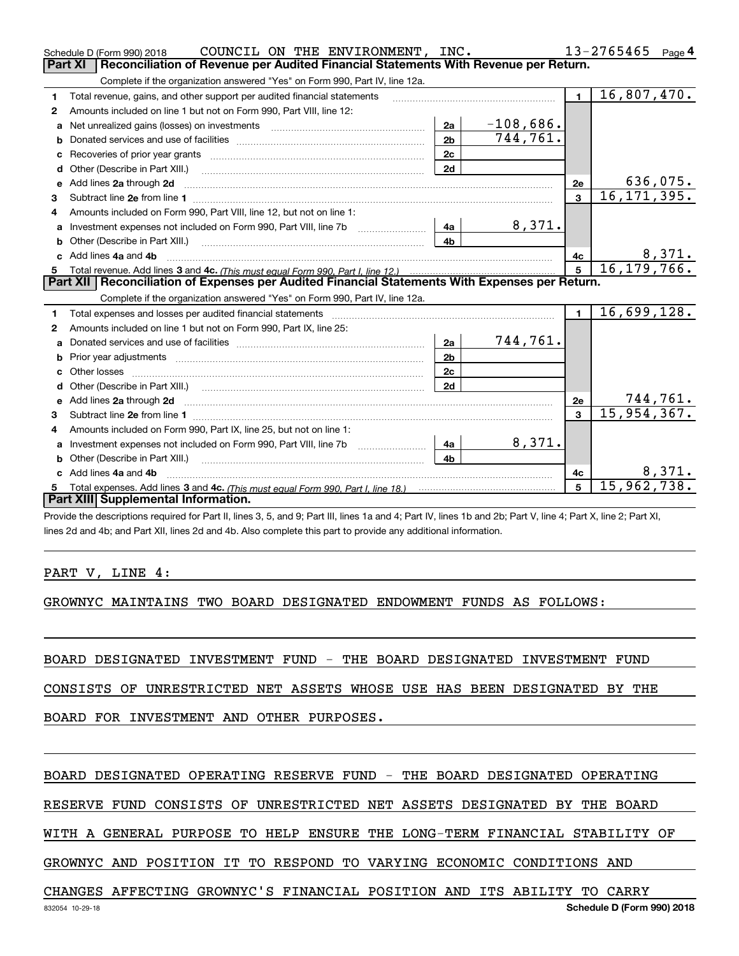|              | COUNCIL ON THE ENVIRONMENT, INC.<br>Schedule D (Form 990) 2018                                                                                                                                                                |                |             |                 | 13-2765465<br>Page 4 |
|--------------|-------------------------------------------------------------------------------------------------------------------------------------------------------------------------------------------------------------------------------|----------------|-------------|-----------------|----------------------|
|              | <b>Part XI</b><br>Reconciliation of Revenue per Audited Financial Statements With Revenue per Return.                                                                                                                         |                |             |                 |                      |
|              | Complete if the organization answered "Yes" on Form 990, Part IV, line 12a.                                                                                                                                                   |                |             |                 |                      |
| $\mathbf{1}$ | Total revenue, gains, and other support per audited financial statements                                                                                                                                                      |                |             | $\blacksquare$  | 16,807,470.          |
| 2            | Amounts included on line 1 but not on Form 990, Part VIII, line 12:                                                                                                                                                           |                |             |                 |                      |
| a            |                                                                                                                                                                                                                               | 2a             | $-108,686.$ |                 |                      |
|              |                                                                                                                                                                                                                               | 2 <sub>b</sub> | 744,761.    |                 |                      |
| с            |                                                                                                                                                                                                                               | 2c             |             |                 |                      |
| d            |                                                                                                                                                                                                                               | 2d             |             |                 |                      |
| е            | Add lines 2a through 2d                                                                                                                                                                                                       |                |             | <b>2e</b>       | 636,075.             |
| з            |                                                                                                                                                                                                                               |                |             | 3               | 16, 171, 395.        |
| 4            | Amounts included on Form 990, Part VIII, line 12, but not on line 1:                                                                                                                                                          |                |             |                 |                      |
|              | Investment expenses not included on Form 990, Part VIII, line 7b [100] [100] [100] [4a]                                                                                                                                       |                | 8,371.      |                 |                      |
| b            |                                                                                                                                                                                                                               | 4 <sub>h</sub> |             |                 |                      |
| c.           | Add lines 4a and 4b                                                                                                                                                                                                           |                |             | 4с              | 8,371.               |
|              |                                                                                                                                                                                                                               |                |             | $\overline{5}$  | 16, 179, 766.        |
|              |                                                                                                                                                                                                                               |                |             |                 |                      |
|              | Part XII   Reconciliation of Expenses per Audited Financial Statements With Expenses per Return.                                                                                                                              |                |             |                 |                      |
|              | Complete if the organization answered "Yes" on Form 990, Part IV, line 12a.                                                                                                                                                   |                |             |                 |                      |
| 1            | Total expenses and losses per audited financial statements [11, 11] manuscription control expenses and losses per audited financial statements [11] manuscription of the statements and the statements and the statements and |                |             | $\mathbf{1}$    | 16,699,128.          |
| 2            | Amounts included on line 1 but not on Form 990, Part IX, line 25:                                                                                                                                                             |                |             |                 |                      |
| a            |                                                                                                                                                                                                                               | 2a             | 744,761.    |                 |                      |
| b            |                                                                                                                                                                                                                               | 2 <sub>b</sub> |             |                 |                      |
| с            |                                                                                                                                                                                                                               | 2 <sub>c</sub> |             |                 |                      |
| d            |                                                                                                                                                                                                                               | 2d             |             |                 |                      |
| е            | Add lines 2a through 2d <b>must be a constructed as the constant of the constant of the constant of the construction</b>                                                                                                      |                |             | 2e              | 744,761.             |
| з            |                                                                                                                                                                                                                               |                |             | $\mathbf{a}$    | 15,954,367.          |
| 4            | Amounts included on Form 990, Part IX, line 25, but not on line 1:                                                                                                                                                            |                |             |                 |                      |
| a            |                                                                                                                                                                                                                               | 4a             | 8,371.      |                 |                      |
| b            |                                                                                                                                                                                                                               | 4b             |             |                 |                      |
|              | Add lines 4a and 4b                                                                                                                                                                                                           |                |             | 4с              | 8,371.               |
|              | Part XIII Supplemental Information.                                                                                                                                                                                           |                |             | $5\overline{5}$ | 15,962,738.          |

Provide the descriptions required for Part II, lines 3, 5, and 9; Part III, lines 1a and 4; Part IV, lines 1b and 2b; Part V, line 4; Part X, line 2; Part XI, lines 2d and 4b; and Part XII, lines 2d and 4b. Also complete this part to provide any additional information.

#### PART V, LINE 4:

GROWNYC MAINTAINS TWO BOARD DESIGNATED ENDOWMENT FUNDS AS FOLLOWS:

BOARD DESIGNATED INVESTMENT FUND - THE BOARD DESIGNATED INVESTMENT FUND

CONSISTS OF UNRESTRICTED NET ASSETS WHOSE USE HAS BEEN DESIGNATED BY THE

BOARD FOR INVESTMENT AND OTHER PURPOSES.

#### BOARD DESIGNATED OPERATING RESERVE FUND - THE BOARD DESIGNATED OPERATING

RESERVE FUND CONSISTS OF UNRESTRICTED NET ASSETS DESIGNATED BY THE BOARD

WITH A GENERAL PURPOSE TO HELP ENSURE THE LONG-TERM FINANCIAL STABILITY OF

GROWNYC AND POSITION IT TO RESPOND TO VARYING ECONOMIC CONDITIONS AND

#### CHANGES AFFECTING GROWNYC'S FINANCIAL POSITION AND ITS ABILITY TO CARRY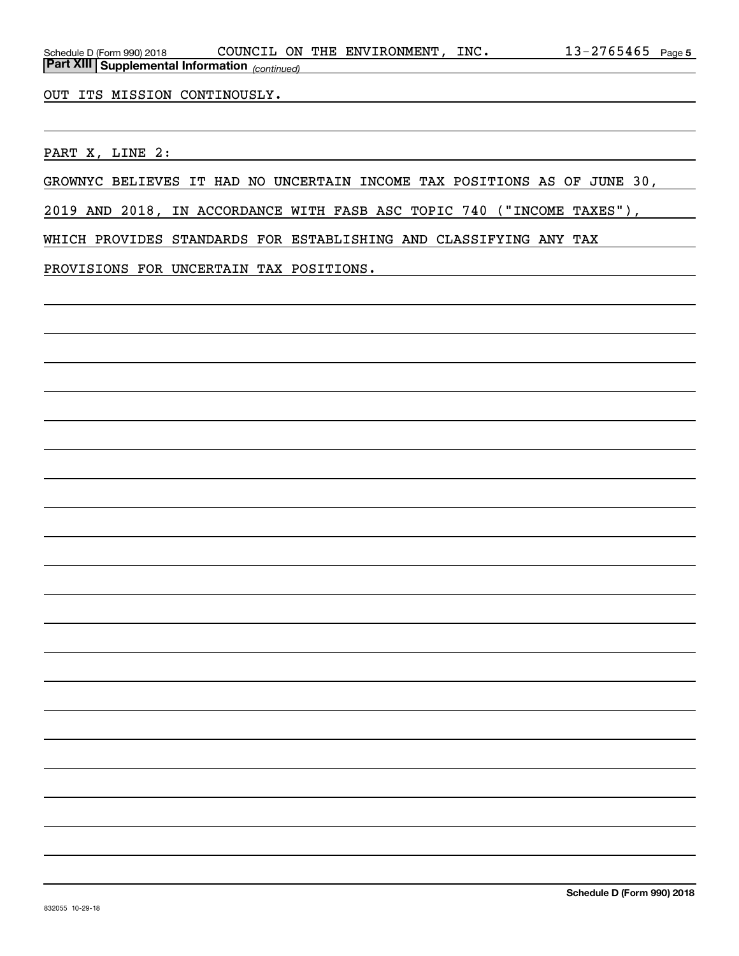OUT ITS MISSION CONTINOUSLY.

PART X, LINE 2:

GROWNYC BELIEVES IT HAD NO UNCERTAIN INCOME TAX POSITIONS AS OF JUNE 30,

2019 AND 2018, IN ACCORDANCE WITH FASB ASC TOPIC 740 ("INCOME TAXES"),

WHICH PROVIDES STANDARDS FOR ESTABLISHING AND CLASSIFYING ANY TAX

PROVISIONS FOR UNCERTAIN TAX POSITIONS.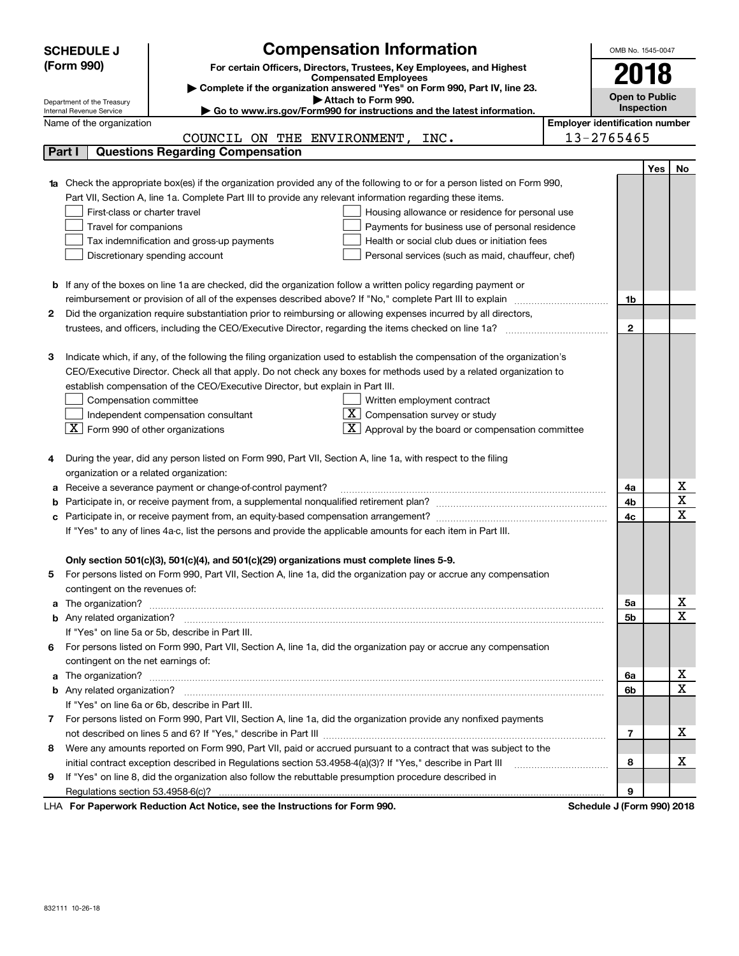|   | <b>SCHEDULE J</b>                                      |                                                                                | <b>Compensation Information</b>                                                                                           | OMB No. 1545-0047                     |     |                  |
|---|--------------------------------------------------------|--------------------------------------------------------------------------------|---------------------------------------------------------------------------------------------------------------------------|---------------------------------------|-----|------------------|
|   | (Form 990)                                             |                                                                                | For certain Officers, Directors, Trustees, Key Employees, and Highest                                                     |                                       |     |                  |
|   |                                                        |                                                                                | <b>Compensated Employees</b>                                                                                              | 2018                                  |     |                  |
|   |                                                        |                                                                                | Complete if the organization answered "Yes" on Form 990, Part IV, line 23.<br>Attach to Form 990.                         | <b>Open to Public</b>                 |     |                  |
|   | Department of the Treasury<br>Internal Revenue Service |                                                                                | ► Go to www.irs.gov/Form990 for instructions and the latest information.                                                  | Inspection                            |     |                  |
|   | Name of the organization                               |                                                                                |                                                                                                                           | <b>Employer identification number</b> |     |                  |
|   |                                                        | COUNCIL ON THE ENVIRONMENT,                                                    | INC.                                                                                                                      | 13-2765465                            |     |                  |
|   | Part I                                                 | <b>Questions Regarding Compensation</b>                                        |                                                                                                                           |                                       |     |                  |
|   |                                                        |                                                                                |                                                                                                                           |                                       | Yes | No               |
|   |                                                        |                                                                                | Check the appropriate box(es) if the organization provided any of the following to or for a person listed on Form 990,    |                                       |     |                  |
|   |                                                        |                                                                                | Part VII, Section A, line 1a. Complete Part III to provide any relevant information regarding these items.                |                                       |     |                  |
|   | First-class or charter travel                          |                                                                                | Housing allowance or residence for personal use                                                                           |                                       |     |                  |
|   | Travel for companions                                  |                                                                                | Payments for business use of personal residence                                                                           |                                       |     |                  |
|   |                                                        | Tax indemnification and gross-up payments                                      | Health or social club dues or initiation fees                                                                             |                                       |     |                  |
|   | Discretionary spending account                         |                                                                                | Personal services (such as maid, chauffeur, chef)                                                                         |                                       |     |                  |
|   |                                                        |                                                                                |                                                                                                                           |                                       |     |                  |
| b |                                                        |                                                                                | If any of the boxes on line 1a are checked, did the organization follow a written policy regarding payment or             |                                       |     |                  |
|   |                                                        |                                                                                | reimbursement or provision of all of the expenses described above? If "No," complete Part III to explain                  | 1b                                    |     |                  |
| 2 |                                                        |                                                                                | Did the organization require substantiation prior to reimbursing or allowing expenses incurred by all directors,          |                                       |     |                  |
|   |                                                        |                                                                                |                                                                                                                           | $\mathbf{2}$                          |     |                  |
|   |                                                        |                                                                                |                                                                                                                           |                                       |     |                  |
| з |                                                        |                                                                                | Indicate which, if any, of the following the filing organization used to establish the compensation of the organization's |                                       |     |                  |
|   |                                                        |                                                                                | CEO/Executive Director. Check all that apply. Do not check any boxes for methods used by a related organization to        |                                       |     |                  |
|   |                                                        | establish compensation of the CEO/Executive Director, but explain in Part III. |                                                                                                                           |                                       |     |                  |
|   | Compensation committee                                 |                                                                                | Written employment contract                                                                                               |                                       |     |                  |
|   |                                                        | Independent compensation consultant                                            | $\overline{X}$ Compensation survey or study                                                                               |                                       |     |                  |
|   | $\boxed{\text{X}}$ Form 990 of other organizations     |                                                                                | Approval by the board or compensation committee                                                                           |                                       |     |                  |
|   |                                                        |                                                                                |                                                                                                                           |                                       |     |                  |
| 4 |                                                        |                                                                                | During the year, did any person listed on Form 990, Part VII, Section A, line 1a, with respect to the filing              |                                       |     |                  |
|   | organization or a related organization:                |                                                                                |                                                                                                                           |                                       |     |                  |
| а |                                                        | Receive a severance payment or change-of-control payment?                      |                                                                                                                           | 4a                                    |     | х                |
| b |                                                        |                                                                                |                                                                                                                           | 4b                                    |     | $\mathbf X$      |
|   |                                                        |                                                                                |                                                                                                                           | 4c                                    |     | $\mathbf X$      |
|   |                                                        |                                                                                | If "Yes" to any of lines 4a-c, list the persons and provide the applicable amounts for each item in Part III.             |                                       |     |                  |
|   |                                                        |                                                                                |                                                                                                                           |                                       |     |                  |
|   |                                                        |                                                                                | Only section 501(c)(3), 501(c)(4), and 501(c)(29) organizations must complete lines 5-9.                                  |                                       |     |                  |
| 5 |                                                        |                                                                                | For persons listed on Form 990, Part VII, Section A, line 1a, did the organization pay or accrue any compensation         |                                       |     |                  |
|   | contingent on the revenues of:                         |                                                                                |                                                                                                                           |                                       |     |                  |
| a |                                                        |                                                                                |                                                                                                                           | 5a                                    |     | х                |
|   |                                                        |                                                                                |                                                                                                                           | 5b                                    |     | X                |
|   | If "Yes" on line 5a or 5b, describe in Part III.       |                                                                                |                                                                                                                           |                                       |     |                  |
| 6 |                                                        |                                                                                | For persons listed on Form 990, Part VII, Section A, line 1a, did the organization pay or accrue any compensation         |                                       |     |                  |
|   | contingent on the net earnings of:                     |                                                                                |                                                                                                                           |                                       |     |                  |
| a |                                                        |                                                                                |                                                                                                                           | 6a                                    |     | х<br>$\mathbf X$ |
|   |                                                        |                                                                                |                                                                                                                           | 6b                                    |     |                  |
|   | If "Yes" on line 6a or 6b, describe in Part III.       |                                                                                |                                                                                                                           |                                       |     |                  |
| 7 |                                                        |                                                                                | For persons listed on Form 990, Part VII, Section A, line 1a, did the organization provide any nonfixed payments          |                                       |     |                  |
|   |                                                        |                                                                                |                                                                                                                           | 7                                     |     | х                |
| 8 |                                                        |                                                                                | Were any amounts reported on Form 990, Part VII, paid or accrued pursuant to a contract that was subject to the           |                                       |     |                  |
|   |                                                        |                                                                                | initial contract exception described in Regulations section 53.4958-4(a)(3)? If "Yes," describe in Part III               | 8                                     |     | х                |
| 9 |                                                        |                                                                                | If "Yes" on line 8, did the organization also follow the rebuttable presumption procedure described in                    |                                       |     |                  |
|   |                                                        |                                                                                | $\sim$ 40 $\sim$ 10 $\sim$ 100 $\sim$ 110 $\sim$ 120 $\sim$ 120 $\sim$ 100 $\sim$ 100 $\sim$                              | 9                                     |     |                  |

LHA For Paperwork Reduction Act Notice, see the Instructions for Form 990. Schedule J (Form 990) 2018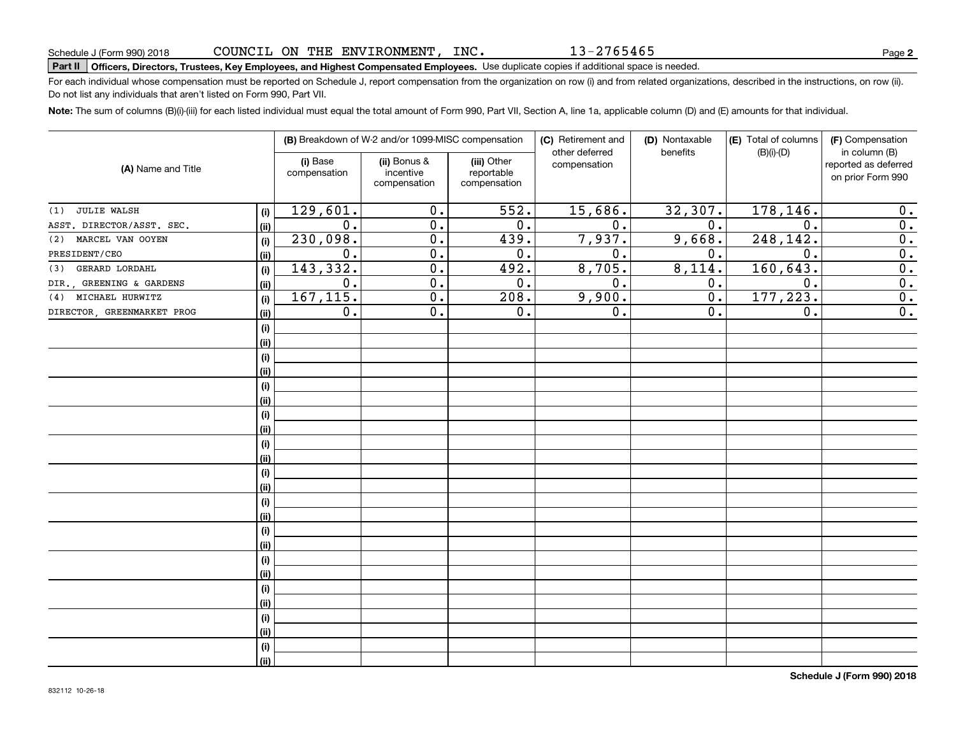13-2765465

# **Part II Officers, Directors, Trustees, Key Employees, and Highest Compensated Employees.**  Schedule J (Form 990) 2018 Page Use duplicate copies if additional space is needed.

For each individual whose compensation must be reported on Schedule J, report compensation from the organization on row (i) and from related organizations, described in the instructions, on row (ii). Do not list any individuals that aren't listed on Form 990, Part VII.

**Note:**  The sum of columns (B)(i)-(iii) for each listed individual must equal the total amount of Form 990, Part VII, Section A, line 1a, applicable column (D) and (E) amounts for that individual.

| (A) Name and Title         |             |                          | (B) Breakdown of W-2 and/or 1099-MISC compensation |                                           | (C) Retirement and<br>other deferred | (D) Nontaxable<br>benefits | (E) Total of columns<br>$(B)(i)-(D)$ | (F) Compensation<br>in column (B)         |
|----------------------------|-------------|--------------------------|----------------------------------------------------|-------------------------------------------|--------------------------------------|----------------------------|--------------------------------------|-------------------------------------------|
|                            |             | (i) Base<br>compensation | (ii) Bonus &<br>incentive<br>compensation          | (iii) Other<br>reportable<br>compensation | compensation                         |                            |                                      | reported as deferred<br>on prior Form 990 |
| <b>JULIE WALSH</b><br>(1)  | (i)         | 129,601.                 | 0.                                                 | $\overline{552}$ .                        | 15,686.                              | 32,307.                    | 178, 146.                            | 0.                                        |
| ASST. DIRECTOR/ASST. SEC.  | (ii)        | $\overline{0}$ .         | $\overline{0}$ .                                   | 0.                                        | $\overline{0}$ .                     | 0.                         | $\overline{0}$ .                     | 0.                                        |
| MARCEL VAN OOYEN<br>(2)    | (i)         | 230,098.                 | $\overline{0}$ .                                   | 439.                                      | 7,937.                               | 9,668.                     | 248, 142.                            | $\overline{0}$ .                          |
| PRESIDENT/CEO              | (ii)        | 0.                       | $\overline{0}$ .                                   | 0.                                        | 0.                                   | 0.                         | $\overline{0}$ .                     | $\overline{0}$ .                          |
| GERARD LORDAHL<br>(3)      | (i)         | 143,332.                 | 0.                                                 | 492.                                      | 8,705.                               | 8,114.                     | 160, 643.                            | 0.                                        |
| DIR., GREENING & GARDENS   | (ii)        | $0$ .                    | 0.                                                 | 0.                                        | 0.                                   | 0.                         | 0.                                   | 0.                                        |
| (4) MICHAEL HURWITZ        | (i)         | 167, 115.                | 0.                                                 | 208.                                      | 9,900.                               | $0$ .                      | 177,223.                             | 0.                                        |
| DIRECTOR, GREENMARKET PROG | (ii)        | 0.                       | 0.                                                 | 0.                                        | 0.                                   | 0.                         | 0.                                   | $\overline{0}$ .                          |
|                            | (i)         |                          |                                                    |                                           |                                      |                            |                                      |                                           |
|                            | (ii)        |                          |                                                    |                                           |                                      |                            |                                      |                                           |
|                            | (i)         |                          |                                                    |                                           |                                      |                            |                                      |                                           |
|                            | (ii)        |                          |                                                    |                                           |                                      |                            |                                      |                                           |
|                            | (i)         |                          |                                                    |                                           |                                      |                            |                                      |                                           |
|                            | (ii)        |                          |                                                    |                                           |                                      |                            |                                      |                                           |
|                            | (i)         |                          |                                                    |                                           |                                      |                            |                                      |                                           |
|                            | (ii)        |                          |                                                    |                                           |                                      |                            |                                      |                                           |
|                            | (i)         |                          |                                                    |                                           |                                      |                            |                                      |                                           |
|                            | (ii)        |                          |                                                    |                                           |                                      |                            |                                      |                                           |
|                            | (i)<br>(ii) |                          |                                                    |                                           |                                      |                            |                                      |                                           |
|                            | (i)         |                          |                                                    |                                           |                                      |                            |                                      |                                           |
|                            | (ii)        |                          |                                                    |                                           |                                      |                            |                                      |                                           |
|                            | (i)         |                          |                                                    |                                           |                                      |                            |                                      |                                           |
|                            | (ii)        |                          |                                                    |                                           |                                      |                            |                                      |                                           |
|                            | (i)         |                          |                                                    |                                           |                                      |                            |                                      |                                           |
|                            | (ii)        |                          |                                                    |                                           |                                      |                            |                                      |                                           |
|                            | (i)         |                          |                                                    |                                           |                                      |                            |                                      |                                           |
|                            | (ii)        |                          |                                                    |                                           |                                      |                            |                                      |                                           |
|                            | (i)         |                          |                                                    |                                           |                                      |                            |                                      |                                           |
|                            | (ii)        |                          |                                                    |                                           |                                      |                            |                                      |                                           |
|                            | (i)         |                          |                                                    |                                           |                                      |                            |                                      |                                           |
|                            | (ii)        |                          |                                                    |                                           |                                      |                            |                                      |                                           |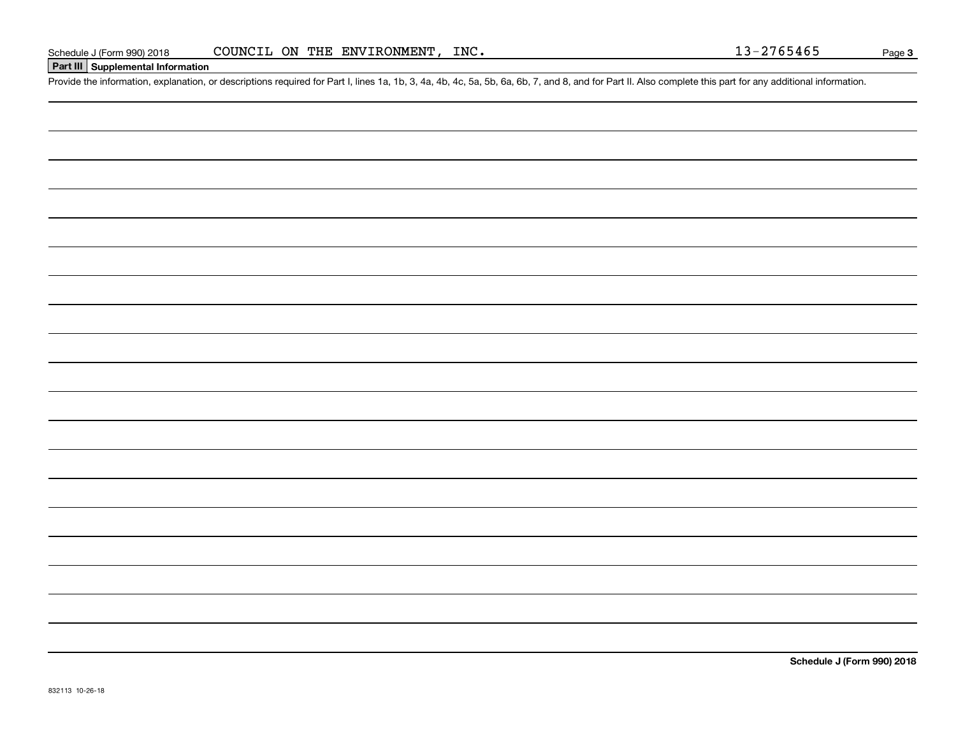#### **Part III Supplemental Information**

Schedule J (Form 990) 2018 COUNCIL ON THE ENVIRONMENT, INC.<br>Part III Supplemental Information<br>Provide the information, explanation, or descriptions required for Part I, lines 1a, 1b, 3, 4a, 4b, 4c, 5a, 5b, 6a, 6b, 7, and 8

**Schedule J (Form 990) 2018**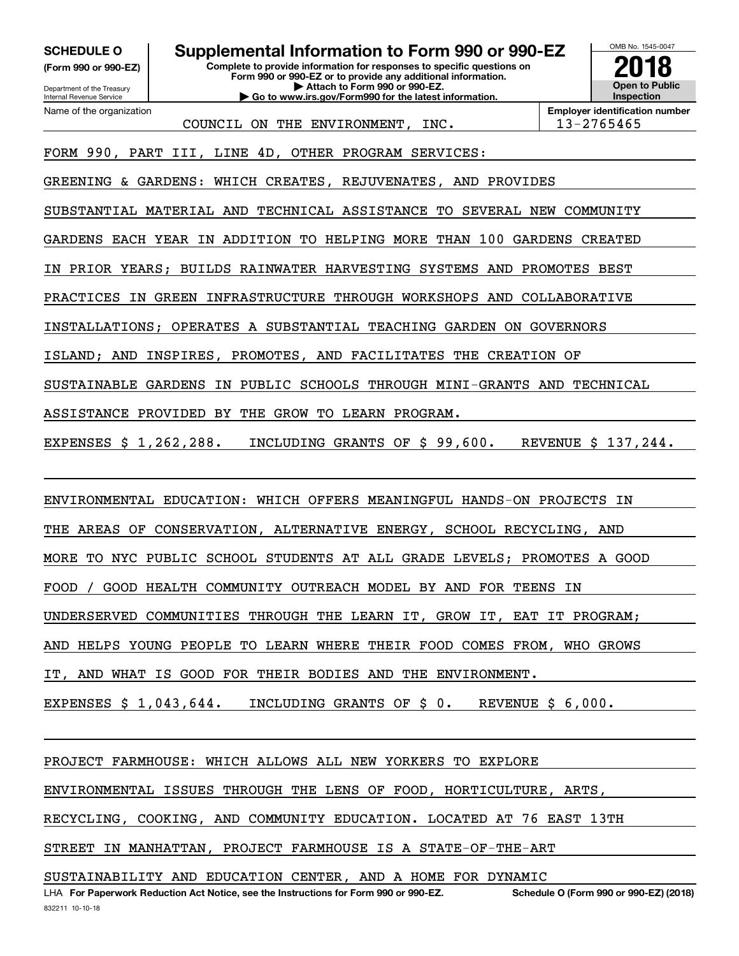**(Form 990 or 990-EZ)**

Department of the Treasury Internal Revenue Service Name of the organization

**SCHEDULE O Supplemental Information to Form 990 or 990-EZ**

**Complete to provide information for responses to specific questions on Form 990 or 990-EZ or to provide any additional information. | Attach to Form 990 or 990-EZ. | Go to www.irs.gov/Form990 for the latest information.**

OMB No. 1545-0047 **Open to Public Inspection2018**

COUNCIL ON THE ENVIRONMENT, INC.  $\vert$  13-2765465

**Employer identification number**

FORM 990, PART III, LINE 4D, OTHER PROGRAM SERVICES:

GREENING & GARDENS: WHICH CREATES, REJUVENATES, AND PROVIDES

SUBSTANTIAL MATERIAL AND TECHNICAL ASSISTANCE TO SEVERAL NEW COMMUNITY

GARDENS EACH YEAR IN ADDITION TO HELPING MORE THAN 100 GARDENS CREATED

IN PRIOR YEARS; BUILDS RAINWATER HARVESTING SYSTEMS AND PROMOTES BEST

PRACTICES IN GREEN INFRASTRUCTURE THROUGH WORKSHOPS AND COLLABORATIVE

INSTALLATIONS; OPERATES A SUBSTANTIAL TEACHING GARDEN ON GOVERNORS

ISLAND; AND INSPIRES, PROMOTES, AND FACILITATES THE CREATION OF

SUSTAINABLE GARDENS IN PUBLIC SCHOOLS THROUGH MINI-GRANTS AND TECHNICAL

ASSISTANCE PROVIDED BY THE GROW TO LEARN PROGRAM.

EXPENSES \$ 1,262,288. INCLUDING GRANTS OF \$ 99,600. REVENUE \$ 137,244.

ENVIRONMENTAL EDUCATION: WHICH OFFERS MEANINGFUL HANDS-ON PROJECTS IN

THE AREAS OF CONSERVATION, ALTERNATIVE ENERGY, SCHOOL RECYCLING, AND

MORE TO NYC PUBLIC SCHOOL STUDENTS AT ALL GRADE LEVELS; PROMOTES A GOOD

FOOD / GOOD HEALTH COMMUNITY OUTREACH MODEL BY AND FOR TEENS IN

UNDERSERVED COMMUNITIES THROUGH THE LEARN IT, GROW IT, EAT IT PROGRAM;

AND HELPS YOUNG PEOPLE TO LEARN WHERE THEIR FOOD COMES FROM, WHO GROWS

IT, AND WHAT IS GOOD FOR THEIR BODIES AND THE ENVIRONMENT.

EXPENSES \$ 1,043,644. INCLUDING GRANTS OF \$ 0. REVENUE \$ 6,000.

PROJECT FARMHOUSE: WHICH ALLOWS ALL NEW YORKERS TO EXPLORE

ENVIRONMENTAL ISSUES THROUGH THE LENS OF FOOD, HORTICULTURE, ARTS,

RECYCLING, COOKING, AND COMMUNITY EDUCATION. LOCATED AT 76 EAST 13TH

STREET IN MANHATTAN, PROJECT FARMHOUSE IS A STATE-OF-THE-ART

SUSTAINABILITY AND EDUCATION CENTER, AND A HOME FOR DYNAMIC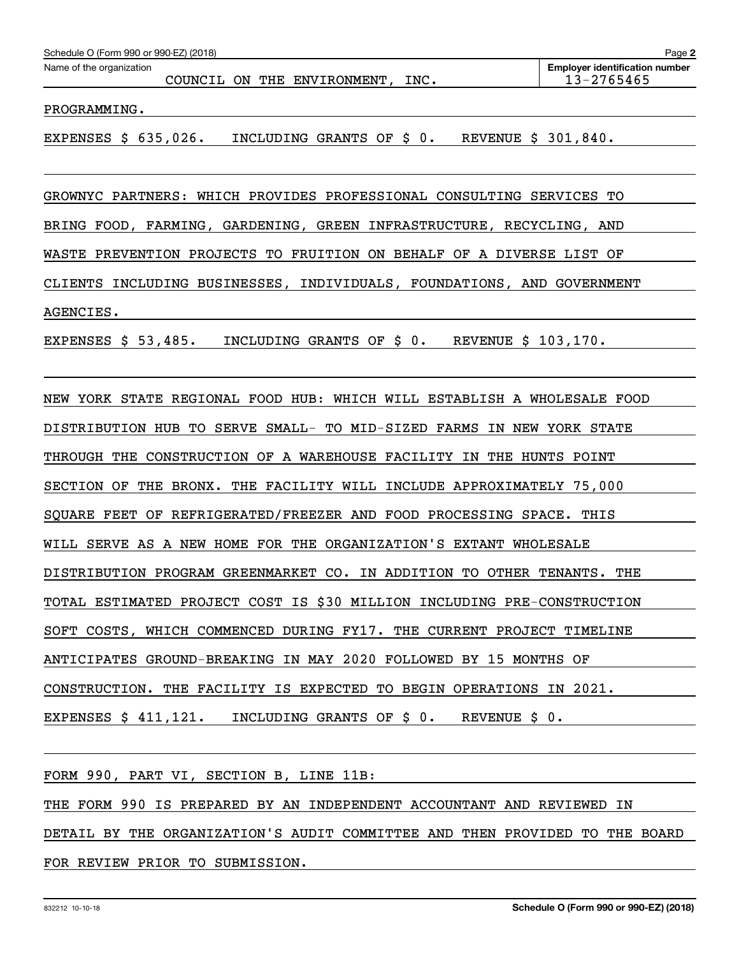| Schedule O (Form 990 or 990-EZ) (2018)<br>Page $\geq$ |         |  |  |                    |      |                                       |  |
|-------------------------------------------------------|---------|--|--|--------------------|------|---------------------------------------|--|
| Name of the organization                              |         |  |  |                    |      | <b>Employer identification number</b> |  |
|                                                       | COUNCIL |  |  | ON THE ENVIRONMENT | INC. | 13-2765465                            |  |
|                                                       |         |  |  |                    |      |                                       |  |

PROGRAMMING.

EXPENSES \$ 635,026. INCLUDING GRANTS OF \$ 0. REVENUE \$ 301,840.

GROWNYC PARTNERS: WHICH PROVIDES PROFESSIONAL CONSULTING SERVICES TO BRING FOOD, FARMING, GARDENING, GREEN INFRASTRUCTURE, RECYCLING, AND WASTE PREVENTION PROJECTS TO FRUITION ON BEHALF OF A DIVERSE LIST OF CLIENTS INCLUDING BUSINESSES, INDIVIDUALS, FOUNDATIONS, AND GOVERNMENT AGENCIES.

EXPENSES \$ 53,485. INCLUDING GRANTS OF \$ 0. REVENUE \$ 103,170.

NEW YORK STATE REGIONAL FOOD HUB: WHICH WILL ESTABLISH A WHOLESALE FOOD DISTRIBUTION HUB TO SERVE SMALL- TO MID-SIZED FARMS IN NEW YORK STATE THROUGH THE CONSTRUCTION OF A WAREHOUSE FACILITY IN THE HUNTS POINT SECTION OF THE BRONX. THE FACILITY WILL INCLUDE APPROXIMATELY 75,000 SQUARE FEET OF REFRIGERATED/FREEZER AND FOOD PROCESSING SPACE. THIS WILL SERVE AS A NEW HOME FOR THE ORGANIZATION'S EXTANT WHOLESALE DISTRIBUTION PROGRAM GREENMARKET CO. IN ADDITION TO OTHER TENANTS. THE TOTAL ESTIMATED PROJECT COST IS \$30 MILLION INCLUDING PRE-CONSTRUCTION SOFT COSTS, WHICH COMMENCED DURING FY17. THE CURRENT PROJECT TIMELINE ANTICIPATES GROUND-BREAKING IN MAY 2020 FOLLOWED BY 15 MONTHS OF CONSTRUCTION. THE FACILITY IS EXPECTED TO BEGIN OPERATIONS IN 2021. EXPENSES \$ 411,121. INCLUDING GRANTS OF \$ 0. REVENUE \$ 0.

FORM 990, PART VI, SECTION B, LINE 11B:

THE FORM 990 IS PREPARED BY AN INDEPENDENT ACCOUNTANT AND REVIEWED IN DETAIL BY THE ORGANIZATION'S AUDIT COMMITTEE AND THEN PROVIDED TO THE BOARD FOR REVIEW PRIOR TO SUBMISSION.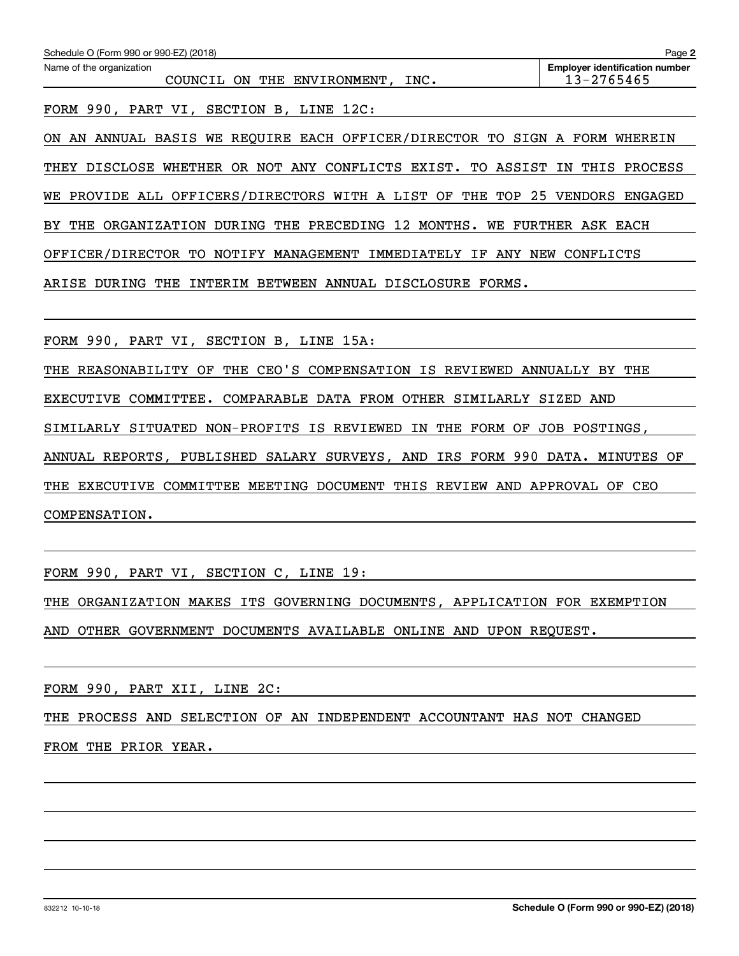| Schedule O (Form 990 or 990-EZ) (2018)                                      | Page 2                                                  |
|-----------------------------------------------------------------------------|---------------------------------------------------------|
| Name of the organization<br>COUNCIL ON THE ENVIRONMENT, INC.                | <b>Employer identification number</b><br>$13 - 2765465$ |
| FORM 990, PART VI, SECTION B, LINE 12C:                                     |                                                         |
| ON AN ANNUAL BASIS WE REQUIRE EACH OFFICER/DIRECTOR TO SIGN A FORM WHEREIN  |                                                         |
| THEY DISCLOSE WHETHER OR NOT ANY CONFLICTS EXIST. TO ASSIST IN THIS PROCESS |                                                         |
| WE PROVIDE ALL OFFICERS/DIRECTORS WITH A LIST OF THE TOP 25 VENDORS ENGAGED |                                                         |
| BY THE ORGANIZATION DURING THE PRECEDING 12 MONTHS. WE FURTHER ASK EACH     |                                                         |
| OFFICER/DIRECTOR TO NOTIFY MANAGEMENT IMMEDIATELY IF ANY NEW CONFLICTS      |                                                         |
| ARISE DURING THE INTERIM BETWEEN ANNUAL DISCLOSURE FORMS.                   |                                                         |
| FORM 990, PART VI, SECTION B, LINE 15A:                                     |                                                         |
| THE REASONABILITY OF THE CEO'S COMPENSATION IS REVIEWED ANNUALLY BY THE     |                                                         |
| EXECUTIVE COMMITTEE. COMPARABLE DATA FROM OTHER SIMILARLY SIZED AND         |                                                         |
| SIMILARLY SITUATED NON-PROFITS IS REVIEWED IN THE FORM OF JOB POSTINGS,     |                                                         |
| ANNUAL REPORTS, PUBLISHED SALARY SURVEYS, AND IRS FORM 990 DATA. MINUTES OF |                                                         |
| THE EXECUTIVE COMMITTEE MEETING DOCUMENT THIS REVIEW AND APPROVAL OF CEO    |                                                         |
| COMPENSATION.                                                               |                                                         |
|                                                                             |                                                         |

FORM 990, PART VI, SECTION C, LINE 19:

THE ORGANIZATION MAKES ITS GOVERNING DOCUMENTS, APPLICATION FOR EXEMPTION AND OTHER GOVERNMENT DOCUMENTS AVAILABLE ONLINE AND UPON REQUEST.

FORM 990, PART XII, LINE 2C:

THE PROCESS AND SELECTION OF AN INDEPENDENT ACCOUNTANT HAS NOT CHANGED

FROM THE PRIOR YEAR.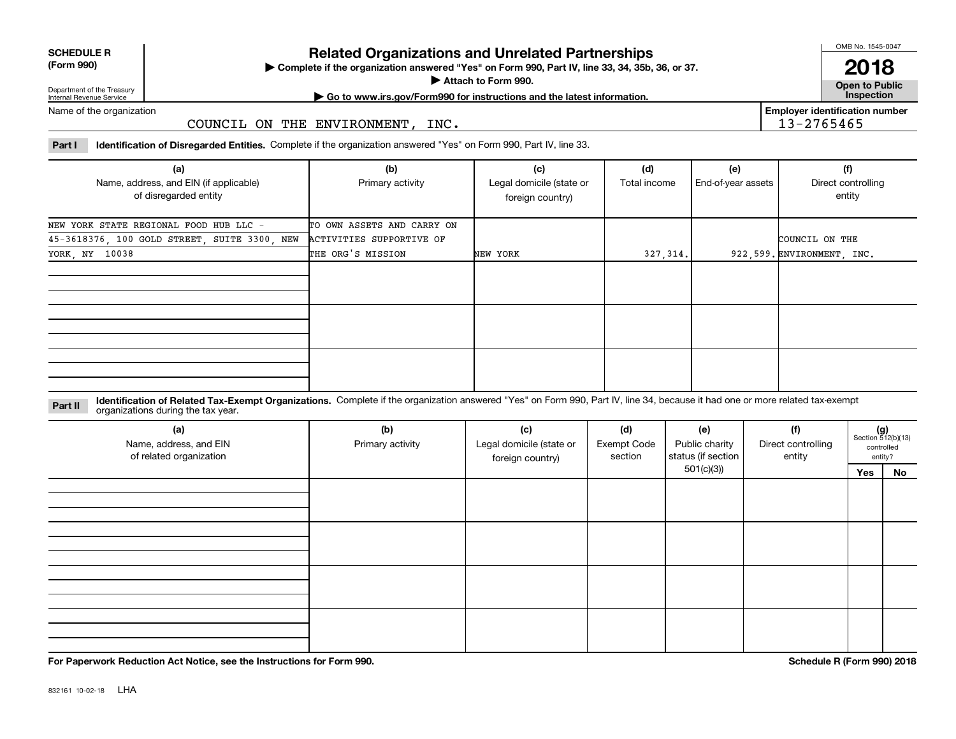| <b>SCHEDULE R</b> |             |  |
|-------------------|-------------|--|
|                   | $\sim$ 0.00 |  |

#### **(Form 990)**

## **Related Organizations and Unrelated Partnerships**

**Complete if the organization answered "Yes" on Form 990, Part IV, line 33, 34, 35b, 36, or 37.** |

**Attach to Form 990.**  |

OMB No. 1545-0047

**Open to Public 2018**

**Employer identification number**

13-2765465

Department of the Treasury Internal Revenue Service

**| Go to www.irs.gov/Form990 for instructions and the latest information. Inspection**

Name of the organization

#### COUNCIL ON THE ENVIRONMENT, INC.

**Part I Identification of Disregarded Entities.**  Complete if the organization answered "Yes" on Form 990, Part IV, line 33.

| (a)<br>Name, address, and EIN (if applicable)<br>of disregarded entity | (b)<br>Primary activity    | (c)<br>Legal domicile (state or<br>foreign country) | (d)<br>Total income | (e)<br>End-of-year assets | (f)<br>Direct controlling<br>entity |
|------------------------------------------------------------------------|----------------------------|-----------------------------------------------------|---------------------|---------------------------|-------------------------------------|
| NEW YORK STATE REGIONAL FOOD HUB LLC -                                 | TO OWN ASSETS AND CARRY ON |                                                     |                     |                           |                                     |
| 45-3618376, 100 GOLD STREET, SUITE 3300, NEW                           | ACTIVITIES SUPPORTIVE OF   |                                                     |                     |                           | COUNCIL ON THE                      |
| YORK, NY 10038                                                         | THE ORG'S MISSION          | NEW YORK                                            | 327, 314.           |                           | 922,599. ENVIRONMENT, INC.          |
|                                                                        |                            |                                                     |                     |                           |                                     |
|                                                                        |                            |                                                     |                     |                           |                                     |
|                                                                        |                            |                                                     |                     |                           |                                     |

**Identification of Related Tax-Exempt Organizations.** Complete if the organization answered "Yes" on Form 990, Part IV, line 34, because it had one or more related tax-exempt **Part II** organizations during the tax year.

| (a)<br>Name, address, and EIN<br>of related organization | (b)<br>(c)<br>(d)<br>(e)<br>Legal domicile (state or<br><b>Exempt Code</b><br>Primary activity<br>section<br>foreign country) |  |  | Public charity<br>status (if section | (f)<br>Direct controlling<br>entity |     | $(g)$<br>Section 512(b)(13)<br>controlled<br>entity? |
|----------------------------------------------------------|-------------------------------------------------------------------------------------------------------------------------------|--|--|--------------------------------------|-------------------------------------|-----|------------------------------------------------------|
|                                                          |                                                                                                                               |  |  | 501(c)(3)                            |                                     | Yes | No                                                   |
|                                                          |                                                                                                                               |  |  |                                      |                                     |     |                                                      |
|                                                          |                                                                                                                               |  |  |                                      |                                     |     |                                                      |
|                                                          |                                                                                                                               |  |  |                                      |                                     |     |                                                      |
|                                                          |                                                                                                                               |  |  |                                      |                                     |     |                                                      |
|                                                          |                                                                                                                               |  |  |                                      |                                     |     |                                                      |
|                                                          |                                                                                                                               |  |  |                                      |                                     |     |                                                      |
|                                                          |                                                                                                                               |  |  |                                      |                                     |     |                                                      |
|                                                          |                                                                                                                               |  |  |                                      |                                     |     |                                                      |
|                                                          |                                                                                                                               |  |  |                                      |                                     |     |                                                      |
|                                                          |                                                                                                                               |  |  |                                      |                                     |     |                                                      |
|                                                          |                                                                                                                               |  |  |                                      |                                     |     |                                                      |

**For Paperwork Reduction Act Notice, see the Instructions for Form 990. Schedule R (Form 990) 2018**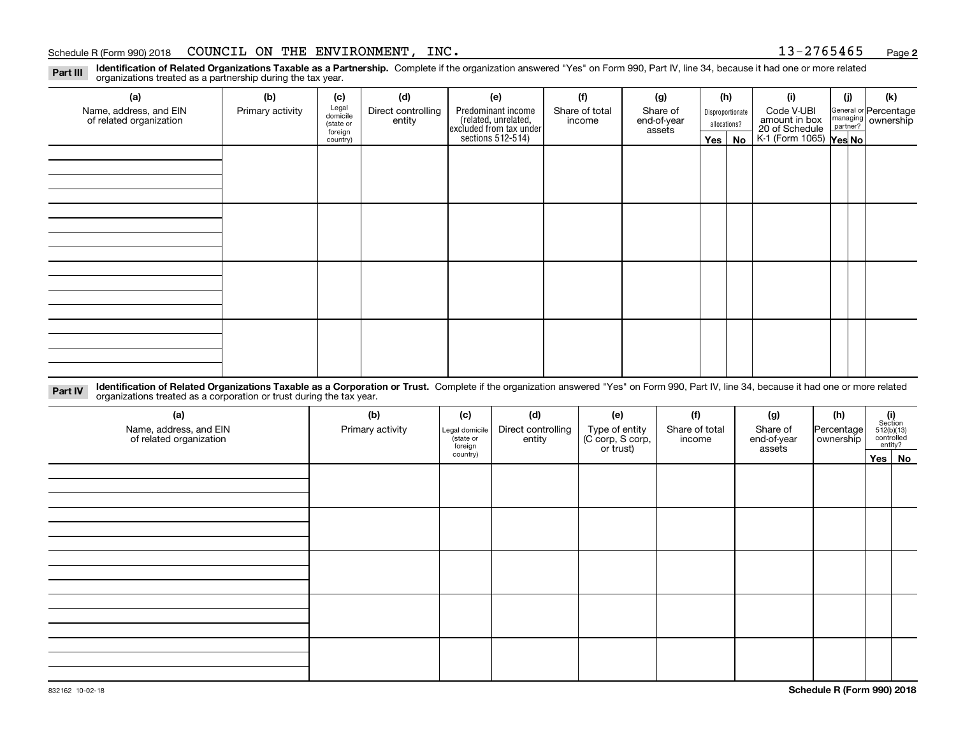#### Schedule R (Form 990) 2018 COUNCIL ON THE ENVIRONMENT,INC . 1 3-2 7 6 5 4 6 5 <sub>Page</sub>

**Identification of Related Organizations Taxable as a Partnership.** Complete if the organization answered "Yes" on Form 990, Part IV, line 34, because it had one or more related **Part III** organizations treated as a partnership during the tax year.

| (a)                     | (b)              | (c)                                                                                         | (d)    | (e)                                                                 | (f)    | (g)                   |                  | (h)          | (i)                                               | (j) | (k)                   |
|-------------------------|------------------|---------------------------------------------------------------------------------------------|--------|---------------------------------------------------------------------|--------|-----------------------|------------------|--------------|---------------------------------------------------|-----|-----------------------|
| Name, address, and EIN  | Primary activity | Legal<br>domicile<br>Predominant income<br>Direct controlling<br>Share of total<br>Share of |        |                                                                     |        |                       | Disproportionate |              | Code V-UBI                                        |     | General or Percentage |
| of related organization |                  | (state or<br>foreign                                                                        | entity | related, unrelated,<br>excluded from tax under<br>sections 512-514) | income | end-of-year<br>assets |                  | allocations? | amount in box                                     |     | managing ownership    |
|                         |                  | country)                                                                                    |        |                                                                     |        |                       |                  | Yes   No     | 20 of Schedule Partner?<br>K-1 (Form 1065) Yes No |     |                       |
|                         |                  |                                                                                             |        |                                                                     |        |                       |                  |              |                                                   |     |                       |
|                         |                  |                                                                                             |        |                                                                     |        |                       |                  |              |                                                   |     |                       |
|                         |                  |                                                                                             |        |                                                                     |        |                       |                  |              |                                                   |     |                       |
|                         |                  |                                                                                             |        |                                                                     |        |                       |                  |              |                                                   |     |                       |
|                         |                  |                                                                                             |        |                                                                     |        |                       |                  |              |                                                   |     |                       |
|                         |                  |                                                                                             |        |                                                                     |        |                       |                  |              |                                                   |     |                       |
|                         |                  |                                                                                             |        |                                                                     |        |                       |                  |              |                                                   |     |                       |
|                         |                  |                                                                                             |        |                                                                     |        |                       |                  |              |                                                   |     |                       |
|                         |                  |                                                                                             |        |                                                                     |        |                       |                  |              |                                                   |     |                       |
|                         |                  |                                                                                             |        |                                                                     |        |                       |                  |              |                                                   |     |                       |
|                         |                  |                                                                                             |        |                                                                     |        |                       |                  |              |                                                   |     |                       |
|                         |                  |                                                                                             |        |                                                                     |        |                       |                  |              |                                                   |     |                       |
|                         |                  |                                                                                             |        |                                                                     |        |                       |                  |              |                                                   |     |                       |
|                         |                  |                                                                                             |        |                                                                     |        |                       |                  |              |                                                   |     |                       |
|                         |                  |                                                                                             |        |                                                                     |        |                       |                  |              |                                                   |     |                       |
|                         |                  |                                                                                             |        |                                                                     |        |                       |                  |              |                                                   |     |                       |
|                         |                  |                                                                                             |        |                                                                     |        |                       |                  |              |                                                   |     |                       |

**Identification of Related Organizations Taxable as a Corporation or Trust.** Complete if the organization answered "Yes" on Form 990, Part IV, line 34, because it had one or more related **Part IV** organizations treated as a corporation or trust during the tax year.

| (a)<br>Name, address, and EIN<br>of related organization | (b)<br>Primary activity | (c)<br>Legal domicile<br>(state or<br>foreign | (d)<br>Direct controlling<br>entity | (e)<br>Type of entity<br>(C corp, S corp,<br>or trust) | (f)<br>Share of total<br>income | (g)<br>Share of<br>end-of-year<br>assets | (h)<br>Percentage<br>ownership | $(i)$ Section<br>512(b)(13)<br>controlled<br>entity? |
|----------------------------------------------------------|-------------------------|-----------------------------------------------|-------------------------------------|--------------------------------------------------------|---------------------------------|------------------------------------------|--------------------------------|------------------------------------------------------|
|                                                          |                         | country)                                      |                                     |                                                        |                                 |                                          |                                | Yes No                                               |
|                                                          |                         |                                               |                                     |                                                        |                                 |                                          |                                |                                                      |
|                                                          |                         |                                               |                                     |                                                        |                                 |                                          |                                |                                                      |
|                                                          |                         |                                               |                                     |                                                        |                                 |                                          |                                |                                                      |
|                                                          |                         |                                               |                                     |                                                        |                                 |                                          |                                |                                                      |
|                                                          |                         |                                               |                                     |                                                        |                                 |                                          |                                |                                                      |
|                                                          |                         |                                               |                                     |                                                        |                                 |                                          |                                |                                                      |
|                                                          |                         |                                               |                                     |                                                        |                                 |                                          |                                |                                                      |
|                                                          |                         |                                               |                                     |                                                        |                                 |                                          |                                |                                                      |
|                                                          |                         |                                               |                                     |                                                        |                                 |                                          |                                |                                                      |
|                                                          |                         |                                               |                                     |                                                        |                                 |                                          |                                |                                                      |
|                                                          |                         |                                               |                                     |                                                        |                                 |                                          |                                |                                                      |
|                                                          |                         |                                               |                                     |                                                        |                                 |                                          |                                |                                                      |
|                                                          |                         |                                               |                                     |                                                        |                                 |                                          |                                |                                                      |

**2**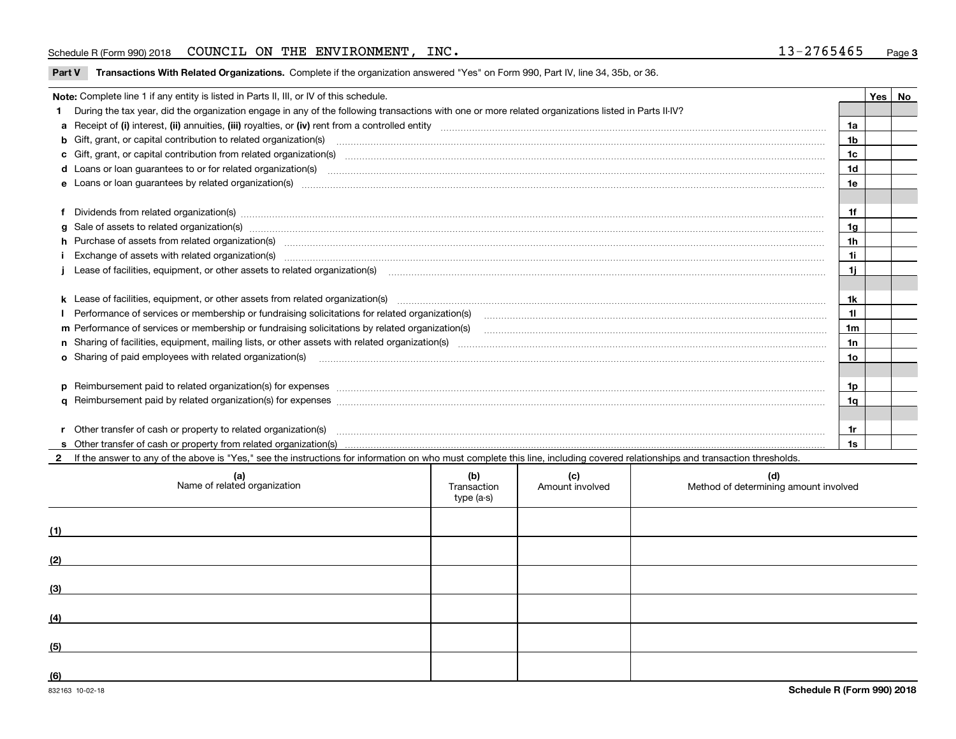#### Schedule R (Form 990) 2018 COUNCIL ON THE ENVIRONMENT,INC . 1 3-2 7 6 5 4 6 5 <sub>Page</sub>

|  |  | Part V Transactions With Related Organizations. Complete if the organization answered "Yes" on Form 990, Part IV, line 34, 35b, or 36. |  |  |  |
|--|--|----------------------------------------------------------------------------------------------------------------------------------------|--|--|--|
|--|--|----------------------------------------------------------------------------------------------------------------------------------------|--|--|--|

|   | Note: Complete line 1 if any entity is listed in Parts II, III, or IV of this schedule.                                                                                                                                        |                |  |  |  |  |  |  |
|---|--------------------------------------------------------------------------------------------------------------------------------------------------------------------------------------------------------------------------------|----------------|--|--|--|--|--|--|
|   | During the tax year, did the organization engage in any of the following transactions with one or more related organizations listed in Parts II-IV?                                                                            |                |  |  |  |  |  |  |
|   |                                                                                                                                                                                                                                | 1a             |  |  |  |  |  |  |
|   | b Gift, grant, or capital contribution to related organization(s) manufaction contracts and contribution to related organization(s)                                                                                            | 1 <sub>b</sub> |  |  |  |  |  |  |
|   | c Gift, grant, or capital contribution from related organization(s) mature material contract contribution from related organization(s) matured contents of mature material contribution from related organization(s) material  | 1c             |  |  |  |  |  |  |
|   | d Loans or loan guarantees to or for related organization(s) www.communically.com/www.communically.com/www.communically.com/www.communically.com/www.communically.com/www.communically.com/www.communically.com/www.communical | 1 <sub>d</sub> |  |  |  |  |  |  |
|   |                                                                                                                                                                                                                                | 1e             |  |  |  |  |  |  |
|   |                                                                                                                                                                                                                                |                |  |  |  |  |  |  |
|   |                                                                                                                                                                                                                                | 1f             |  |  |  |  |  |  |
| a | Sale of assets to related organization(s) www.assettion.com/www.assettion.com/www.assettion.com/www.assettion.com/www.assettion.com/www.assettion.com/www.assettion.com/www.assettion.com/www.assettion.com/www.assettion.com/ | 1g             |  |  |  |  |  |  |
|   | h Purchase of assets from related organization(s) manufactured content to content the content of the content of the content of the content of the content of the content of the content of the content of the content of the c | 1 <sub>h</sub> |  |  |  |  |  |  |
|   | Exchange of assets with related organization(s) www.walescommunity.com/walescommunity/walescommunity/walescommunity/walescommunity/walescommunity/walescommunity/walescommunity/walescommunity/walescommunity/walescommunity/w | 11             |  |  |  |  |  |  |
|   | Lease of facilities, equipment, or other assets to related organization(s) manufactured content and content and content and content and content and content and content and content and content and content and content and co | 1i.            |  |  |  |  |  |  |
|   |                                                                                                                                                                                                                                |                |  |  |  |  |  |  |
|   |                                                                                                                                                                                                                                | 1k             |  |  |  |  |  |  |
|   |                                                                                                                                                                                                                                | 11             |  |  |  |  |  |  |
|   |                                                                                                                                                                                                                                | 1 <sub>m</sub> |  |  |  |  |  |  |
|   |                                                                                                                                                                                                                                | 1n             |  |  |  |  |  |  |
|   | <b>o</b> Sharing of paid employees with related organization(s)                                                                                                                                                                | 1o             |  |  |  |  |  |  |
|   |                                                                                                                                                                                                                                |                |  |  |  |  |  |  |
|   | p Reimbursement paid to related organization(s) for expenses [1111] and the content of the content of the content of the content of the content of the content of the content of the content of the content of the content of  | 1p             |  |  |  |  |  |  |
|   |                                                                                                                                                                                                                                | 1q             |  |  |  |  |  |  |
|   |                                                                                                                                                                                                                                |                |  |  |  |  |  |  |
|   | r Other transfer of cash or property to related organization(s)                                                                                                                                                                | 1r             |  |  |  |  |  |  |
|   |                                                                                                                                                                                                                                | 1s             |  |  |  |  |  |  |
|   | 2 If the answer to any of the above is "Yes," see the instructions for information on who must complete this line, including covered relationships and transaction thresholds.                                                 |                |  |  |  |  |  |  |

| (a)<br>Name of related organization | (b)<br>Transaction<br>type (a-s) | (c)<br>Amount involved | (d)<br>Method of determining amount involved |
|-------------------------------------|----------------------------------|------------------------|----------------------------------------------|
| (1)                                 |                                  |                        |                                              |
| (2)                                 |                                  |                        |                                              |
| (3)                                 |                                  |                        |                                              |
| (4)                                 |                                  |                        |                                              |
| (5)                                 |                                  |                        |                                              |
| (6)                                 |                                  |                        |                                              |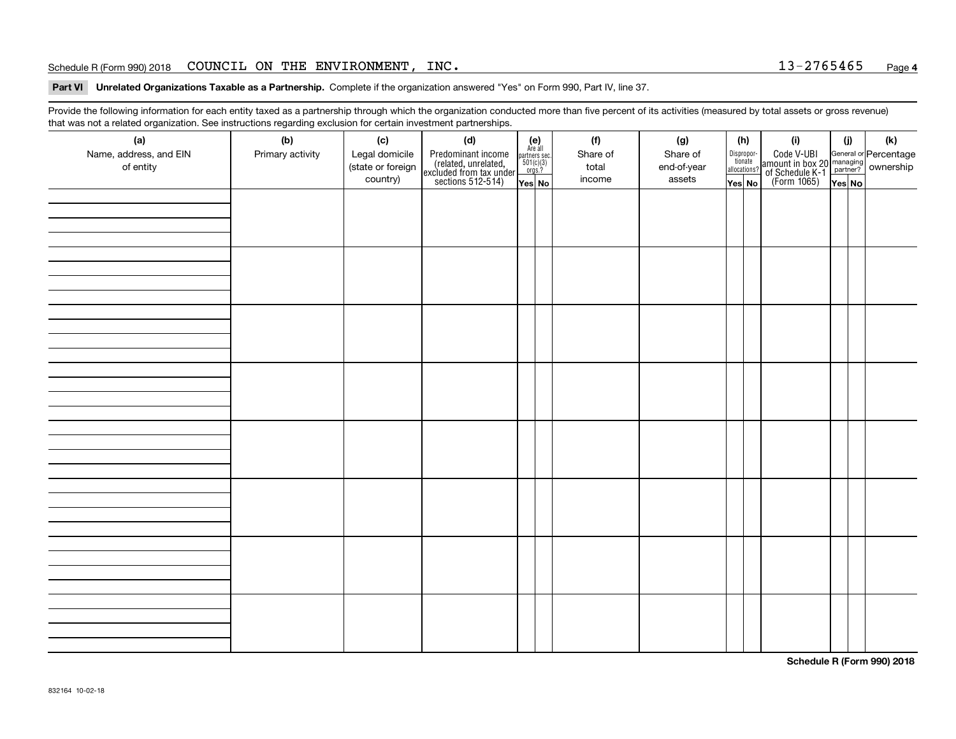#### Schedule R (Form 990) 2018 COUNCIL ON THE ENVIRONMENT,INC . 1 3-2 7 6 5 4 6 5 <sub>Page</sub>

**Part VI Unrelated Organizations Taxable as a Partnership. Complete if the organization answered "Yes" on Form 990, Part IV, line 37.** 

Provide the following information for each entity taxed as a partnership through which the organization conducted more than five percent of its activities (measured by total assets or gross revenue) that was not a related organization. See instructions regarding exclusion for certain investment partnerships.

| (a)<br>Name, address, and EIN<br>of entity | ----- <del>-</del> --------<br>(b)<br>Primary activity | (c)<br>Legal domicile<br>(state or foreign<br>country) | (d)<br>Predominant income<br>(related, unrelated,<br>excluded from tax under<br>sections 512-514) | (e)<br>Are all<br>partners sec.<br>$501(c)(3)$<br>orgs.?<br>Yes No | (f)<br>Share of<br>total<br>income | (g)<br>Share of<br>end-of-year<br>assets | (h)<br>Dispropor-<br>tionate<br>allocations?<br>Yes No | (i)<br>Code V-UBI<br>  amount in box 20 managing<br>  of Schedule K-1 partner? ownership<br>  of Schedule K-1 partner? ownership<br>  Yes No | (i)<br>Yes No | (k) |
|--------------------------------------------|--------------------------------------------------------|--------------------------------------------------------|---------------------------------------------------------------------------------------------------|--------------------------------------------------------------------|------------------------------------|------------------------------------------|--------------------------------------------------------|----------------------------------------------------------------------------------------------------------------------------------------------|---------------|-----|
|                                            |                                                        |                                                        |                                                                                                   |                                                                    |                                    |                                          |                                                        |                                                                                                                                              |               |     |
|                                            |                                                        |                                                        |                                                                                                   |                                                                    |                                    |                                          |                                                        |                                                                                                                                              |               |     |
|                                            |                                                        |                                                        |                                                                                                   |                                                                    |                                    |                                          |                                                        |                                                                                                                                              |               |     |
|                                            |                                                        |                                                        |                                                                                                   |                                                                    |                                    |                                          |                                                        |                                                                                                                                              |               |     |
|                                            |                                                        |                                                        |                                                                                                   |                                                                    |                                    |                                          |                                                        |                                                                                                                                              |               |     |
|                                            |                                                        |                                                        |                                                                                                   |                                                                    |                                    |                                          |                                                        |                                                                                                                                              |               |     |
|                                            |                                                        |                                                        |                                                                                                   |                                                                    |                                    |                                          |                                                        |                                                                                                                                              |               |     |
|                                            |                                                        |                                                        |                                                                                                   |                                                                    |                                    |                                          |                                                        |                                                                                                                                              |               |     |

**Schedule R (Form 990) 2018**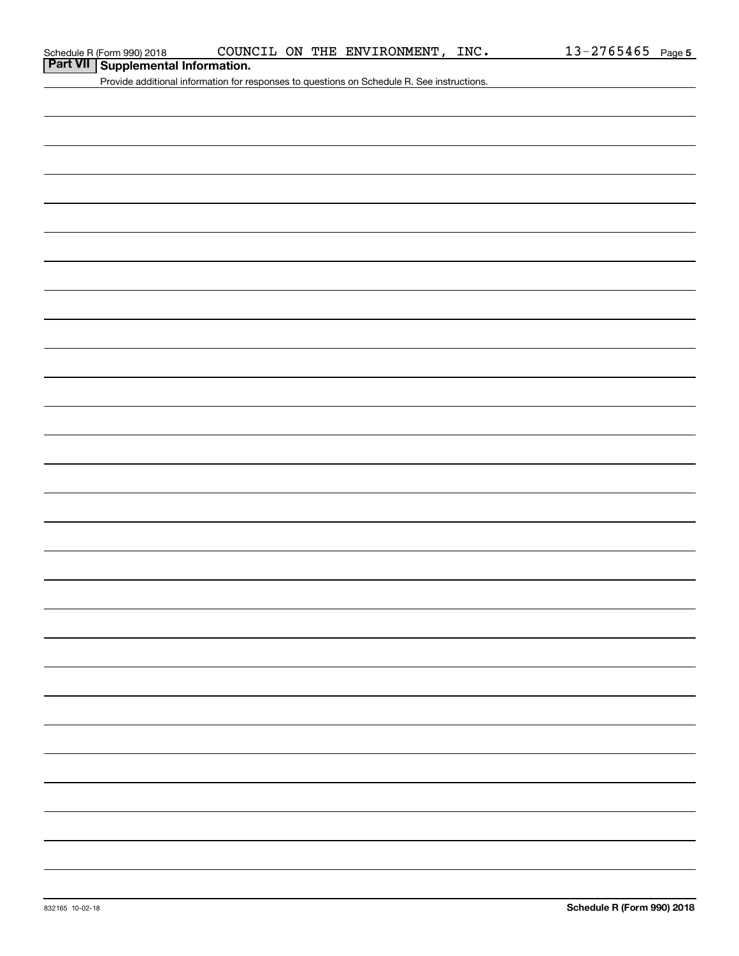|  | Part VII Supplemental Information. |  |
|--|------------------------------------|--|
|--|------------------------------------|--|

Provide additional information for responses to questions on Schedule R. See instructions.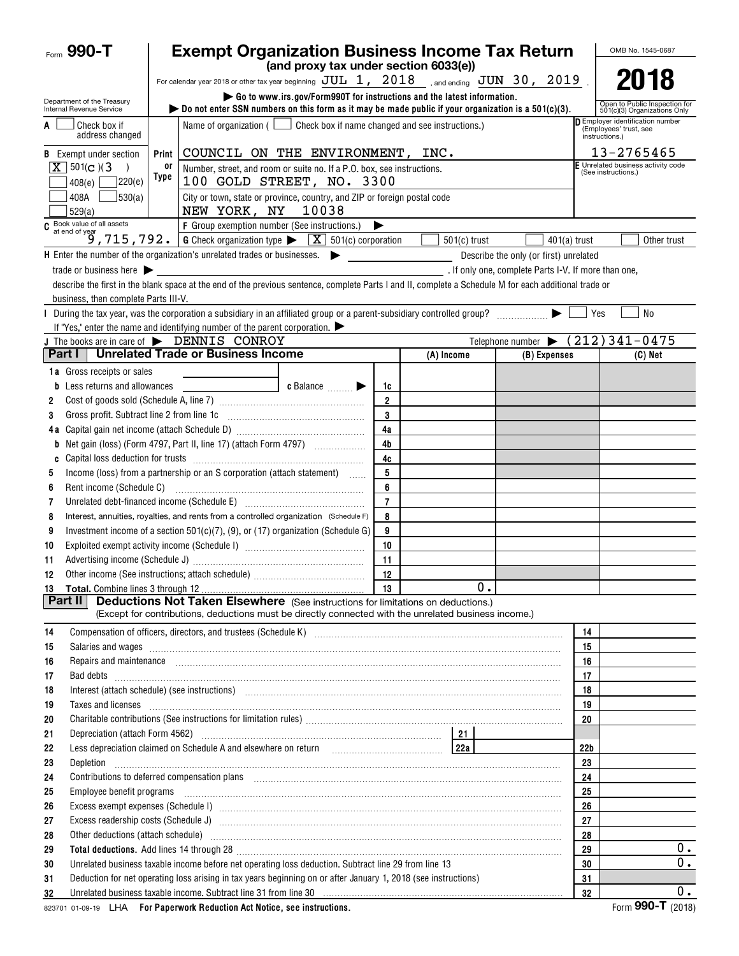| Form $990 - T$                                         | <b>Exempt Organization Business Income Tax Return</b>                                                                                                                                                                                                                                                                                  |                                                               | OMB No. 1545-0687                                                            |
|--------------------------------------------------------|----------------------------------------------------------------------------------------------------------------------------------------------------------------------------------------------------------------------------------------------------------------------------------------------------------------------------------------|---------------------------------------------------------------|------------------------------------------------------------------------------|
|                                                        | (and proxy tax under section 6033(e))                                                                                                                                                                                                                                                                                                  |                                                               |                                                                              |
|                                                        | For calendar year 2018 or other tax year beginning $JUL$ 1, $2018$ , and ending $JUN$ 30, $2019$ .                                                                                                                                                                                                                                     |                                                               | 2018                                                                         |
| Department of the Treasury<br>Internal Revenue Service | Go to www.irs.gov/Form990T for instructions and the latest information.<br>bo not enter SSN numbers on this form as it may be made public if your organization is a $501(c)(3)$ .                                                                                                                                                      | Open to Public Inspection for<br>501(c)(3) Organizations Only |                                                                              |
| Check box if<br>A<br>address changed                   | Name of organization ( $\Box$ Check box if name changed and see instructions.)                                                                                                                                                                                                                                                         |                                                               | D Employer identification number<br>(Employees' trust, see<br>instructions.) |
| <b>B</b> Exempt under section                          | COUNCIL ON THE ENVIRONMENT, INC.<br>Print                                                                                                                                                                                                                                                                                              |                                                               | 13-2765465                                                                   |
| $X$ 501(c)(3)                                          | 0ľ<br>Number, street, and room or suite no. If a P.O. box, see instructions.                                                                                                                                                                                                                                                           |                                                               | F Unrelated business activity code<br>(See instructions.)                    |
| 220(e)<br>408(e)                                       | Type<br>100 GOLD STREET, NO. 3300                                                                                                                                                                                                                                                                                                      |                                                               |                                                                              |
| 530(a) <br>408A<br>529(a)                              | City or town, state or province, country, and ZIP or foreign postal code<br>10038<br>NEW YORK, NY                                                                                                                                                                                                                                      |                                                               |                                                                              |
|                                                        |                                                                                                                                                                                                                                                                                                                                        |                                                               |                                                                              |
|                                                        | C Book value of all assets<br>$\begin{array}{c} \circ \\[-1.5mm] \text{G} \end{array}$ C at end of year<br>$\begin{array}{c} \circ \\[-1.5mm] \text{G} \end{array}$ 7 1 5 , 7 9 2 . G Check organization type $\blacktriangleright$ $\boxed{\text{X}}$ 501(c) corporation<br>$501(c)$ trust                                            | $401(a)$ trust                                                | Other trust                                                                  |
|                                                        | $\mathsf H$ Enter the number of the organization's unrelated trades or businesses. $\blacktriangleright$                                                                                                                                                                                                                               | Describe the only (or first) unrelated                        |                                                                              |
| trade or business here $\blacktriangleright$           |                                                                                                                                                                                                                                                                                                                                        | . If only one, complete Parts I-V. If more than one,          |                                                                              |
|                                                        | describe the first in the blank space at the end of the previous sentence, complete Parts I and II, complete a Schedule M for each additional trade or                                                                                                                                                                                 |                                                               |                                                                              |
| business, then complete Parts III-V.                   |                                                                                                                                                                                                                                                                                                                                        |                                                               |                                                                              |
|                                                        | During the tax year, was the corporation a subsidiary in an affiliated group or a parent-subsidiary controlled group?                                                                                                                                                                                                                  |                                                               | N <sub>0</sub><br>Yes                                                        |
|                                                        | If "Yes," enter the name and identifying number of the parent corporation. $\blacktriangleright$                                                                                                                                                                                                                                       |                                                               |                                                                              |
|                                                        | J The books are in care of $\blacktriangleright$ DENNIS CONROY                                                                                                                                                                                                                                                                         |                                                               | Telephone number $\blacktriangleright$ (212) 341-0475                        |
| Part I                                                 | <b>Unrelated Trade or Business Income</b><br>(A) Income                                                                                                                                                                                                                                                                                | (B) Expenses                                                  | (C) Net                                                                      |
| <b>1a</b> Gross receipts or sales                      |                                                                                                                                                                                                                                                                                                                                        |                                                               |                                                                              |
| <b>b</b> Less returns and allowances                   | $\bullet$ Balance $\qquad \qquad \bullet$<br>1c<br><u> 1980 - Jan Samuel Barbara, poeta poeta poeta poeta poeta poeta poeta poeta poeta poeta poeta poeta poeta poe</u>                                                                                                                                                                |                                                               |                                                                              |
| 2                                                      | $\overline{2}$                                                                                                                                                                                                                                                                                                                         |                                                               |                                                                              |
| 3                                                      | 3                                                                                                                                                                                                                                                                                                                                      |                                                               |                                                                              |
|                                                        | 4a                                                                                                                                                                                                                                                                                                                                     |                                                               |                                                                              |
|                                                        | 4 <sub>b</sub>                                                                                                                                                                                                                                                                                                                         |                                                               |                                                                              |
| C                                                      | 4c<br>5                                                                                                                                                                                                                                                                                                                                |                                                               |                                                                              |
| 5                                                      | Income (loss) from a partnership or an S corporation (attach statement)<br>6                                                                                                                                                                                                                                                           |                                                               |                                                                              |
| 6                                                      | $\overline{7}$                                                                                                                                                                                                                                                                                                                         |                                                               |                                                                              |
| 7<br>8                                                 | Unrelated debt-financed income (Schedule E) [11] [2010] [2010] [2010] [2010] [2010] [2010] [2010] [2010] [2010<br>Interest, annuities, royalties, and rents from a controlled organization (Schedule F)<br>8                                                                                                                           |                                                               |                                                                              |
| 9                                                      | Investment income of a section $501(c)(7)$ , (9), or (17) organization (Schedule G)<br>9                                                                                                                                                                                                                                               |                                                               |                                                                              |
| 10                                                     | 10                                                                                                                                                                                                                                                                                                                                     |                                                               |                                                                              |
| 11                                                     | 11                                                                                                                                                                                                                                                                                                                                     |                                                               |                                                                              |
| 12                                                     | 12<br>Other income (See instructions; attach schedule)                                                                                                                                                                                                                                                                                 |                                                               |                                                                              |
|                                                        | 13                                                                                                                                                                                                                                                                                                                                     | 0.                                                            |                                                                              |
| Part II                                                | <b>Deductions Not Taken Elsewhere</b> (See instructions for limitations on deductions.)                                                                                                                                                                                                                                                |                                                               |                                                                              |
|                                                        | (Except for contributions, deductions must be directly connected with the unrelated business income.)                                                                                                                                                                                                                                  |                                                               |                                                                              |
| 14                                                     | Compensation of officers, directors, and trustees (Schedule K) [11] [2010] Compensation of officers, directors, and trustees (Schedule K) [11] [2010] [2010] [2010] [2010] [2010] [2010] [2010] [2010] [2010] [2010] [2010] [2                                                                                                         |                                                               | 14                                                                           |
| 15                                                     | Salaries and wages information continuous contracts and wages in the same of the same of the same of the same of the same of the same of the same of the same of the same of the same of the same of the same of the same of t                                                                                                         |                                                               | 15                                                                           |
| 16                                                     | Repairs and maintenance <b>construction and construction of the construction</b> and maintenance construction and maintenance                                                                                                                                                                                                          |                                                               | 16                                                                           |
| 17                                                     | Bad debts <b>www.communities.communities.communities.com</b>                                                                                                                                                                                                                                                                           |                                                               | 17                                                                           |
| 18                                                     | Interest (attach schedule) (see instructions) manufacture and content and attachment and attachment and attachment and the interest (attachment and the interest of the interest of the interest of the interest of the intere                                                                                                         |                                                               | 18                                                                           |
| 19                                                     | Taxes and licenses <b>contract the contract of the contract of the contract of the contract of the contract of the contract of the contract of the contract of the contract of the contract of the contract of the contract of t</b>                                                                                                   |                                                               | 19                                                                           |
| 20                                                     |                                                                                                                                                                                                                                                                                                                                        |                                                               | 20                                                                           |
| 21                                                     |                                                                                                                                                                                                                                                                                                                                        |                                                               |                                                                              |
| 22                                                     |                                                                                                                                                                                                                                                                                                                                        |                                                               | 22 <sub>b</sub>                                                              |
| 23<br>Depletion                                        |                                                                                                                                                                                                                                                                                                                                        |                                                               | 23                                                                           |
| 24                                                     | Contributions to deferred compensation plans [11] manufactured contributions to deferred compensation plans [11] manufactured compensation plans [11] manufactured compensation plans [11] manufactured contributions to defer                                                                                                         |                                                               | 24                                                                           |
| 25                                                     | Employee benefit programs recommending and continuum contracts and contact the contract of the contract of the                                                                                                                                                                                                                         |                                                               | 25                                                                           |
| 26                                                     |                                                                                                                                                                                                                                                                                                                                        |                                                               | 26                                                                           |
| 27                                                     |                                                                                                                                                                                                                                                                                                                                        |                                                               | 27                                                                           |
| 28                                                     | Other deductions (attach schedule) www.communications.communications.communications.communications.com                                                                                                                                                                                                                                 |                                                               | 28<br>$0$ .<br>29                                                            |
| 29                                                     | Total deductions. Add lines 14 through 28 [11] manufactures in the contract of the contract of the contract of the contract of the contract of the contract of the contract of the contract of the contract of the contract of<br>Unrelated business taxable income before net operating loss deduction. Subtract line 29 from line 13 |                                                               | $0$ .<br>30                                                                  |
| 30<br>31                                               | Deduction for net operating loss arising in tax years beginning on or after January 1, 2018 (see instructions)                                                                                                                                                                                                                         |                                                               | 31                                                                           |
| 32                                                     | Unrelated business taxable income. Subtract line 31 from line 30 manufactured contains and contained business taxable income. Subtract line 31 from line 30 manufactured contains and the United States of the United States a                                                                                                         |                                                               | 0.<br>32                                                                     |
|                                                        |                                                                                                                                                                                                                                                                                                                                        |                                                               |                                                                              |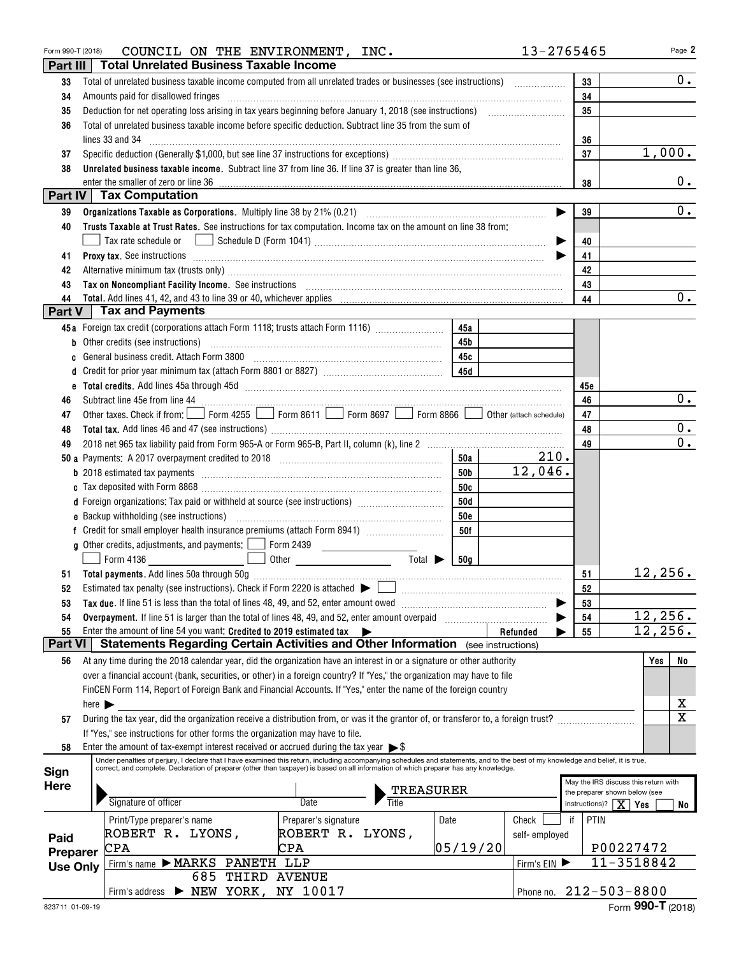| Form 990-T (2018) |                            | COUNCIL ON THE ENVIRONMENT, INC.                                                                                                                                                                                                                                                        |                                          |                             |                 |                         | 13-2765465                           | Page 2                                         |
|-------------------|----------------------------|-----------------------------------------------------------------------------------------------------------------------------------------------------------------------------------------------------------------------------------------------------------------------------------------|------------------------------------------|-----------------------------|-----------------|-------------------------|--------------------------------------|------------------------------------------------|
| Part III          |                            | <b>Total Unrelated Business Taxable Income</b>                                                                                                                                                                                                                                          |                                          |                             |                 |                         |                                      |                                                |
| 33                |                            | Total of unrelated business taxable income computed from all unrelated trades or businesses (see instructions)                                                                                                                                                                          |                                          |                             |                 |                         | 33                                   | 0.                                             |
| 34                |                            | Amounts paid for disallowed fringes [11] Amount and the contract of the final state of the state of the state of the state of the state of the state of the state of the state of the state of the state of the state of the s                                                          |                                          |                             |                 |                         | 34                                   |                                                |
| 35                |                            |                                                                                                                                                                                                                                                                                         |                                          |                             |                 |                         | 35                                   |                                                |
| 36                |                            | Total of unrelated business taxable income before specific deduction. Subtract line 35 from the sum of                                                                                                                                                                                  |                                          |                             |                 |                         |                                      |                                                |
|                   |                            | lines 33 and 34                                                                                                                                                                                                                                                                         |                                          |                             |                 |                         | 36                                   |                                                |
| 37                |                            |                                                                                                                                                                                                                                                                                         |                                          |                             |                 |                         | 37                                   | 1,000.                                         |
| 38                |                            | Unrelated business taxable income. Subtract line 37 from line 36. If line 37 is greater than line 36,                                                                                                                                                                                   |                                          |                             |                 |                         |                                      |                                                |
|                   |                            | enter the smaller of zero or line 36                                                                                                                                                                                                                                                    |                                          |                             |                 |                         | 38                                   | $0$ .                                          |
|                   |                            | Part IV   Tax Computation                                                                                                                                                                                                                                                               |                                          |                             |                 |                         |                                      |                                                |
| 39                |                            |                                                                                                                                                                                                                                                                                         |                                          |                             |                 |                         | 39                                   | $0_{\cdot}$                                    |
| 40                |                            | Trusts Taxable at Trust Rates. See instructions for tax computation. Income tax on the amount on line 38 from:                                                                                                                                                                          |                                          |                             |                 |                         |                                      |                                                |
|                   |                            |                                                                                                                                                                                                                                                                                         |                                          |                             |                 |                         | 40                                   |                                                |
| 41                |                            | Proxy tax. See instructions informational contracts and all the contracts of the contracts of the contracts of the contracts of the contracts of the contracts of the contracts of the contracts of the contracts of the contr                                                          |                                          |                             |                 |                         | 41                                   |                                                |
| 42                |                            |                                                                                                                                                                                                                                                                                         |                                          |                             |                 |                         | 42                                   |                                                |
| 43                |                            |                                                                                                                                                                                                                                                                                         |                                          |                             |                 |                         | 43                                   |                                                |
| 44<br>Part V      |                            | <b>Tax and Payments</b>                                                                                                                                                                                                                                                                 |                                          |                             |                 |                         | 44                                   | $0_{\bullet}$                                  |
|                   |                            |                                                                                                                                                                                                                                                                                         |                                          |                             |                 |                         |                                      |                                                |
|                   |                            | 45a Foreign tax credit (corporations attach Form 1118; trusts attach Form 1116)                                                                                                                                                                                                         |                                          |                             | 45a             |                         |                                      |                                                |
|                   |                            | b Other credits (see instructions) manufactured contains and contained a contact of the credits (see instructions)                                                                                                                                                                      |                                          |                             | 45b             |                         |                                      |                                                |
| c                 |                            | General business credit. Attach Form 3800 [11] [11] Contract the substitution of the set of the set of the set of the set of the set of the set of the set of the set of the set of the set of the set of the set of the set o                                                          |                                          |                             | 45c             |                         |                                      |                                                |
|                   |                            |                                                                                                                                                                                                                                                                                         |                                          |                             |                 |                         |                                      |                                                |
| 46                |                            |                                                                                                                                                                                                                                                                                         |                                          |                             |                 |                         | 45e<br>46                            | $0_{.}$                                        |
| 47                |                            | Other taxes. Check if from: Form 4255 Form 8611 Form 8697 Form 8866                                                                                                                                                                                                                     |                                          |                             |                 | Other (attach schedule) | 47                                   |                                                |
| 48                |                            |                                                                                                                                                                                                                                                                                         |                                          |                             |                 |                         | 48                                   | $0$ .                                          |
| 49                |                            |                                                                                                                                                                                                                                                                                         |                                          |                             |                 |                         | 49                                   | $\overline{0}$ .                               |
|                   |                            |                                                                                                                                                                                                                                                                                         |                                          |                             | 50a             | 210.                    |                                      |                                                |
|                   |                            | <b>b</b> 2018 estimated tax payments <i>manual contract contract and a contract and a contract and a contract and a contract and a contract and a contract and a contract and a contract and contract and contract and contract and c</i>                                               |                                          |                             | <b>50b</b>      | 12,046.                 |                                      |                                                |
|                   |                            |                                                                                                                                                                                                                                                                                         |                                          |                             | 50c             |                         |                                      |                                                |
|                   |                            | d Foreign organizations: Tax paid or withheld at source (see instructions) [                                                                                                                                                                                                            |                                          |                             | 50d             |                         |                                      |                                                |
|                   |                            |                                                                                                                                                                                                                                                                                         |                                          |                             | <b>50e</b>      |                         |                                      |                                                |
|                   |                            |                                                                                                                                                                                                                                                                                         |                                          |                             | 50f             |                         |                                      |                                                |
|                   |                            | g Other credits, adjustments, and payments:   Form 2439                                                                                                                                                                                                                                 |                                          |                             |                 |                         |                                      |                                                |
|                   |                            | Form 4136                                                                                                                                                                                                                                                                               |                                          | Total $\blacktriangleright$ | 50 <sub>a</sub> |                         |                                      |                                                |
|                   |                            |                                                                                                                                                                                                                                                                                         |                                          |                             |                 |                         | 51                                   | 12,256.                                        |
| 52                |                            | Estimated tax penalty (see instructions). Check if Form 2220 is attached $\blacktriangleright$                                                                                                                                                                                          |                                          |                             |                 |                         | 52                                   |                                                |
| 53                |                            | Tax due. If line 51 is less than the total of lines 48, 49, and 52, enter amount owed                                                                                                                                                                                                   |                                          |                             |                 |                         | 53                                   |                                                |
| 54                |                            | Overpayment. If line 51 is larger than the total of lines 48, 49, and 52, enter amount overpaid                                                                                                                                                                                         |                                          |                             |                 |                         | 54                                   | 12,256.                                        |
| 55                |                            | Enter the amount of line 54 you want: Credited to 2019 estimated tax                                                                                                                                                                                                                    |                                          |                             |                 | Refunded                | 55                                   | 12,256.                                        |
| Part VI           |                            | <b>Statements Regarding Certain Activities and Other Information</b> (see instructions)                                                                                                                                                                                                 |                                          |                             |                 |                         |                                      |                                                |
| 56                |                            | At any time during the 2018 calendar year, did the organization have an interest in or a signature or other authority                                                                                                                                                                   |                                          |                             |                 |                         |                                      | Yes<br>No                                      |
|                   |                            | over a financial account (bank, securities, or other) in a foreign country? If "Yes," the organization may have to file                                                                                                                                                                 |                                          |                             |                 |                         |                                      |                                                |
|                   |                            | FinCEN Form 114, Report of Foreign Bank and Financial Accounts. If "Yes," enter the name of the foreign country                                                                                                                                                                         |                                          |                             |                 |                         |                                      |                                                |
|                   | here $\blacktriangleright$ |                                                                                                                                                                                                                                                                                         |                                          |                             |                 |                         |                                      | х                                              |
| 57                |                            | During the tax year, did the organization receive a distribution from, or was it the grantor of, or transferor to, a foreign trust?                                                                                                                                                     |                                          |                             |                 |                         |                                      | $\overline{\text{x}}$                          |
|                   |                            | If "Yes," see instructions for other forms the organization may have to file.                                                                                                                                                                                                           |                                          |                             |                 |                         |                                      |                                                |
| 58                |                            | Enter the amount of tax-exempt interest received or accrued during the tax year $\triangleright$ \$<br>Under penalties of perjury, I declare that I have examined this return, including accompanying schedules and statements, and to the best of my knowledge and belief, it is true, |                                          |                             |                 |                         |                                      |                                                |
| Sign              |                            | correct, and complete. Declaration of preparer (other than taxpayer) is based on all information of which preparer has any knowledge.                                                                                                                                                   |                                          |                             |                 |                         |                                      |                                                |
| <b>Here</b>       |                            | TREASURER                                                                                                                                                                                                                                                                               |                                          |                             |                 |                         | May the IRS discuss this return with |                                                |
|                   |                            | Signature of officer                                                                                                                                                                                                                                                                    | Date                                     | Title                       |                 |                         | instructions)?                       | the preparer shown below (see<br>$X \mid Y$ es |
|                   |                            |                                                                                                                                                                                                                                                                                         |                                          |                             |                 |                         |                                      | No                                             |
|                   |                            | Print/Type preparer's name<br>ROBERT R. LYONS,                                                                                                                                                                                                                                          | Preparer's signature<br>ROBERT R. LYONS, |                             | Date            | Check                   | PTIN<br>if                           |                                                |
| Paid              |                            | $\mathtt{CPA}$                                                                                                                                                                                                                                                                          | CPA                                      |                             | 05/19/20        | self-employed           |                                      | P00227472                                      |
| Preparer          |                            | Firm's name MARKS PANETH LLP                                                                                                                                                                                                                                                            |                                          |                             |                 | Firm's EIN              |                                      | $11 - 3518842$                                 |
| <b>Use Only</b>   |                            | 685                                                                                                                                                                                                                                                                                     | THIRD AVENUE                             |                             |                 |                         |                                      |                                                |
|                   |                            | $\triangleright$ NEW YORK, NY 10017<br>Firm's address                                                                                                                                                                                                                                   |                                          |                             |                 | Phone no.               |                                      | $212 - 503 - 8800$                             |
|                   |                            |                                                                                                                                                                                                                                                                                         |                                          |                             |                 |                         |                                      |                                                |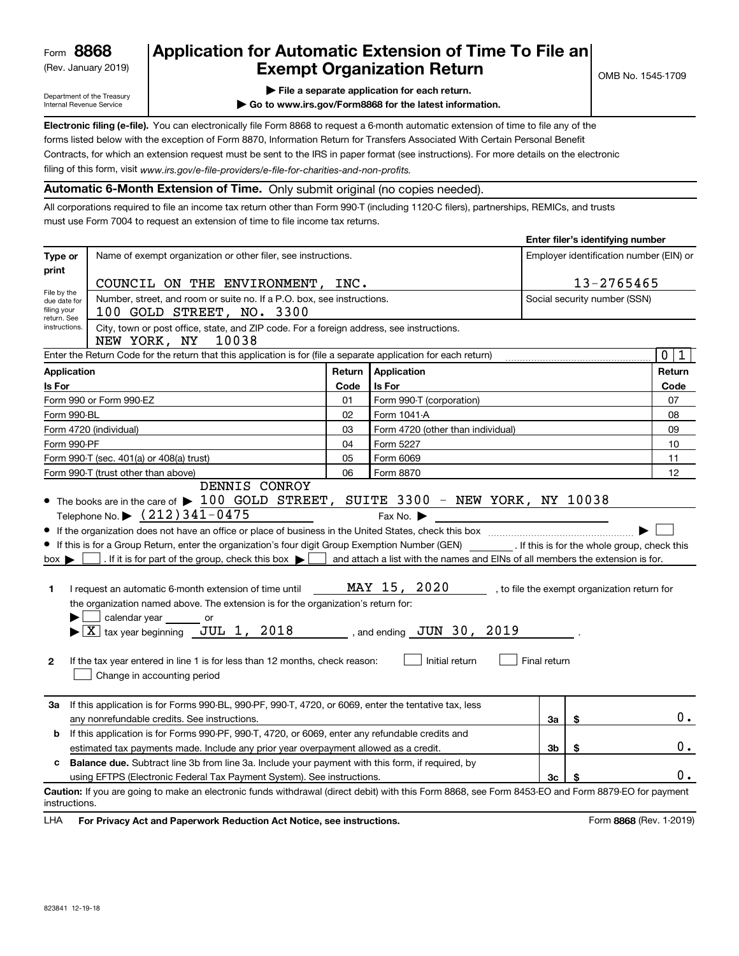(Rev. January 2019)

## **Application for Automatic Extension of Time To File an Exempt Organization Return**

**Enter filer's identifying number**

Department of the Treasury Internal Revenue Service

- **| File a separate application for each return.**
- **| Go to www.irs.gov/Form8868 for the latest information.**

**Electronic filing (e-file).**  You can electronically file Form 8868 to request a 6-month automatic extension of time to file any of the filing of this form, visit www.irs.gov/e-file-providers/e-file-for-charities-and-non-profits. forms listed below with the exception of Form 8870, Information Return for Transfers Associated With Certain Personal Benefit Contracts, for which an extension request must be sent to the IRS in paper format (see instructions). For more details on the electronic

**Automatic 6-Month Extension of Time.** Only submit original (no copies needed).

All corporations required to file an income tax return other than Form 990-T (including 1120-C filers), partnerships, REMICs, and trusts must use Form 7004 to request an extension of time to file income tax returns.

|                                            |                                                                                                                                                                                                                                                                                                                                                                                                                                                                                                                                                                                                                                                                                                                                                                 |                                                                        |                                                                                                                                                                                      |                                         | $E$ liter liler s identifying humber         |                  |
|--------------------------------------------|-----------------------------------------------------------------------------------------------------------------------------------------------------------------------------------------------------------------------------------------------------------------------------------------------------------------------------------------------------------------------------------------------------------------------------------------------------------------------------------------------------------------------------------------------------------------------------------------------------------------------------------------------------------------------------------------------------------------------------------------------------------------|------------------------------------------------------------------------|--------------------------------------------------------------------------------------------------------------------------------------------------------------------------------------|-----------------------------------------|----------------------------------------------|------------------|
| Type or                                    | Name of exempt organization or other filer, see instructions.                                                                                                                                                                                                                                                                                                                                                                                                                                                                                                                                                                                                                                                                                                   |                                                                        |                                                                                                                                                                                      | Employer identification number (EIN) or |                                              |                  |
| print                                      | COUNCIL ON THE ENVIRONMENT, INC.                                                                                                                                                                                                                                                                                                                                                                                                                                                                                                                                                                                                                                                                                                                                |                                                                        |                                                                                                                                                                                      |                                         | 13-2765465                                   |                  |
| File by the<br>due date for<br>filing your | 100 GOLD STREET, NO. 3300                                                                                                                                                                                                                                                                                                                                                                                                                                                                                                                                                                                                                                                                                                                                       | Number, street, and room or suite no. If a P.O. box, see instructions. |                                                                                                                                                                                      |                                         | Social security number (SSN)                 |                  |
| return. See<br>instructions.               | City, town or post office, state, and ZIP code. For a foreign address, see instructions.<br>NEW YORK, NY 10038                                                                                                                                                                                                                                                                                                                                                                                                                                                                                                                                                                                                                                                  |                                                                        |                                                                                                                                                                                      |                                         |                                              |                  |
|                                            | Enter the Return Code for the return that this application is for (file a separate application for each return)                                                                                                                                                                                                                                                                                                                                                                                                                                                                                                                                                                                                                                                 |                                                                        |                                                                                                                                                                                      |                                         |                                              | $\mathbf 0$<br>1 |
| Application                                |                                                                                                                                                                                                                                                                                                                                                                                                                                                                                                                                                                                                                                                                                                                                                                 | Return                                                                 | Application                                                                                                                                                                          |                                         |                                              | Return           |
| Is For                                     |                                                                                                                                                                                                                                                                                                                                                                                                                                                                                                                                                                                                                                                                                                                                                                 | Code                                                                   | Is For                                                                                                                                                                               |                                         |                                              | Code             |
|                                            | Form 990 or Form 990-EZ                                                                                                                                                                                                                                                                                                                                                                                                                                                                                                                                                                                                                                                                                                                                         | 01                                                                     | Form 990-T (corporation)                                                                                                                                                             |                                         |                                              | 07               |
| Form 990-BL                                |                                                                                                                                                                                                                                                                                                                                                                                                                                                                                                                                                                                                                                                                                                                                                                 | 02                                                                     | Form 1041-A                                                                                                                                                                          |                                         |                                              | 08               |
|                                            | Form 4720 (individual)                                                                                                                                                                                                                                                                                                                                                                                                                                                                                                                                                                                                                                                                                                                                          | 03                                                                     | Form 4720 (other than individual)                                                                                                                                                    |                                         |                                              | 09               |
| Form 990-PF                                |                                                                                                                                                                                                                                                                                                                                                                                                                                                                                                                                                                                                                                                                                                                                                                 | 04                                                                     | Form 5227                                                                                                                                                                            |                                         |                                              | 10               |
|                                            | Form 990-T (sec. 401(a) or 408(a) trust)                                                                                                                                                                                                                                                                                                                                                                                                                                                                                                                                                                                                                                                                                                                        | 05                                                                     | Form 6069                                                                                                                                                                            |                                         |                                              |                  |
|                                            | Form 990-T (trust other than above)                                                                                                                                                                                                                                                                                                                                                                                                                                                                                                                                                                                                                                                                                                                             | 06                                                                     | Form 8870                                                                                                                                                                            |                                         | 12                                           |                  |
| $box \blacktriangleright$<br>1.<br>2       | $\bullet$ The books are in the care of $\blacktriangleright$ 100 GOLD STREET,<br>Telephone No. $\triangleright$ $(212)$ 341-0475<br>If this is for a Group Return, enter the organization's four digit Group Exemption Number (GEN) __________. If this is for the whole group, check this<br>. If it is for part of the group, check this box $\blacktriangleright$  <br>I request an automatic 6-month extension of time until<br>the organization named above. The extension is for the organization's return for:<br>calendar year<br>or<br>$\blacktriangleright$ $\boxed{\text{X}}$ tax year beginning JUL 1, 2018 , and ending JUN 30, 2019<br>If the tax year entered in line 1 is for less than 12 months, check reason:<br>Change in accounting period |                                                                        | SUITE 3300 - NEW YORK, NY 10038<br>Fax No. $\blacktriangleright$<br>and attach a list with the names and EINs of all members the extension is for.<br>MAY 15, 2020<br>Initial return | Final return                            | , to file the exempt organization return for |                  |
| За                                         | If this application is for Forms 990-BL, 990-PF, 990-T, 4720, or 6069, enter the tentative tax, less<br>any nonrefundable credits. See instructions.                                                                                                                                                                                                                                                                                                                                                                                                                                                                                                                                                                                                            |                                                                        |                                                                                                                                                                                      | За                                      | \$                                           | 0.               |
| b                                          | If this application is for Forms 990-PF, 990-T, 4720, or 6069, enter any refundable credits and                                                                                                                                                                                                                                                                                                                                                                                                                                                                                                                                                                                                                                                                 |                                                                        |                                                                                                                                                                                      |                                         |                                              |                  |
|                                            | estimated tax payments made. Include any prior year overpayment allowed as a credit.                                                                                                                                                                                                                                                                                                                                                                                                                                                                                                                                                                                                                                                                            |                                                                        |                                                                                                                                                                                      | 3b                                      | \$                                           | 0.               |
| c                                          | Balance due. Subtract line 3b from line 3a. Include your payment with this form, if required, by                                                                                                                                                                                                                                                                                                                                                                                                                                                                                                                                                                                                                                                                |                                                                        |                                                                                                                                                                                      |                                         |                                              |                  |
|                                            | using EFTPS (Electronic Federal Tax Payment System). See instructions.                                                                                                                                                                                                                                                                                                                                                                                                                                                                                                                                                                                                                                                                                          |                                                                        |                                                                                                                                                                                      | 3c                                      |                                              | 0.               |
| instructions.                              | Caution: If you are going to make an electronic funds withdrawal (direct debit) with this Form 8868, see Form 8453-EO and Form 8879-EO for payment                                                                                                                                                                                                                                                                                                                                                                                                                                                                                                                                                                                                              |                                                                        |                                                                                                                                                                                      |                                         |                                              |                  |
|                                            |                                                                                                                                                                                                                                                                                                                                                                                                                                                                                                                                                                                                                                                                                                                                                                 |                                                                        |                                                                                                                                                                                      |                                         |                                              |                  |

**HA** For Privacy Act and Paperwork Reduction Act Notice, see instructions. **But a struction of the Community Community** Form 8868 (Rev. 1-2019) LHA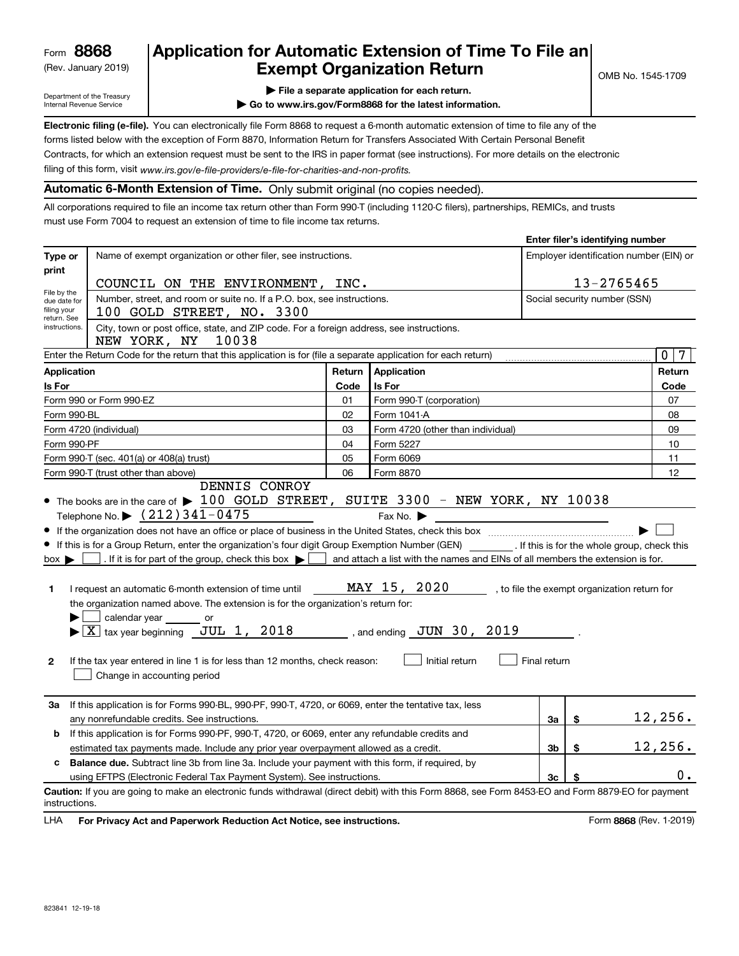(Rev. January 2019)

## **Application for Automatic Extension of Time To File an Exempt Organization Return**

**Enter filer's identifying number**

Department of the Treasury Internal Revenue Service

- **| File a separate application for each return.**
- **| Go to www.irs.gov/Form8868 for the latest information.**

**Electronic filing (e-file).**  You can electronically file Form 8868 to request a 6-month automatic extension of time to file any of the filing of this form, visit www.irs.gov/e-file-providers/e-file-for-charities-and-non-profits. forms listed below with the exception of Form 8870, Information Return for Transfers Associated With Certain Personal Benefit Contracts, for which an extension request must be sent to the IRS in paper format (see instructions). For more details on the electronic

**Automatic 6-Month Extension of Time.** Only submit original (no copies needed).

All corporations required to file an income tax return other than Form 990-T (including 1120-C filers), partnerships, REMICs, and trusts must use Form 7004 to request an extension of time to file income tax returns.

| Name of exempt organization or other filer, see instructions.<br>Type or<br>print<br>13-2765465<br>COUNCIL ON THE ENVIRONMENT, INC.<br>File by the<br>Number, street, and room or suite no. If a P.O. box, see instructions.<br>Social security number (SSN)<br>due date for<br>filing your<br>100 GOLD STREET, NO. 3300<br>return. See<br>City, town or post office, state, and ZIP code. For a foreign address, see instructions.<br>instructions.<br>NEW YORK, NY<br>10038<br>Enter the Return Code for the return that this application is for (file a separate application for each return)<br>Application<br>Return<br>Application<br>Is For<br>Is For<br>Code<br>Form 990 or Form 990-EZ<br>01<br>Form 990-T (corporation)<br>Form 990-BL<br>02<br>Form 1041-A<br>Form 4720 (individual)<br>03<br>Form 4720 (other than individual)<br>Form 5227<br>Form 990-PF<br>04<br>Form 990-T (sec. 401(a) or 408(a) trust)<br>05<br>Form 6069<br>06<br>Form 990-T (trust other than above)<br>Form 8870<br>DENNIS CONROY<br>• The books are in the care of $\blacktriangleright$ 100 GOLD STREET, SUITE 3300 - NEW YORK, NY 10038<br>Telephone No. $\triangleright$ $(212)$ 341-0475<br>Fax No. $\blacktriangleright$<br>. If it is for part of the group, check this box $\blacktriangleright$  <br>and attach a list with the names and EINs of all members the extension is for.<br>$box \blacktriangleright$<br>MAY 15, 2020<br>I request an automatic 6-month extension of time until<br>1.<br>the organization named above. The extension is for the organization's return for:<br>calendar year<br>or<br>$\blacktriangleright$ $\boxed{\text{X}}$ tax year beginning JUL 1, 2018 , and ending JUN 30, 2019<br>Initial return<br>Final return<br>2<br>If the tax year entered in line 1 is for less than 12 months, check reason:<br>Change in accounting period<br>If this application is for Forms 990-BL, 990-PF, 990-T, 4720, or 6069, enter the tentative tax, less<br>За<br>3a<br>\$<br>any nonrefundable credits. See instructions.<br>If this application is for Forms 990-PF, 990-T, 4720, or 6069, enter any refundable credits and<br>b |                                                                                                                                                                                                        |  |  |  |  |                                         | Enter mer s identifying number |
|--------------------------------------------------------------------------------------------------------------------------------------------------------------------------------------------------------------------------------------------------------------------------------------------------------------------------------------------------------------------------------------------------------------------------------------------------------------------------------------------------------------------------------------------------------------------------------------------------------------------------------------------------------------------------------------------------------------------------------------------------------------------------------------------------------------------------------------------------------------------------------------------------------------------------------------------------------------------------------------------------------------------------------------------------------------------------------------------------------------------------------------------------------------------------------------------------------------------------------------------------------------------------------------------------------------------------------------------------------------------------------------------------------------------------------------------------------------------------------------------------------------------------------------------------------------------------------------------------------------------------------------------------------------------------------------------------------------------------------------------------------------------------------------------------------------------------------------------------------------------------------------------------------------------------------------------------------------------------------------------------------------------------------------------------------------------------------------------------------------------------------------------------------|--------------------------------------------------------------------------------------------------------------------------------------------------------------------------------------------------------|--|--|--|--|-----------------------------------------|--------------------------------|
|                                                                                                                                                                                                                                                                                                                                                                                                                                                                                                                                                                                                                                                                                                                                                                                                                                                                                                                                                                                                                                                                                                                                                                                                                                                                                                                                                                                                                                                                                                                                                                                                                                                                                                                                                                                                                                                                                                                                                                                                                                                                                                                                                        |                                                                                                                                                                                                        |  |  |  |  | Employer identification number (EIN) or |                                |
|                                                                                                                                                                                                                                                                                                                                                                                                                                                                                                                                                                                                                                                                                                                                                                                                                                                                                                                                                                                                                                                                                                                                                                                                                                                                                                                                                                                                                                                                                                                                                                                                                                                                                                                                                                                                                                                                                                                                                                                                                                                                                                                                                        |                                                                                                                                                                                                        |  |  |  |  |                                         |                                |
|                                                                                                                                                                                                                                                                                                                                                                                                                                                                                                                                                                                                                                                                                                                                                                                                                                                                                                                                                                                                                                                                                                                                                                                                                                                                                                                                                                                                                                                                                                                                                                                                                                                                                                                                                                                                                                                                                                                                                                                                                                                                                                                                                        |                                                                                                                                                                                                        |  |  |  |  |                                         |                                |
|                                                                                                                                                                                                                                                                                                                                                                                                                                                                                                                                                                                                                                                                                                                                                                                                                                                                                                                                                                                                                                                                                                                                                                                                                                                                                                                                                                                                                                                                                                                                                                                                                                                                                                                                                                                                                                                                                                                                                                                                                                                                                                                                                        |                                                                                                                                                                                                        |  |  |  |  |                                         |                                |
|                                                                                                                                                                                                                                                                                                                                                                                                                                                                                                                                                                                                                                                                                                                                                                                                                                                                                                                                                                                                                                                                                                                                                                                                                                                                                                                                                                                                                                                                                                                                                                                                                                                                                                                                                                                                                                                                                                                                                                                                                                                                                                                                                        |                                                                                                                                                                                                        |  |  |  |  |                                         |                                |
|                                                                                                                                                                                                                                                                                                                                                                                                                                                                                                                                                                                                                                                                                                                                                                                                                                                                                                                                                                                                                                                                                                                                                                                                                                                                                                                                                                                                                                                                                                                                                                                                                                                                                                                                                                                                                                                                                                                                                                                                                                                                                                                                                        |                                                                                                                                                                                                        |  |  |  |  |                                         | $\mathbf 0$<br>$7\phantom{.0}$ |
|                                                                                                                                                                                                                                                                                                                                                                                                                                                                                                                                                                                                                                                                                                                                                                                                                                                                                                                                                                                                                                                                                                                                                                                                                                                                                                                                                                                                                                                                                                                                                                                                                                                                                                                                                                                                                                                                                                                                                                                                                                                                                                                                                        |                                                                                                                                                                                                        |  |  |  |  |                                         | Return                         |
|                                                                                                                                                                                                                                                                                                                                                                                                                                                                                                                                                                                                                                                                                                                                                                                                                                                                                                                                                                                                                                                                                                                                                                                                                                                                                                                                                                                                                                                                                                                                                                                                                                                                                                                                                                                                                                                                                                                                                                                                                                                                                                                                                        |                                                                                                                                                                                                        |  |  |  |  |                                         | Code                           |
|                                                                                                                                                                                                                                                                                                                                                                                                                                                                                                                                                                                                                                                                                                                                                                                                                                                                                                                                                                                                                                                                                                                                                                                                                                                                                                                                                                                                                                                                                                                                                                                                                                                                                                                                                                                                                                                                                                                                                                                                                                                                                                                                                        |                                                                                                                                                                                                        |  |  |  |  |                                         | 07                             |
|                                                                                                                                                                                                                                                                                                                                                                                                                                                                                                                                                                                                                                                                                                                                                                                                                                                                                                                                                                                                                                                                                                                                                                                                                                                                                                                                                                                                                                                                                                                                                                                                                                                                                                                                                                                                                                                                                                                                                                                                                                                                                                                                                        |                                                                                                                                                                                                        |  |  |  |  |                                         | 08                             |
|                                                                                                                                                                                                                                                                                                                                                                                                                                                                                                                                                                                                                                                                                                                                                                                                                                                                                                                                                                                                                                                                                                                                                                                                                                                                                                                                                                                                                                                                                                                                                                                                                                                                                                                                                                                                                                                                                                                                                                                                                                                                                                                                                        |                                                                                                                                                                                                        |  |  |  |  |                                         | 09                             |
|                                                                                                                                                                                                                                                                                                                                                                                                                                                                                                                                                                                                                                                                                                                                                                                                                                                                                                                                                                                                                                                                                                                                                                                                                                                                                                                                                                                                                                                                                                                                                                                                                                                                                                                                                                                                                                                                                                                                                                                                                                                                                                                                                        |                                                                                                                                                                                                        |  |  |  |  |                                         |                                |
|                                                                                                                                                                                                                                                                                                                                                                                                                                                                                                                                                                                                                                                                                                                                                                                                                                                                                                                                                                                                                                                                                                                                                                                                                                                                                                                                                                                                                                                                                                                                                                                                                                                                                                                                                                                                                                                                                                                                                                                                                                                                                                                                                        |                                                                                                                                                                                                        |  |  |  |  |                                         |                                |
|                                                                                                                                                                                                                                                                                                                                                                                                                                                                                                                                                                                                                                                                                                                                                                                                                                                                                                                                                                                                                                                                                                                                                                                                                                                                                                                                                                                                                                                                                                                                                                                                                                                                                                                                                                                                                                                                                                                                                                                                                                                                                                                                                        |                                                                                                                                                                                                        |  |  |  |  | 12                                      |                                |
|                                                                                                                                                                                                                                                                                                                                                                                                                                                                                                                                                                                                                                                                                                                                                                                                                                                                                                                                                                                                                                                                                                                                                                                                                                                                                                                                                                                                                                                                                                                                                                                                                                                                                                                                                                                                                                                                                                                                                                                                                                                                                                                                                        | If this is for a Group Return, enter the organization's four digit Group Exemption Number (GEN) __________. If this is for the whole group, check this<br>, to file the exempt organization return for |  |  |  |  |                                         |                                |
|                                                                                                                                                                                                                                                                                                                                                                                                                                                                                                                                                                                                                                                                                                                                                                                                                                                                                                                                                                                                                                                                                                                                                                                                                                                                                                                                                                                                                                                                                                                                                                                                                                                                                                                                                                                                                                                                                                                                                                                                                                                                                                                                                        |                                                                                                                                                                                                        |  |  |  |  |                                         | 12,256.                        |
|                                                                                                                                                                                                                                                                                                                                                                                                                                                                                                                                                                                                                                                                                                                                                                                                                                                                                                                                                                                                                                                                                                                                                                                                                                                                                                                                                                                                                                                                                                                                                                                                                                                                                                                                                                                                                                                                                                                                                                                                                                                                                                                                                        |                                                                                                                                                                                                        |  |  |  |  |                                         |                                |
| 3 <sub>b</sub><br>\$<br>estimated tax payments made. Include any prior year overpayment allowed as a credit.                                                                                                                                                                                                                                                                                                                                                                                                                                                                                                                                                                                                                                                                                                                                                                                                                                                                                                                                                                                                                                                                                                                                                                                                                                                                                                                                                                                                                                                                                                                                                                                                                                                                                                                                                                                                                                                                                                                                                                                                                                           |                                                                                                                                                                                                        |  |  |  |  |                                         | 12,256.                        |
| Balance due. Subtract line 3b from line 3a. Include your payment with this form, if required, by<br>c                                                                                                                                                                                                                                                                                                                                                                                                                                                                                                                                                                                                                                                                                                                                                                                                                                                                                                                                                                                                                                                                                                                                                                                                                                                                                                                                                                                                                                                                                                                                                                                                                                                                                                                                                                                                                                                                                                                                                                                                                                                  |                                                                                                                                                                                                        |  |  |  |  |                                         |                                |
| using EFTPS (Electronic Federal Tax Payment System). See instructions.<br>3 <sub>c</sub>                                                                                                                                                                                                                                                                                                                                                                                                                                                                                                                                                                                                                                                                                                                                                                                                                                                                                                                                                                                                                                                                                                                                                                                                                                                                                                                                                                                                                                                                                                                                                                                                                                                                                                                                                                                                                                                                                                                                                                                                                                                               |                                                                                                                                                                                                        |  |  |  |  |                                         | 0.                             |
| Caution: If you are going to make an electronic funds withdrawal (direct debit) with this Form 8868, see Form 8453-EO and Form 8879-EO for payment<br>instructions.                                                                                                                                                                                                                                                                                                                                                                                                                                                                                                                                                                                                                                                                                                                                                                                                                                                                                                                                                                                                                                                                                                                                                                                                                                                                                                                                                                                                                                                                                                                                                                                                                                                                                                                                                                                                                                                                                                                                                                                    |                                                                                                                                                                                                        |  |  |  |  |                                         |                                |

**HA** For Privacy Act and Paperwork Reduction Act Notice, see instructions. **But a struction of the Community Community** Form 8868 (Rev. 1-2019) LHA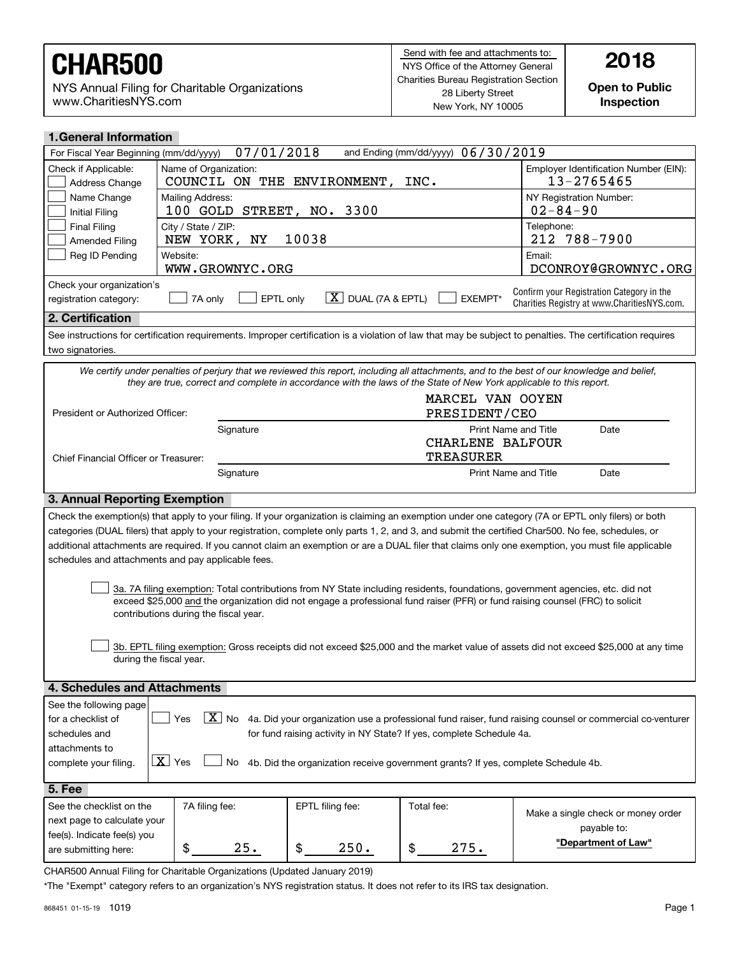NYS Annual Filing for Charitable Organizations www.CharitiesNYS.com

**Open to Public Inspection**

| <b>1. General Information</b>                                                                                                                                                                                                                                                                                                                                                                                                                                                                                                                                                                                                                                                                                                                                                                                                     |                                                                                                                     |                                |                                      |                                                                                                                                                            |  |  |  |
|-----------------------------------------------------------------------------------------------------------------------------------------------------------------------------------------------------------------------------------------------------------------------------------------------------------------------------------------------------------------------------------------------------------------------------------------------------------------------------------------------------------------------------------------------------------------------------------------------------------------------------------------------------------------------------------------------------------------------------------------------------------------------------------------------------------------------------------|---------------------------------------------------------------------------------------------------------------------|--------------------------------|--------------------------------------|------------------------------------------------------------------------------------------------------------------------------------------------------------|--|--|--|
| 07/01/2018<br>and Ending (mm/dd/yyyy) 06/30/2019<br>For Fiscal Year Beginning (mm/dd/yyyy)                                                                                                                                                                                                                                                                                                                                                                                                                                                                                                                                                                                                                                                                                                                                        |                                                                                                                     |                                |                                      |                                                                                                                                                            |  |  |  |
| Check if Applicable:<br>Name of Organization:<br>Employer Identification Number (EIN):<br>13-2765465<br>COUNCIL ON THE ENVIRONMENT,<br>INC.<br>Address Change                                                                                                                                                                                                                                                                                                                                                                                                                                                                                                                                                                                                                                                                     |                                                                                                                     |                                |                                      |                                                                                                                                                            |  |  |  |
| Name Change<br>Mailing Address:<br>NY Registration Number:<br>$02 - 84 - 90$<br>100 GOLD<br>STREET, NO. 3300<br><b>Initial Filing</b>                                                                                                                                                                                                                                                                                                                                                                                                                                                                                                                                                                                                                                                                                             |                                                                                                                     |                                |                                      |                                                                                                                                                            |  |  |  |
| <b>Final Filing</b><br>City / State / ZIP:<br>Telephone:<br>10038<br>212 788-7900<br>ΝY<br>NEW YORK,<br><b>Amended Filing</b>                                                                                                                                                                                                                                                                                                                                                                                                                                                                                                                                                                                                                                                                                                     |                                                                                                                     |                                |                                      |                                                                                                                                                            |  |  |  |
| Reg ID Pending                                                                                                                                                                                                                                                                                                                                                                                                                                                                                                                                                                                                                                                                                                                                                                                                                    | Website:<br>WWW.GROWNYC.ORG                                                                                         |                                |                                      | Email:<br>DCONROY@GROWNYC.ORG                                                                                                                              |  |  |  |
| Check your organization's<br>registration category:                                                                                                                                                                                                                                                                                                                                                                                                                                                                                                                                                                                                                                                                                                                                                                               | EPTL only<br>7A only                                                                                                | $X$ DUAL (7A & EPTL)           | EXEMPT*                              | Confirm your Registration Category in the<br>Charities Registry at www.CharitiesNYS.com.                                                                   |  |  |  |
| 2. Certification                                                                                                                                                                                                                                                                                                                                                                                                                                                                                                                                                                                                                                                                                                                                                                                                                  |                                                                                                                     |                                |                                      |                                                                                                                                                            |  |  |  |
| two signatories.                                                                                                                                                                                                                                                                                                                                                                                                                                                                                                                                                                                                                                                                                                                                                                                                                  |                                                                                                                     |                                |                                      | See instructions for certification requirements. Improper certification is a violation of law that may be subject to penalties. The certification requires |  |  |  |
|                                                                                                                                                                                                                                                                                                                                                                                                                                                                                                                                                                                                                                                                                                                                                                                                                                   | they are true, correct and complete in accordance with the laws of the State of New York applicable to this report. |                                |                                      | We certify under penalties of perjury that we reviewed this report, including all attachments, and to the best of our knowledge and belief,                |  |  |  |
| President or Authorized Officer:                                                                                                                                                                                                                                                                                                                                                                                                                                                                                                                                                                                                                                                                                                                                                                                                  |                                                                                                                     |                                | MARCEL VAN OOYEN<br>PRESIDENT/CEO    |                                                                                                                                                            |  |  |  |
|                                                                                                                                                                                                                                                                                                                                                                                                                                                                                                                                                                                                                                                                                                                                                                                                                                   | Signature                                                                                                           |                                | CHARLENE BALFOUR<br><b>TREASURER</b> | <b>Print Name and Title</b><br>Date                                                                                                                        |  |  |  |
|                                                                                                                                                                                                                                                                                                                                                                                                                                                                                                                                                                                                                                                                                                                                                                                                                                   | Chief Financial Officer or Treasurer:<br><b>Print Name and Title</b><br>Date<br>Signature                           |                                |                                      |                                                                                                                                                            |  |  |  |
| 3. Annual Reporting Exemption                                                                                                                                                                                                                                                                                                                                                                                                                                                                                                                                                                                                                                                                                                                                                                                                     |                                                                                                                     |                                |                                      |                                                                                                                                                            |  |  |  |
| Check the exemption(s) that apply to your filing. If your organization is claiming an exemption under one category (7A or EPTL only filers) or both<br>categories (DUAL filers) that apply to your registration, complete only parts 1, 2, and 3, and submit the certified Char500. No fee, schedules, or<br>additional attachments are required. If you cannot claim an exemption or are a DUAL filer that claims only one exemption, you must file applicable<br>schedules and attachments and pay applicable fees.<br>3a. 7A filing exemption: Total contributions from NY State including residents, foundations, government agencies, etc. did not<br>exceed \$25,000 and the organization did not engage a professional fund raiser (PFR) or fund raising counsel (FRC) to solicit<br>contributions during the fiscal year. |                                                                                                                     |                                |                                      |                                                                                                                                                            |  |  |  |
| 3b. EPTL filing exemption: Gross receipts did not exceed \$25,000 and the market value of assets did not exceed \$25,000 at any time<br>during the fiscal year.                                                                                                                                                                                                                                                                                                                                                                                                                                                                                                                                                                                                                                                                   |                                                                                                                     |                                |                                      |                                                                                                                                                            |  |  |  |
| 4. Schedules and Attachments                                                                                                                                                                                                                                                                                                                                                                                                                                                                                                                                                                                                                                                                                                                                                                                                      |                                                                                                                     |                                |                                      |                                                                                                                                                            |  |  |  |
| See the following page<br>X No 4a. Did your organization use a professional fund raiser, fund raising counsel or commercial co-venturer<br>Yes<br>for a checklist of<br>for fund raising activity in NY State? If yes, complete Schedule 4a.<br>schedules and<br>attachments to<br>$\boxed{\mathbf{X}}$ Yes<br>4b. Did the organization receive government grants? If yes, complete Schedule 4b.<br>No<br>complete your filing.                                                                                                                                                                                                                                                                                                                                                                                                   |                                                                                                                     |                                |                                      |                                                                                                                                                            |  |  |  |
| 5. Fee                                                                                                                                                                                                                                                                                                                                                                                                                                                                                                                                                                                                                                                                                                                                                                                                                            |                                                                                                                     |                                |                                      |                                                                                                                                                            |  |  |  |
| See the checklist on the<br>next page to calculate your<br>fee(s). Indicate fee(s) you<br>are submitting here:                                                                                                                                                                                                                                                                                                                                                                                                                                                                                                                                                                                                                                                                                                                    | 7A filing fee:<br>\$<br>25.                                                                                         | EPTL filing fee:<br>\$<br>250. | Total fee:<br>\$<br>275.             | Make a single check or money order<br>payable to:<br>"Department of Law"                                                                                   |  |  |  |

CHAR500 Annual Filing for Charitable Organizations (Updated January 2019)

\*The "Exempt" category refers to an organization's NYS registration status. It does not refer to its IRS tax designation.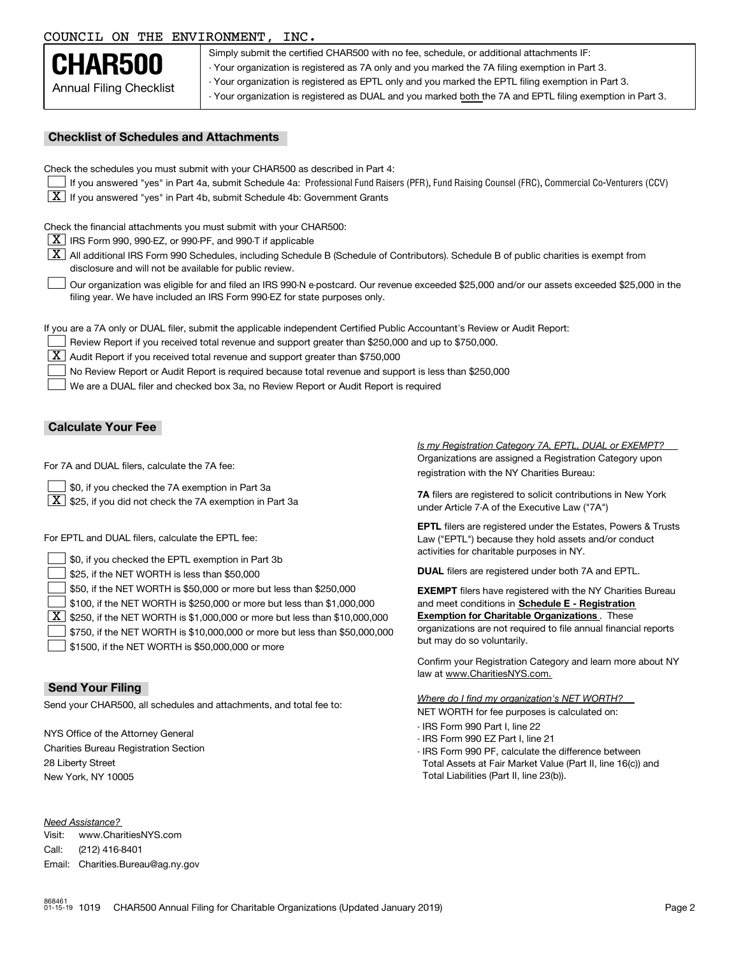#### COUNCIL ON THE ENVIRONMENT, INC.

|                         | Sin       |
|-------------------------|-----------|
| CHAR500                 | $\cdot$ Y |
| Annual Filing Checklist | $-Y0$     |

oply submit the certified CHAR500 with no fee, schedule, or additional attachments IF: our organization is registered as 7A only and you marked the 7A filing exemption in Part 3. our organization is registered as EPTL only and you marked the EPTL filing exemption in Part 3. - Your organization is registered as DUAL and you marked both the 7A and EPTL filing exemption in Part 3.

#### **Checklist of Schedules and Attachments**

Check the schedules you must submit with your CHAR500 as described in Part 4:

- If you answered "yes" in Part 4a, submit Schedule 4a: Professional Fund Raisers (PFR), Fund Raising Counsel (FRC), Commercial Co-Venturers (CCV)
- $\boxed{\textbf{X}}$  If you answered "yes" in Part 4b, submit Schedule 4b: Government Grants

Check the financial attachments you must submit with your CHAR500:

 $\boxed{\textbf{X}}$  IRS Form 990, 990-EZ, or 990-PF, and 990-T if applicable

 $|\overline{\textbf{X}}|$  All additional IRS Form 990 Schedules, including Schedule B (Schedule of Contributors). Schedule B of public charities is exempt from disclosure and will not be available for public review.

Our organization was eligible for and filed an IRS 990-N e-postcard. Our revenue exceeded \$25,000 and/or our assets exceeded \$25,000 in the filing year. We have included an IRS Form 990-EZ for state purposes only.  $\mathcal{L}^{\text{max}}$ 

If you are a 7A only or DUAL filer, submit the applicable independent Certified Public Accountant's Review or Audit Report:

Review Report if you received total revenue and support greater than \$250,000 and up to \$750,000.  $\mathcal{L}^{\text{max}}$ 

 $\boxed{\textbf{X}}$  Audit Report if you received total revenue and support greater than \$750,000

No Review Report or Audit Report is required because total revenue and support is less than \$250,000  $\mathcal{L}^{\text{max}}$ 

We are a DUAL filer and checked box 3a, no Review Report or Audit Report is required  $\mathcal{L}^{\text{max}}$ 

#### **Calculate Your Fee**

For 7A and DUAL filers, calculate the 7A fee:

\$0, if you checked the 7A exemption in Part 3a  $\mathcal{L}^{\text{max}}$ 

 $\boxed{\textbf{X}}$  \$25, if you did not check the 7A exemption in Part 3a

For EPTL and DUAL filers, calculate the EPTL fee:

| \$0, if you checked the EPTL exemption in Part 3b                                              | activities for charitable purposes in NY.                         |  |  |
|------------------------------------------------------------------------------------------------|-------------------------------------------------------------------|--|--|
| $\Box$ \$25, if the NET WORTH is less than \$50,000                                            | <b>DUAL</b> filers are registered under both 7A and EPTL.         |  |  |
| $\Box$ \$50, if the NET WORTH is \$50,000 or more but less than \$250,000                      | <b>EXEMPT</b> filers have registered with the NY Charities Bureau |  |  |
| $\Box$ \$100, if the NET WORTH is \$250,000 or more but less than \$1,000,000                  | and meet conditions in Schedule E - Registration                  |  |  |
| $\boxed{\textbf{X}}$ \$250, if the NET WORTH is \$1,000,000 or more but less than \$10,000,000 | <b>Exemption for Charitable Organizations.</b> These              |  |  |
| $\Box$ \$750, if the NET WORTH is \$10,000,000 or more but less than \$50,000,000              | organizations are not required to file annual financial reports   |  |  |
| $\rfloor$ \$1500, if the NET WORTH is \$50,000,000 or more                                     | but may do so voluntarily.                                        |  |  |

#### **Send Your Filing**

Send your CHAR500, all schedules and attachments, and total fee to:

NYS Office of the Attorney General Charities Bureau Registration Section 28 Liberty Street New York, NY 10005

*Need Assistance?*

Visit:Call:Email:Charities.Bureau@ag.ny.gov www.CharitiesNYS.com(212) 416-8401

Organizations are assigned a Registration Category upon registration with the NY Charities Bureau: *Is my Registration Category 7A, EPTL, DUAL or EXEMPT?* 

**7A** filers are registered to solicit contributions in New York under Article 7-A of the Executive Law ("7A")

**EPTL** filers are registered under the Estates, Powers & Trusts Law ("EPTL") because they hold assets and/or conduct activities for charitable purposes in NY.

Confirm your Registration Category and learn more about NY law at www.CharitiesNYS.com.

NET WORTH for fee purposes is calculated on: *Where do I find my organization's NET WORTH?*

- IRS Form 990 Part I, line 22
- IRS Form 990 EZ Part I, line 21
- IRS Form 990 PF, calculate the difference between Total Assets at Fair Market Value (Part II, line 16(c)) and Total Liabilities (Part II, line 23(b)).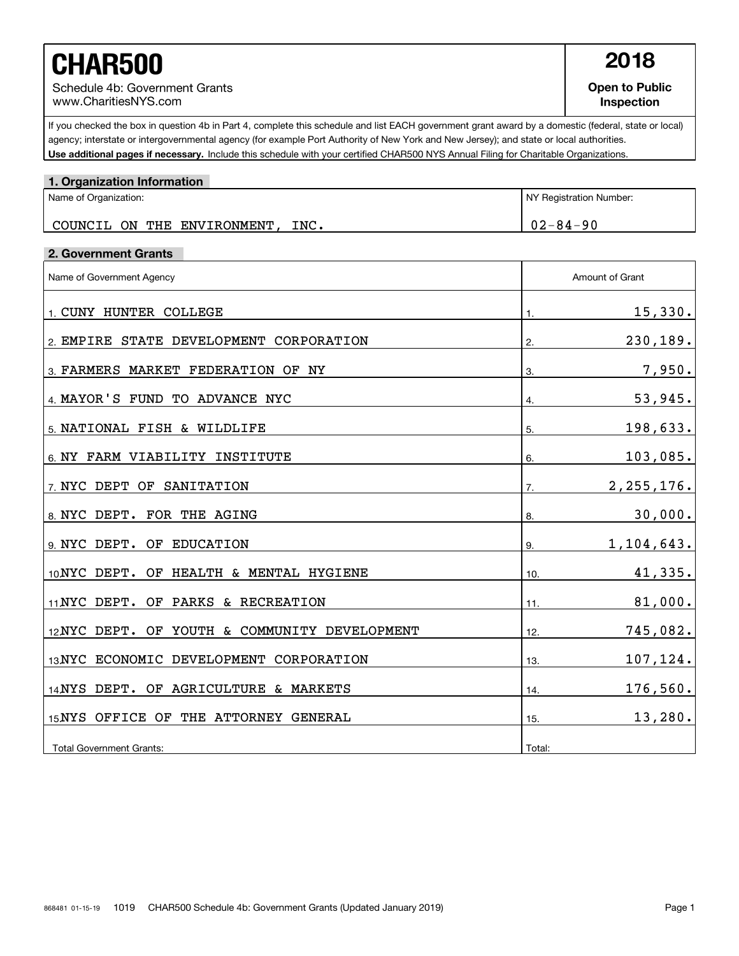# **CHAR500 2018**

Schedule 4b: Government Grants www.CharitiesNYS.com

**Open to Public Inspection**

Use additional pages if necessary. Include this schedule with your certified CHAR500 NYS Annual Filing for Charitable Organizations. If you checked the box in question 4b in Part 4, complete this schedule and list EACH government grant award by a domestic (federal, state or local) agency; interstate or intergovernmental agency (for example Port Authority of New York and New Jersey); and state or local authorities.

| 1. Organization Information                  |                         |                 |  |
|----------------------------------------------|-------------------------|-----------------|--|
| Name of Organization:                        | NY Registration Number: |                 |  |
| COUNCIL ON THE ENVIRONMENT, INC.             |                         | $02 - 84 - 90$  |  |
| 2. Government Grants                         |                         |                 |  |
| Name of Government Agency                    |                         | Amount of Grant |  |
| 1. CUNY HUNTER COLLEGE                       | 1.                      | 15,330.         |  |
| 2 EMPIRE STATE DEVELOPMENT CORPORATION       | 2.                      | 230, 189.       |  |
| 3. FARMERS MARKET FEDERATION OF NY           | 3.                      | 7,950.          |  |
| 4. MAYOR'S FUND TO ADVANCE NYC               | 4.                      | 53,945.         |  |
| 5. NATIONAL FISH & WILDLIFE                  | 5.                      | 198,633.        |  |
| 6. NY FARM VIABILITY INSTITUTE               | 6.                      | 103,085.        |  |
| 7. NYC DEPT OF SANITATION                    | 7.                      | 2, 255, 176.    |  |
| 8 NYC DEPT. FOR THE AGING                    | 8.                      | 30,000.         |  |
| 9. NYC DEPT. OF EDUCATION                    | 9.                      | 1,104,643.      |  |
| 10NYC DEPT. OF HEALTH & MENTAL HYGIENE       | 10.                     | 41,335.         |  |
| 11 NYC DEPT. OF PARKS & RECREATION           | 11.                     | 81,000.         |  |
| 12NYC DEPT. OF YOUTH & COMMUNITY DEVELOPMENT | 12.                     | 745,082.        |  |
| 13 NYC ECONOMIC DEVELOPMENT CORPORATION      | 13.                     | 107,124.        |  |
| 14 NYS DEPT. OF AGRICULTURE & MARKETS        | 14.                     | 176,560.        |  |
| 15 NYS OFFICE OF THE ATTORNEY GENERAL        | 15.                     | 13,280.         |  |
| <b>Total Government Grants:</b>              | Total:                  |                 |  |